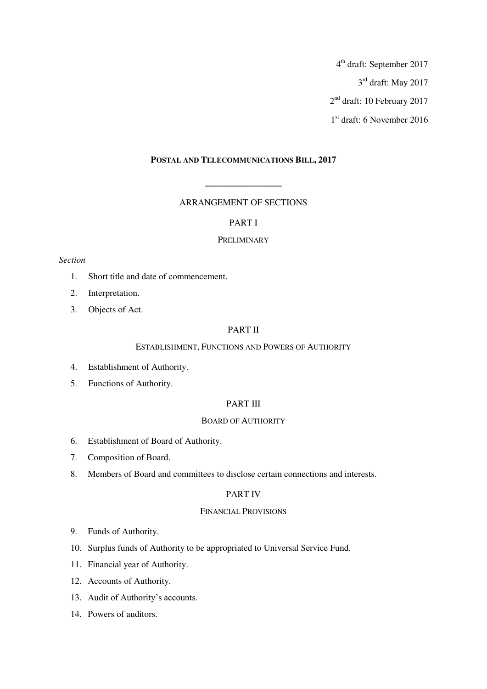4 th draft: September 2017

3 rd draft: May 2017

2 nd draft: 10 February 2017

1 st draft: 6 November 2016

# **POSTAL AND TELECOMMUNICATIONS BILL, 2017**

# ARRANGEMENT OF SECTIONS

**\_\_\_\_\_\_\_\_\_\_\_\_\_\_\_\_\_** 

# PART I

# PRELIMINARY

# *Section*

- 1. Short title and date of commencement.
- 2. Interpretation.
- 3. Objects of Act.

# PART II

# ESTABLISHMENT, FUNCTIONS AND POWERS OF AUTHORITY

- 4. Establishment of Authority.
- 5. Functions of Authority.

# PART III

# BOARD OF AUTHORITY

- 6. Establishment of Board of Authority.
- 7. Composition of Board.
- 8. Members of Board and committees to disclose certain connections and interests.

# PART IV

# FINANCIAL PROVISIONS

- 9. Funds of Authority.
- 10. Surplus funds of Authority to be appropriated to Universal Service Fund.
- 11. Financial year of Authority.
- 12. Accounts of Authority.
- 13. Audit of Authority's accounts.
- 14. Powers of auditors.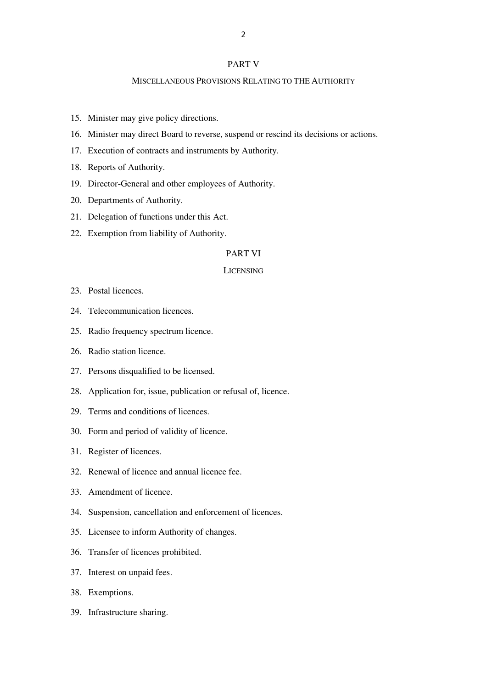## PART V

# MISCELLANEOUS PROVISIONS RELATING TO THE AUTHORITY

- 15. Minister may give policy directions.
- 16. Minister may direct Board to reverse, suspend or rescind its decisions or actions.
- 17. Execution of contracts and instruments by Authority.
- 18. Reports of Authority.
- 19. Director-General and other employees of Authority.
- 20. Departments of Authority.
- 21. Delegation of functions under this Act.
- 22. Exemption from liability of Authority.

#### PART VI

#### LICENSING

- 23. Postal licences.
- 24. Telecommunication licences.
- 25. Radio frequency spectrum licence.
- 26. Radio station licence.
- 27. Persons disqualified to be licensed.
- 28. Application for, issue, publication or refusal of, licence.
- 29. Terms and conditions of licences.
- 30. Form and period of validity of licence.
- 31. Register of licences.
- 32. Renewal of licence and annual licence fee.
- 33. Amendment of licence.
- 34. Suspension, cancellation and enforcement of licences.
- 35. Licensee to inform Authority of changes.
- 36. Transfer of licences prohibited.
- 37. Interest on unpaid fees.
- 38. Exemptions.
- 39. Infrastructure sharing.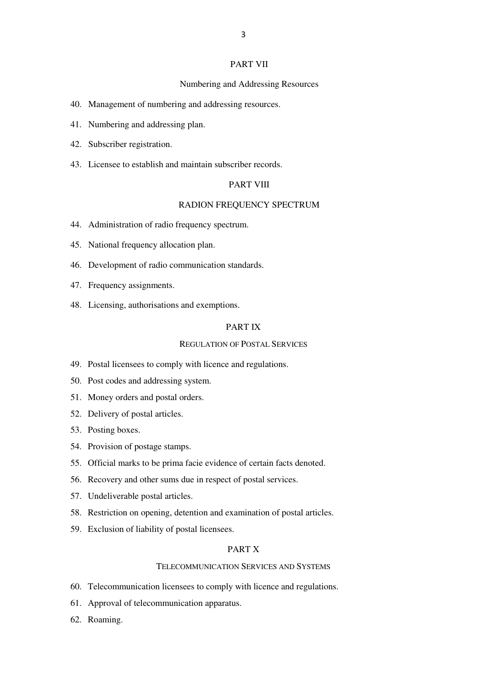## PART VII

#### Numbering and Addressing Resources

- 40. Management of numbering and addressing resources.
- 41. Numbering and addressing plan.
- 42. Subscriber registration.
- 43. Licensee to establish and maintain subscriber records.

# PART VIII

# RADION FREQUENCY SPECTRUM

- 44. Administration of radio frequency spectrum.
- 45. National frequency allocation plan.
- 46. Development of radio communication standards.
- 47. Frequency assignments.
- 48. Licensing, authorisations and exemptions.

## PART IX

## REGULATION OF POSTAL SERVICES

- 49. Postal licensees to comply with licence and regulations.
- 50. Post codes and addressing system.
- 51. Money orders and postal orders.
- 52. Delivery of postal articles.
- 53. Posting boxes.
- 54. Provision of postage stamps.
- 55. Official marks to be prima facie evidence of certain facts denoted.
- 56. Recovery and other sums due in respect of postal services.
- 57. Undeliverable postal articles.
- 58. Restriction on opening, detention and examination of postal articles.
- 59. Exclusion of liability of postal licensees.

# PART X

## TELECOMMUNICATION SERVICES AND SYSTEMS

- 60. Telecommunication licensees to comply with licence and regulations.
- 61. Approval of telecommunication apparatus.
- 62. Roaming.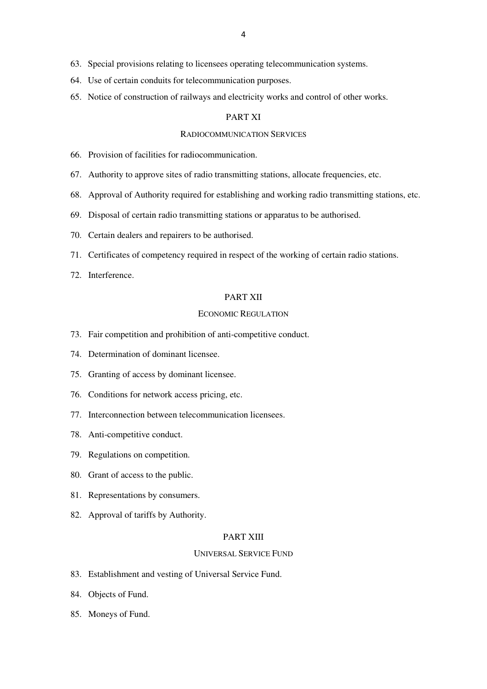- 63. Special provisions relating to licensees operating telecommunication systems.
- 64. Use of certain conduits for telecommunication purposes.
- 65. Notice of construction of railways and electricity works and control of other works.

## PART XI

# RADIOCOMMUNICATION SERVICES

- 66. Provision of facilities for radiocommunication.
- 67. Authority to approve sites of radio transmitting stations, allocate frequencies, etc.
- 68. Approval of Authority required for establishing and working radio transmitting stations, etc.
- 69. Disposal of certain radio transmitting stations or apparatus to be authorised.
- 70. Certain dealers and repairers to be authorised.
- 71. Certificates of competency required in respect of the working of certain radio stations.
- 72. Interference.

#### PART XII

# ECONOMIC REGULATION

- 73. Fair competition and prohibition of anti-competitive conduct.
- 74. Determination of dominant licensee.
- 75. Granting of access by dominant licensee.
- 76. Conditions for network access pricing, etc.
- 77. Interconnection between telecommunication licensees.
- 78. Anti-competitive conduct.
- 79. Regulations on competition.
- 80. Grant of access to the public.
- 81. Representations by consumers.
- 82. Approval of tariffs by Authority.

## PART XIII

#### UNIVERSAL SERVICE FUND

- 83. Establishment and vesting of Universal Service Fund.
- 84. Objects of Fund.
- 85. Moneys of Fund.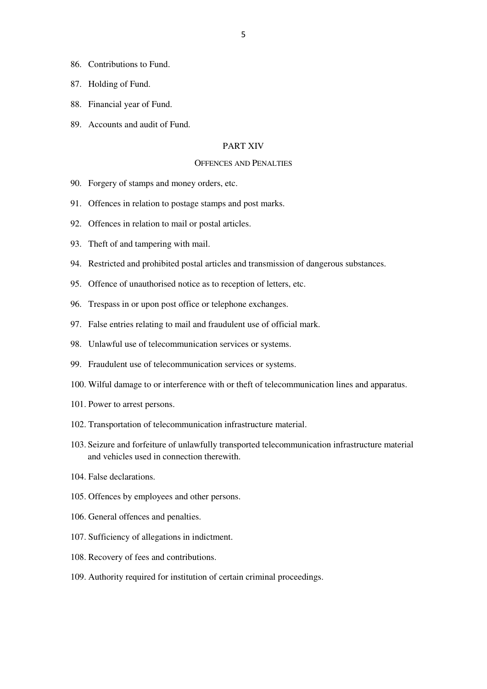- 86. Contributions to Fund.
- 87. Holding of Fund.
- 88. Financial year of Fund.
- 89. Accounts and audit of Fund.

# PART XIV

#### OFFENCES AND PENALTIES

- 90. Forgery of stamps and money orders, etc.
- 91. Offences in relation to postage stamps and post marks.
- 92. Offences in relation to mail or postal articles.
- 93. Theft of and tampering with mail.
- 94. Restricted and prohibited postal articles and transmission of dangerous substances.
- 95. Offence of unauthorised notice as to reception of letters, etc.
- 96. Trespass in or upon post office or telephone exchanges.
- 97. False entries relating to mail and fraudulent use of official mark.
- 98. Unlawful use of telecommunication services or systems.
- 99. Fraudulent use of telecommunication services or systems.
- 100. Wilful damage to or interference with or theft of telecommunication lines and apparatus.
- 101. Power to arrest persons.
- 102. Transportation of telecommunication infrastructure material.
- 103. Seizure and forfeiture of unlawfully transported telecommunication infrastructure material and vehicles used in connection therewith.
- 104. False declarations.
- 105. Offences by employees and other persons.
- 106. General offences and penalties.
- 107. Sufficiency of allegations in indictment.
- 108. Recovery of fees and contributions.
- 109. Authority required for institution of certain criminal proceedings.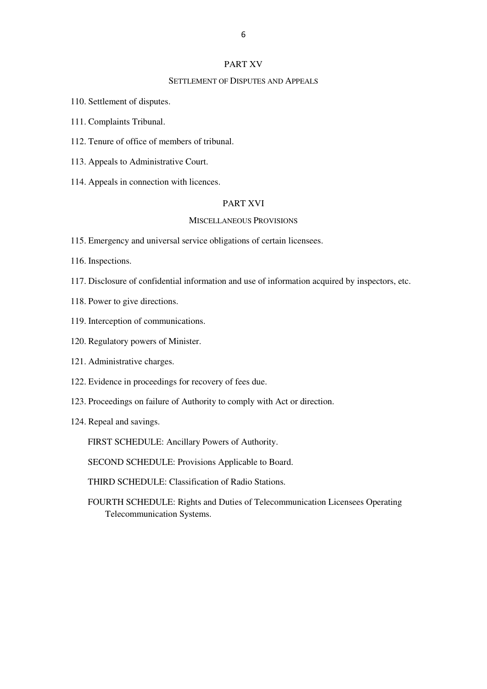## PART XV

# SETTLEMENT OF DISPUTES AND APPEALS

- 110. Settlement of disputes.
- 111. Complaints Tribunal.
- 112. Tenure of office of members of tribunal.
- 113. Appeals to Administrative Court.
- 114. Appeals in connection with licences.

# PART XVI

# MISCELLANEOUS PROVISIONS

- 115. Emergency and universal service obligations of certain licensees.
- 116. Inspections.
- 117. Disclosure of confidential information and use of information acquired by inspectors, etc.
- 118. Power to give directions.
- 119. Interception of communications.
- 120. Regulatory powers of Minister.
- 121. Administrative charges.
- 122. Evidence in proceedings for recovery of fees due.
- 123. Proceedings on failure of Authority to comply with Act or direction.
- 124. Repeal and savings.

FIRST SCHEDULE: Ancillary Powers of Authority.

SECOND SCHEDULE: Provisions Applicable to Board.

- THIRD SCHEDULE: Classification of Radio Stations.
- FOURTH SCHEDULE: Rights and Duties of Telecommunication Licensees Operating Telecommunication Systems.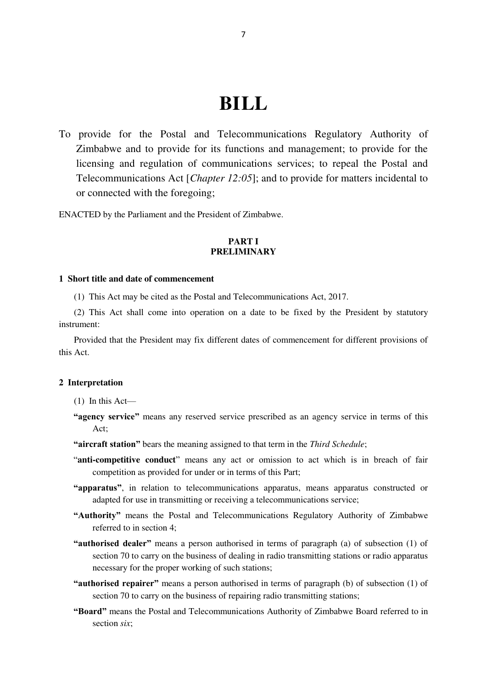# **BILL**

To provide for the Postal and Telecommunications Regulatory Authority of Zimbabwe and to provide for its functions and management; to provide for the licensing and regulation of communications services; to repeal the Postal and Telecommunications Act [*Chapter 12:05*]; and to provide for matters incidental to or connected with the foregoing;

ENACTED by the Parliament and the President of Zimbabwe.

# **PART I PRELIMINARY**

# **1 Short title and date of commencement**

(1) This Act may be cited as the Postal and Telecommunications Act, 2017.

(2) This Act shall come into operation on a date to be fixed by the President by statutory instrument:

Provided that the President may fix different dates of commencement for different provisions of this Act.

## **2 Interpretation**

(1) In this Act—

- **"agency service"** means any reserved service prescribed as an agency service in terms of this Act;
- **"aircraft station"** bears the meaning assigned to that term in the *Third Schedule*;
- "**anti-competitive conduct**" means any act or omission to act which is in breach of fair competition as provided for under or in terms of this Part;
- **"apparatus"**, in relation to telecommunications apparatus, means apparatus constructed or adapted for use in transmitting or receiving a telecommunications service;
- **"Authority"** means the Postal and Telecommunications Regulatory Authority of Zimbabwe referred to in section 4;
- **"authorised dealer"** means a person authorised in terms of paragraph (a) of subsection (1) of section 70 to carry on the business of dealing in radio transmitting stations or radio apparatus necessary for the proper working of such stations;
- **"authorised repairer"** means a person authorised in terms of paragraph (b) of subsection (1) of section 70 to carry on the business of repairing radio transmitting stations;
- **"Board"** means the Postal and Telecommunications Authority of Zimbabwe Board referred to in section *six*;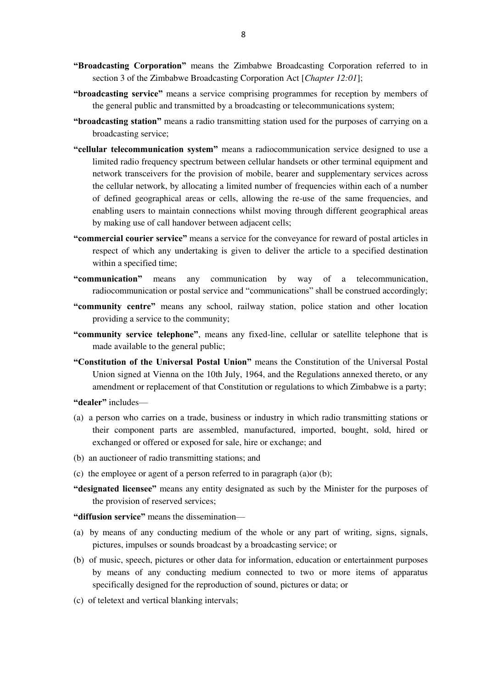- **"Broadcasting Corporation"** means the Zimbabwe Broadcasting Corporation referred to in section 3 of the Zimbabwe Broadcasting Corporation Act [*Chapter 12:01*];
- **"broadcasting service"** means a service comprising programmes for reception by members of the general public and transmitted by a broadcasting or telecommunications system;
- **"broadcasting station"** means a radio transmitting station used for the purposes of carrying on a broadcasting service;
- **"cellular telecommunication system"** means a radiocommunication service designed to use a limited radio frequency spectrum between cellular handsets or other terminal equipment and network transceivers for the provision of mobile, bearer and supplementary services across the cellular network, by allocating a limited number of frequencies within each of a number of defined geographical areas or cells, allowing the re-use of the same frequencies, and enabling users to maintain connections whilst moving through different geographical areas by making use of call handover between adjacent cells;
- **"commercial courier service"** means a service for the conveyance for reward of postal articles in respect of which any undertaking is given to deliver the article to a specified destination within a specified time;
- **"communication"** means any communication by way of a telecommunication, radiocommunication or postal service and "communications" shall be construed accordingly;
- **"community centre"** means any school, railway station, police station and other location providing a service to the community;
- **"community service telephone"**, means any fixed-line, cellular or satellite telephone that is made available to the general public;
- **"Constitution of the Universal Postal Union"** means the Constitution of the Universal Postal Union signed at Vienna on the 10th July, 1964, and the Regulations annexed thereto, or any amendment or replacement of that Constitution or regulations to which Zimbabwe is a party;

**"dealer"** includes—

- (a) a person who carries on a trade, business or industry in which radio transmitting stations or their component parts are assembled, manufactured, imported, bought, sold, hired or exchanged or offered or exposed for sale, hire or exchange; and
- (b) an auctioneer of radio transmitting stations; and
- (c) the employee or agent of a person referred to in paragraph (a)or (b);
- **"designated licensee"** means any entity designated as such by the Minister for the purposes of the provision of reserved services;

**"diffusion service"** means the dissemination—

- (a) by means of any conducting medium of the whole or any part of writing, signs, signals, pictures, impulses or sounds broadcast by a broadcasting service; or
- (b) of music, speech, pictures or other data for information, education or entertainment purposes by means of any conducting medium connected to two or more items of apparatus specifically designed for the reproduction of sound, pictures or data; or
- (c) of teletext and vertical blanking intervals;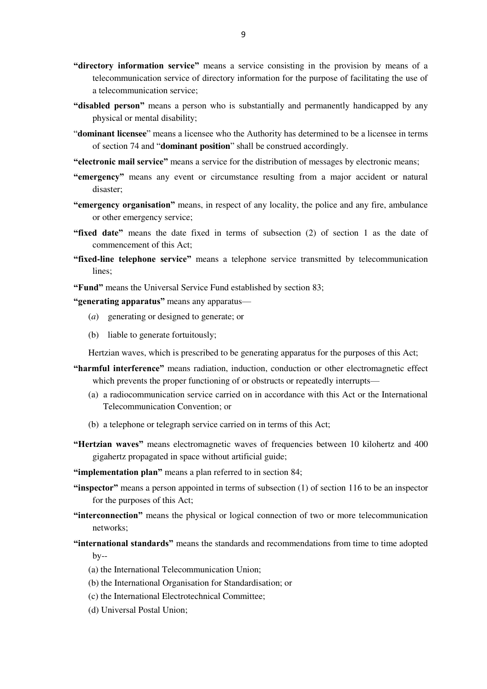- **"directory information service"** means a service consisting in the provision by means of a telecommunication service of directory information for the purpose of facilitating the use of a telecommunication service;
- **"disabled person"** means a person who is substantially and permanently handicapped by any physical or mental disability;
- "**dominant licensee**" means a licensee who the Authority has determined to be a licensee in terms of section 74 and "**dominant position**" shall be construed accordingly.
- **"electronic mail service"** means a service for the distribution of messages by electronic means;
- **"emergency"** means any event or circumstance resulting from a major accident or natural disaster;
- **"emergency organisation"** means, in respect of any locality, the police and any fire, ambulance or other emergency service;
- **"fixed date"** means the date fixed in terms of subsection (2) of section 1 as the date of commencement of this Act;
- **"fixed-line telephone service"** means a telephone service transmitted by telecommunication lines;

**"Fund"** means the Universal Service Fund established by section 83;

**"generating apparatus"** means any apparatus—

- (*a*) generating or designed to generate; or
- (b) liable to generate fortuitously;

Hertzian waves, which is prescribed to be generating apparatus for the purposes of this Act;

- **"harmful interference"** means radiation, induction, conduction or other electromagnetic effect which prevents the proper functioning of or obstructs or repeatedly interrupts—
	- (a) a radiocommunication service carried on in accordance with this Act or the International Telecommunication Convention; or
	- (b) a telephone or telegraph service carried on in terms of this Act;
- **"Hertzian waves"** means electromagnetic waves of frequencies between 10 kilohertz and 400 gigahertz propagated in space without artificial guide;

**"implementation plan"** means a plan referred to in section 84;

- **"inspector"** means a person appointed in terms of subsection (1) of section 116 to be an inspector for the purposes of this Act;
- **"interconnection"** means the physical or logical connection of two or more telecommunication networks;
- **"international standards"** means the standards and recommendations from time to time adopted  $bv$ --
	- (a) the International Telecommunication Union;
	- (b) the International Organisation for Standardisation; or
	- (c) the International Electrotechnical Committee;
	- (d) Universal Postal Union;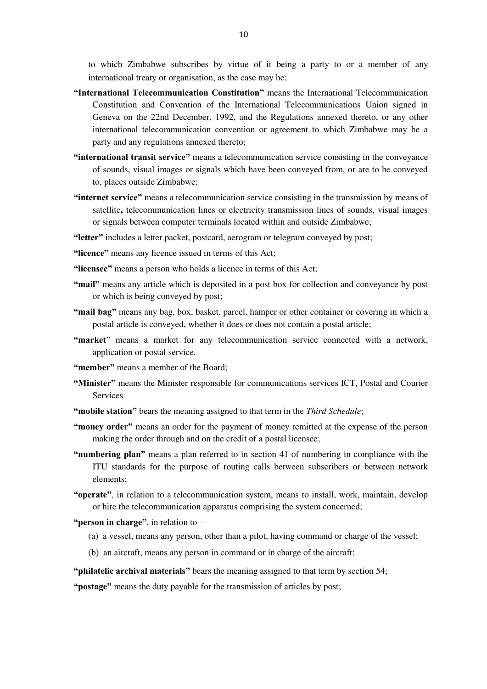to which Zimbabwe subscribes by virtue of it being a party to or a member of any international treaty or organisation, as the case may be;

- **"International Telecommunication Constitution"** means the International Telecommunication Constitution and Convention of the International Telecommunications Union signed in Geneva on the 22nd December, 1992, and the Regulations annexed thereto, or any other international telecommunication convention or agreement to which Zimbabwe may be a party and any regulations annexed thereto;
- **"international transit service"** means a telecommunication service consisting in the conveyance of sounds, visual images or signals which have been conveyed from, or are to be conveyed to, places outside Zimbabwe;
- **"internet service"** means a telecommunication service consisting in the transmission by means of satellite**,** telecommunication lines or electricity transmission lines of sounds, visual images or signals between computer terminals located within and outside Zimbabwe;

**"letter"** includes a letter packet, postcard, aerogram or telegram conveyed by post;

**"licence"** means any licence issued in terms of this Act;

**"licensee"** means a person who holds a licence in terms of this Act;

- **"mail"** means any article which is deposited in a post box for collection and conveyance by post or which is being conveyed by post;
- **"mail bag"** means any bag, box, basket, parcel, hamper or other container or covering in which a postal article is conveyed, whether it does or does not contain a postal article;
- **"market**" means a market for any telecommunication service connected with a network, application or postal service.
- **"member"** means a member of the Board;
- **"Minister"** means the Minister responsible for communications services ICT, Postal and Courier Services
- **"mobile station"** bears the meaning assigned to that term in the *Third Schedule*;
- **"money order"** means an order for the payment of money remitted at the expense of the person making the order through and on the credit of a postal licensee;
- **"numbering plan"** means a plan referred to in section 41 of numbering in compliance with the ITU standards for the purpose of routing calls between subscribers or between network elements;
- **"operate"**, in relation to a telecommunication system, means to install, work, maintain, develop or hire the telecommunication apparatus comprising the system concerned;

**"person in charge"**, in relation to—

- (a) a vessel, means any person, other than a pilot, having command or charge of the vessel;
- (b) an aircraft, means any person in command or in charge of the aircraft;

**"philatelic archival materials"** bears the meaning assigned to that term by section 54;

**"postage"** means the duty payable for the transmission of articles by post;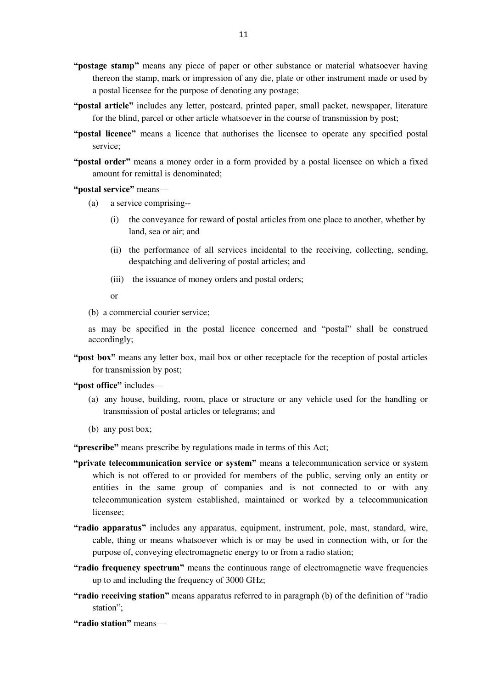- **"postage stamp"** means any piece of paper or other substance or material whatsoever having thereon the stamp, mark or impression of any die, plate or other instrument made or used by a postal licensee for the purpose of denoting any postage;
- **"postal article"** includes any letter, postcard, printed paper, small packet, newspaper, literature for the blind, parcel or other article whatsoever in the course of transmission by post;
- **"postal licence"** means a licence that authorises the licensee to operate any specified postal service;
- **"postal order"** means a money order in a form provided by a postal licensee on which a fixed amount for remittal is denominated;

**"postal service"** means—

- (a) a service comprising--
	- (i) the conveyance for reward of postal articles from one place to another, whether by land, sea or air; and
	- (ii) the performance of all services incidental to the receiving, collecting, sending, despatching and delivering of postal articles; and
	- (iii) the issuance of money orders and postal orders;

or

(b) a commercial courier service;

as may be specified in the postal licence concerned and "postal" shall be construed accordingly;

- **"post box"** means any letter box, mail box or other receptacle for the reception of postal articles for transmission by post;
- **"post office"** includes—
	- (a) any house, building, room, place or structure or any vehicle used for the handling or transmission of postal articles or telegrams; and
	- (b) any post box;

**"prescribe"** means prescribe by regulations made in terms of this Act;

- **"private telecommunication service or system"** means a telecommunication service or system which is not offered to or provided for members of the public, serving only an entity or entities in the same group of companies and is not connected to or with any telecommunication system established, maintained or worked by a telecommunication licensee;
- **"radio apparatus"** includes any apparatus, equipment, instrument, pole, mast, standard, wire, cable, thing or means whatsoever which is or may be used in connection with, or for the purpose of, conveying electromagnetic energy to or from a radio station;
- **"radio frequency spectrum"** means the continuous range of electromagnetic wave frequencies up to and including the frequency of 3000 GHz;
- **"radio receiving station"** means apparatus referred to in paragraph (b) of the definition of "radio station";
- **"radio station"** means—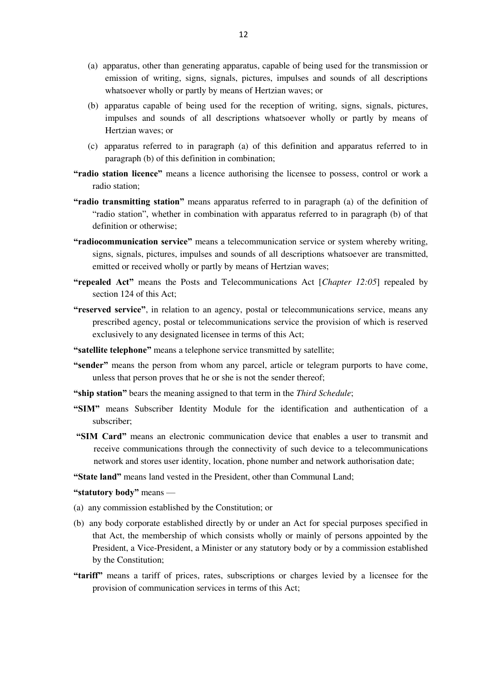- (a) apparatus, other than generating apparatus, capable of being used for the transmission or emission of writing, signs, signals, pictures, impulses and sounds of all descriptions whatsoever wholly or partly by means of Hertzian waves; or
- (b) apparatus capable of being used for the reception of writing, signs, signals, pictures, impulses and sounds of all descriptions whatsoever wholly or partly by means of Hertzian waves; or
- (c) apparatus referred to in paragraph (a) of this definition and apparatus referred to in paragraph (b) of this definition in combination;
- **"radio station licence"** means a licence authorising the licensee to possess, control or work a radio station;
- **"radio transmitting station"** means apparatus referred to in paragraph (a) of the definition of "radio station", whether in combination with apparatus referred to in paragraph (b) of that definition or otherwise;
- **"radiocommunication service"** means a telecommunication service or system whereby writing, signs, signals, pictures, impulses and sounds of all descriptions whatsoever are transmitted, emitted or received wholly or partly by means of Hertzian waves;
- **"repealed Act"** means the Posts and Telecommunications Act [*Chapter 12:05*] repealed by section 124 of this Act;
- **"reserved service"**, in relation to an agency, postal or telecommunications service, means any prescribed agency, postal or telecommunications service the provision of which is reserved exclusively to any designated licensee in terms of this Act;
- **"satellite telephone"** means a telephone service transmitted by satellite;
- **"sender"** means the person from whom any parcel, article or telegram purports to have come, unless that person proves that he or she is not the sender thereof;
- **"ship station"** bears the meaning assigned to that term in the *Third Schedule*;
- **"SIM"** means Subscriber Identity Module for the identification and authentication of a subscriber;
- **"SIM Card"** means an electronic communication device that enables a user to transmit and receive communications through the connectivity of such device to a telecommunications network and stores user identity, location, phone number and network authorisation date;
- **"State land"** means land vested in the President, other than Communal Land;

**"statutory body"** means —

- (a) any commission established by the Constitution; or
- (b) any body corporate established directly by or under an Act for special purposes specified in that Act, the membership of which consists wholly or mainly of persons appointed by the President, a Vice-President, a Minister or any statutory body or by a commission established by the Constitution;
- **"tariff"** means a tariff of prices, rates, subscriptions or charges levied by a licensee for the provision of communication services in terms of this Act;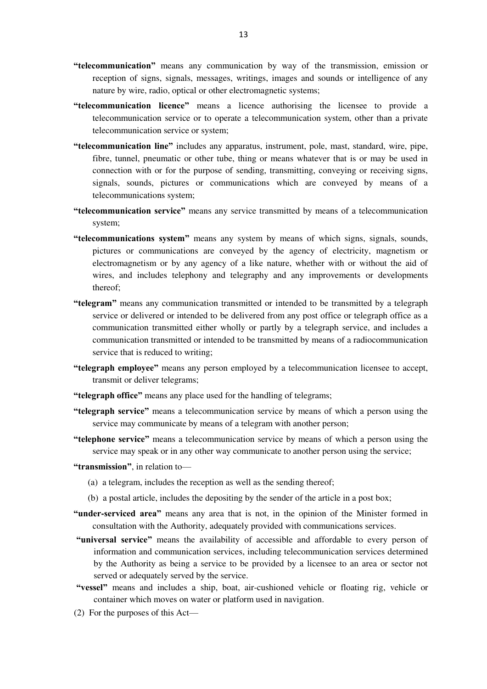- **"telecommunication"** means any communication by way of the transmission, emission or reception of signs, signals, messages, writings, images and sounds or intelligence of any nature by [wire,](https://en.wikipedia.org/wiki/Wire) [radio,](https://en.wikipedia.org/wiki/Radio) optical or other [electromagnetic](https://en.wikipedia.org/wiki/Electromagnetic) systems;
- **"telecommunication licence"** means a licence authorising the licensee to provide a telecommunication service or to operate a telecommunication system, other than a private telecommunication service or system;
- **"telecommunication line"** includes any apparatus, instrument, pole, mast, standard, wire, pipe, fibre, tunnel, pneumatic or other tube, thing or means whatever that is or may be used in connection with or for the purpose of sending, transmitting, conveying or receiving signs, signals, sounds, pictures or communications which are conveyed by means of a telecommunications system;
- **"telecommunication service"** means any service transmitted by means of a telecommunication system;
- **"telecommunications system"** means any system by means of which signs, signals, sounds, pictures or communications are conveyed by the agency of electricity, magnetism or electromagnetism or by any agency of a like nature, whether with or without the aid of wires, and includes telephony and telegraphy and any improvements or developments thereof;
- **"telegram"** means any communication transmitted or intended to be transmitted by a telegraph service or delivered or intended to be delivered from any post office or telegraph office as a communication transmitted either wholly or partly by a telegraph service, and includes a communication transmitted or intended to be transmitted by means of a radiocommunication service that is reduced to writing;
- **"telegraph employee"** means any person employed by a telecommunication licensee to accept, transmit or deliver telegrams;
- **"telegraph office"** means any place used for the handling of telegrams;
- **"telegraph service"** means a telecommunication service by means of which a person using the service may communicate by means of a telegram with another person;
- **"telephone service"** means a telecommunication service by means of which a person using the service may speak or in any other way communicate to another person using the service;
- **"transmission"**, in relation to—
	- (a) a telegram, includes the reception as well as the sending thereof;
	- (b) a postal article, includes the depositing by the sender of the article in a post box;
- **"under-serviced area"** means any area that is not, in the opinion of the Minister formed in consultation with the Authority, adequately provided with communications services.
- **"universal service"** means the availability of accessible and affordable to every person of information and communication services, including telecommunication services determined by the Authority as being a service to be provided by a licensee to an area or sector not served or adequately served by the service.
- **"vessel"** means and includes a ship, boat, air-cushioned vehicle or floating rig, vehicle or container which moves on water or platform used in navigation.
- (2) For the purposes of this Act—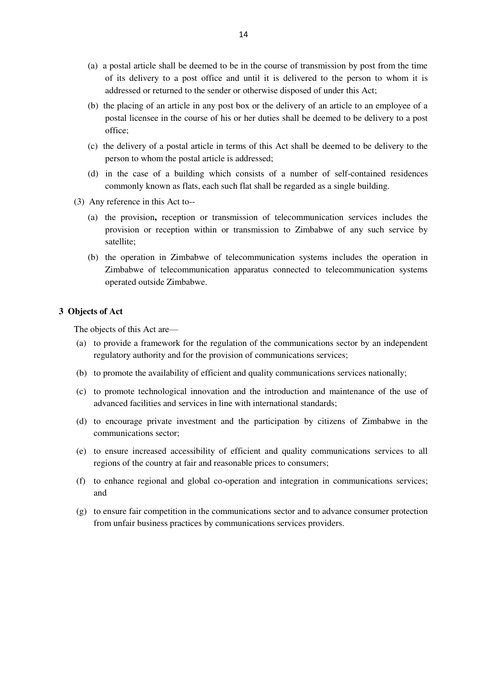- (a) a postal article shall be deemed to be in the course of transmission by post from the time of its delivery to a post office and until it is delivered to the person to whom it is addressed or returned to the sender or otherwise disposed of under this Act;
- (b) the placing of an article in any post box or the delivery of an article to an employee of a postal licensee in the course of his or her duties shall be deemed to be delivery to a post office;
- (c) the delivery of a postal article in terms of this Act shall be deemed to be delivery to the person to whom the postal article is addressed;
- (d) in the case of a building which consists of a number of self-contained residences commonly known as flats, each such flat shall be regarded as a single building.
- (3) Any reference in this Act to--
	- (a) the provision**,** reception or transmission of telecommunication services includes the provision or reception within or transmission to Zimbabwe of any such service by satellite;
	- (b) the operation in Zimbabwe of telecommunication systems includes the operation in Zimbabwe of telecommunication apparatus connected to telecommunication systems operated outside Zimbabwe.

# **3 Objects of Act**

The objects of this Act are—

- (a) to provide a framework for the regulation of the communications sector by an independent regulatory authority and for the provision of communications services;
- (b) to promote the availability of efficient and quality communications services nationally;
- (c) to promote technological innovation and the introduction and maintenance of the use of advanced facilities and services in line with international standards;
- (d) to encourage private investment and the participation by citizens of Zimbabwe in the communications sector;
- (e) to ensure increased accessibility of efficient and quality communications services to all regions of the country at fair and reasonable prices to consumers;
- (f) to enhance regional and global co-operation and integration in communications services; and
- (g) to ensure fair competition in the communications sector and to advance consumer protection from unfair business practices by communications services providers.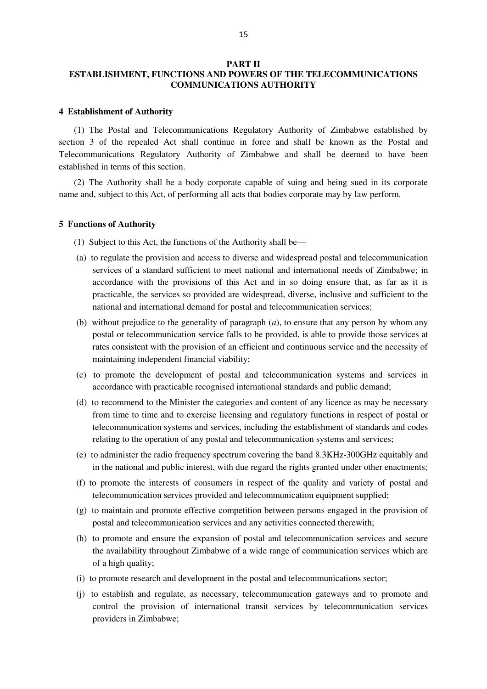# **PART II ESTABLISHMENT, FUNCTIONS AND POWERS OF THE TELECOMMUNICATIONS COMMUNICATIONS AUTHORITY**

## **4 Establishment of Authority**

(1) The Postal and Telecommunications Regulatory Authority of Zimbabwe established by section 3 of the repealed Act shall continue in force and shall be known as the Postal and Telecommunications Regulatory Authority of Zimbabwe and shall be deemed to have been established in terms of this section.

(2) The Authority shall be a body corporate capable of suing and being sued in its corporate name and, subject to this Act, of performing all acts that bodies corporate may by law perform.

# **5 Functions of Authority**

- (1) Subject to this Act, the functions of the Authority shall be—
- (a) to regulate the provision and access to diverse and widespread postal and telecommunication services of a standard sufficient to meet national and international needs of Zimbabwe; in accordance with the provisions of this Act and in so doing ensure that, as far as it is practicable, the services so provided are widespread, diverse, inclusive and sufficient to the national and international demand for postal and telecommunication services;
- (b) without prejudice to the generality of paragraph (*a*), to ensure that any person by whom any postal or telecommunication service falls to be provided, is able to provide those services at rates consistent with the provision of an efficient and continuous service and the necessity of maintaining independent financial viability;
- (c) to promote the development of postal and telecommunication systems and services in accordance with practicable recognised international standards and public demand;
- (d) to recommend to the Minister the categories and content of any licence as may be necessary from time to time and to exercise licensing and regulatory functions in respect of postal or telecommunication systems and services, including the establishment of standards and codes relating to the operation of any postal and telecommunication systems and services;
- (e) to administer the radio frequency spectrum covering the band 8.3KHz-300GHz equitably and in the national and public interest, with due regard the rights granted under other enactments;
- (f) to promote the interests of consumers in respect of the quality and variety of postal and telecommunication services provided and telecommunication equipment supplied;
- (g) to maintain and promote effective competition between persons engaged in the provision of postal and telecommunication services and any activities connected therewith;
- (h) to promote and ensure the expansion of postal and telecommunication services and secure the availability throughout Zimbabwe of a wide range of communication services which are of a high quality;
- (i) to promote research and development in the postal and telecommunications sector;
- (j) to establish and regulate, as necessary, telecommunication gateways and to promote and control the provision of international transit services by telecommunication services providers in Zimbabwe;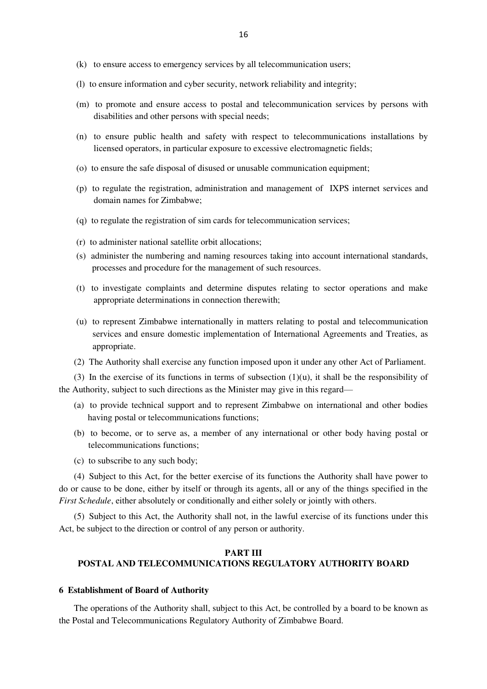- (k) to ensure access to emergency services by all telecommunication users;
- (l) to ensure information and cyber security, network reliability and integrity;
- (m) to promote and ensure access to postal and telecommunication services by persons with disabilities and other persons with special needs;
- (n) to ensure public health and safety with respect to telecommunications installations by licensed operators, in particular exposure to excessive electromagnetic fields;
- (o) to ensure the safe disposal of disused or unusable communication equipment;
- (p) to regulate the registration, administration and management of IXPS internet services and domain names for Zimbabwe;
- (q) to regulate the registration of sim cards for telecommunication services;
- (r) to administer national satellite orbit allocations;
- (s) administer the numbering and naming resources taking into account international standards, processes and procedure for the management of such resources.
- (t) to investigate complaints and determine disputes relating to sector operations and make appropriate determinations in connection therewith;
- (u) to represent Zimbabwe internationally in matters relating to postal and telecommunication services and ensure domestic implementation of International Agreements and Treaties, as appropriate.
- (2) The Authority shall exercise any function imposed upon it under any other Act of Parliament.

(3) In the exercise of its functions in terms of subsection  $(1)(u)$ , it shall be the responsibility of the Authority, subject to such directions as the Minister may give in this regard—

- (a) to provide technical support and to represent Zimbabwe on international and other bodies having postal or telecommunications functions;
- (b) to become, or to serve as, a member of any international or other body having postal or telecommunications functions;
- (c) to subscribe to any such body;

(4) Subject to this Act, for the better exercise of its functions the Authority shall have power to do or cause to be done, either by itself or through its agents, all or any of the things specified in the *First Schedule*, either absolutely or conditionally and either solely or jointly with others.

(5) Subject to this Act, the Authority shall not, in the lawful exercise of its functions under this Act, be subject to the direction or control of any person or authority.

# **PART III POSTAL AND TELECOMMUNICATIONS REGULATORY AUTHORITY BOARD**

#### **6 Establishment of Board of Authority**

The operations of the Authority shall, subject to this Act, be controlled by a board to be known as the Postal and Telecommunications Regulatory Authority of Zimbabwe Board.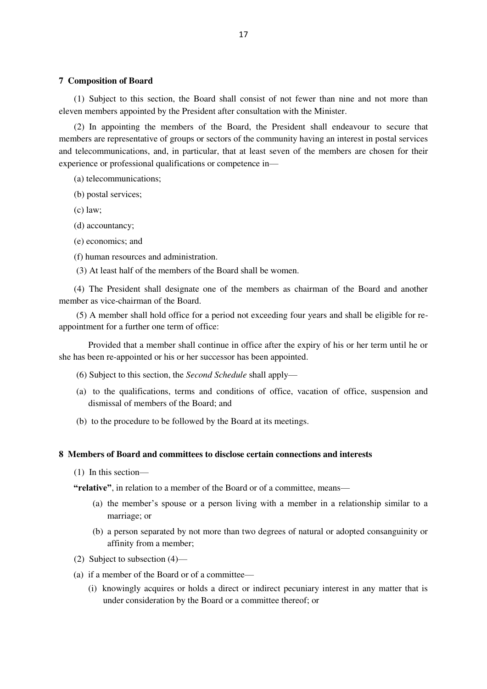#### **7 Composition of Board**

(1) Subject to this section, the Board shall consist of not fewer than nine and not more than eleven members appointed by the President after consultation with the Minister.

(2) In appointing the members of the Board, the President shall endeavour to secure that members are representative of groups or sectors of the community having an interest in postal services and telecommunications, and, in particular, that at least seven of the members are chosen for their experience or professional qualifications or competence in—

- (a) telecommunications;
- (b) postal services;
- (c) law;
- (d) accountancy;
- (e) economics; and
- (f) human resources and administration.
- (3) At least half of the members of the Board shall be women.

(4) The President shall designate one of the members as chairman of the Board and another member as vice-chairman of the Board.

(5) A member shall hold office for a period not exceeding four years and shall be eligible for reappointment for a further one term of office:

Provided that a member shall continue in office after the expiry of his or her term until he or she has been re-appointed or his or her successor has been appointed.

- (6) Subject to this section, the *Second Schedule* shall apply—
- (a) to the qualifications, terms and conditions of office, vacation of office, suspension and dismissal of members of the Board; and
- (b) to the procedure to be followed by the Board at its meetings.

# **8 Members of Board and committees to disclose certain connections and interests**

(1) In this section—

**"relative"**, in relation to a member of the Board or of a committee, means—

- (a) the member's spouse or a person living with a member in a relationship similar to a marriage; or
- (b) a person separated by not more than two degrees of natural or adopted consanguinity or affinity from a member;
- (2) Subject to subsection (4)—
- (a) if a member of the Board or of a committee—
	- (i) knowingly acquires or holds a direct or indirect pecuniary interest in any matter that is under consideration by the Board or a committee thereof; or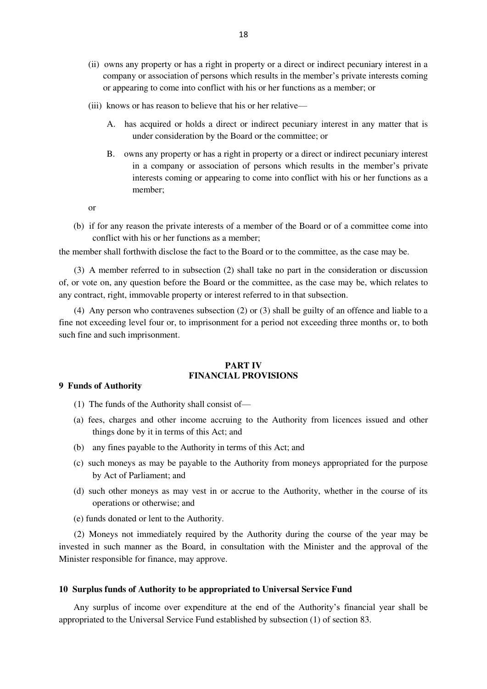- (ii) owns any property or has a right in property or a direct or indirect pecuniary interest in a company or association of persons which results in the member's private interests coming or appearing to come into conflict with his or her functions as a member; or
- (iii) knows or has reason to believe that his or her relative—
	- A. has acquired or holds a direct or indirect pecuniary interest in any matter that is under consideration by the Board or the committee; or
	- B. owns any property or has a right in property or a direct or indirect pecuniary interest in a company or association of persons which results in the member's private interests coming or appearing to come into conflict with his or her functions as a member;

or

(b) if for any reason the private interests of a member of the Board or of a committee come into conflict with his or her functions as a member;

the member shall forthwith disclose the fact to the Board or to the committee, as the case may be.

(3) A member referred to in subsection (2) shall take no part in the consideration or discussion of, or vote on, any question before the Board or the committee, as the case may be, which relates to any contract, right, immovable property or interest referred to in that subsection.

(4) Any person who contravenes subsection (2) or (3) shall be guilty of an offence and liable to a fine not exceeding level four or, to imprisonment for a period not exceeding three months or, to both such fine and such imprisonment.

#### **PART IV FINANCIAL PROVISIONS**

## **9 Funds of Authority**

- (1) The funds of the Authority shall consist of—
- (a) fees, charges and other income accruing to the Authority from licences issued and other things done by it in terms of this Act; and
- (b) any fines payable to the Authority in terms of this Act; and
- (c) such moneys as may be payable to the Authority from moneys appropriated for the purpose by Act of Parliament; and
- (d) such other moneys as may vest in or accrue to the Authority, whether in the course of its operations or otherwise; and
- (e) funds donated or lent to the Authority.

(2) Moneys not immediately required by the Authority during the course of the year may be invested in such manner as the Board, in consultation with the Minister and the approval of the Minister responsible for finance, may approve.

#### **10 Surplus funds of Authority to be appropriated to Universal Service Fund**

Any surplus of income over expenditure at the end of the Authority's financial year shall be appropriated to the Universal Service Fund established by subsection (1) of section 83.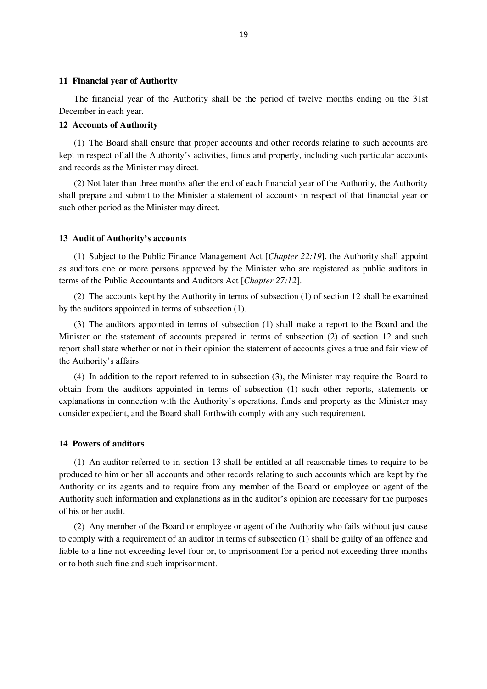#### **11 Financial year of Authority**

The financial year of the Authority shall be the period of twelve months ending on the 31st December in each year.

## **12 Accounts of Authority**

(1) The Board shall ensure that proper accounts and other records relating to such accounts are kept in respect of all the Authority's activities, funds and property, including such particular accounts and records as the Minister may direct.

(2) Not later than three months after the end of each financial year of the Authority, the Authority shall prepare and submit to the Minister a statement of accounts in respect of that financial year or such other period as the Minister may direct.

## **13 Audit of Authority's accounts**

(1) Subject to the Public Finance Management Act [*Chapter 22:19*], the Authority shall appoint as auditors one or more persons approved by the Minister who are registered as public auditors in terms of the Public Accountants and Auditors Act [*Chapter 27:12*].

(2) The accounts kept by the Authority in terms of subsection (1) of section 12 shall be examined by the auditors appointed in terms of subsection (1).

(3) The auditors appointed in terms of subsection (1) shall make a report to the Board and the Minister on the statement of accounts prepared in terms of subsection (2) of section 12 and such report shall state whether or not in their opinion the statement of accounts gives a true and fair view of the Authority's affairs.

(4) In addition to the report referred to in subsection (3), the Minister may require the Board to obtain from the auditors appointed in terms of subsection (1) such other reports, statements or explanations in connection with the Authority's operations, funds and property as the Minister may consider expedient, and the Board shall forthwith comply with any such requirement.

# **14 Powers of auditors**

(1) An auditor referred to in section 13 shall be entitled at all reasonable times to require to be produced to him or her all accounts and other records relating to such accounts which are kept by the Authority or its agents and to require from any member of the Board or employee or agent of the Authority such information and explanations as in the auditor's opinion are necessary for the purposes of his or her audit.

(2) Any member of the Board or employee or agent of the Authority who fails without just cause to comply with a requirement of an auditor in terms of subsection (1) shall be guilty of an offence and liable to a fine not exceeding level four or, to imprisonment for a period not exceeding three months or to both such fine and such imprisonment.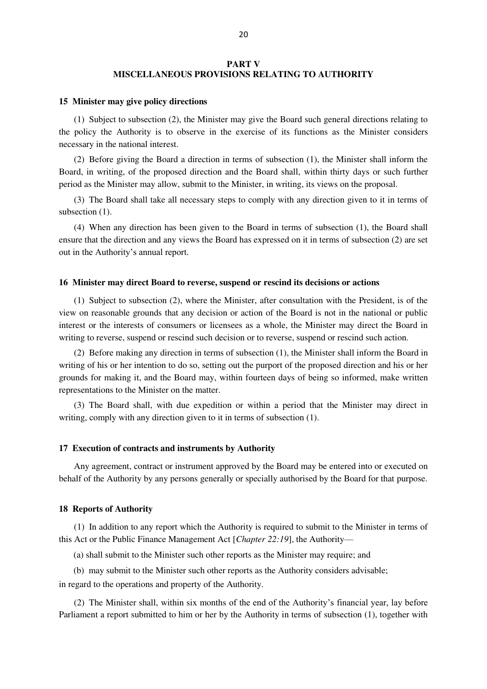# **PART V MISCELLANEOUS PROVISIONS RELATING TO AUTHORITY**

#### **15 Minister may give policy directions**

(1) Subject to subsection (2), the Minister may give the Board such general directions relating to the policy the Authority is to observe in the exercise of its functions as the Minister considers necessary in the national interest.

(2) Before giving the Board a direction in terms of subsection (1), the Minister shall inform the Board, in writing, of the proposed direction and the Board shall, within thirty days or such further period as the Minister may allow, submit to the Minister, in writing, its views on the proposal.

(3) The Board shall take all necessary steps to comply with any direction given to it in terms of subsection (1).

(4) When any direction has been given to the Board in terms of subsection (1), the Board shall ensure that the direction and any views the Board has expressed on it in terms of subsection (2) are set out in the Authority's annual report.

#### **16 Minister may direct Board to reverse, suspend or rescind its decisions or actions**

(1) Subject to subsection (2), where the Minister, after consultation with the President, is of the view on reasonable grounds that any decision or action of the Board is not in the national or public interest or the interests of consumers or licensees as a whole, the Minister may direct the Board in writing to reverse, suspend or rescind such decision or to reverse, suspend or rescind such action.

(2) Before making any direction in terms of subsection (1), the Minister shall inform the Board in writing of his or her intention to do so, setting out the purport of the proposed direction and his or her grounds for making it, and the Board may, within fourteen days of being so informed, make written representations to the Minister on the matter.

(3) The Board shall, with due expedition or within a period that the Minister may direct in writing, comply with any direction given to it in terms of subsection (1).

## **17 Execution of contracts and instruments by Authority**

Any agreement, contract or instrument approved by the Board may be entered into or executed on behalf of the Authority by any persons generally or specially authorised by the Board for that purpose.

#### **18 Reports of Authority**

(1) In addition to any report which the Authority is required to submit to the Minister in terms of this Act or the Public Finance Management Act [*Chapter 22:19*], the Authority—

(a) shall submit to the Minister such other reports as the Minister may require; and

(b) may submit to the Minister such other reports as the Authority considers advisable;

in regard to the operations and property of the Authority.

(2) The Minister shall, within six months of the end of the Authority's financial year, lay before Parliament a report submitted to him or her by the Authority in terms of subsection (1), together with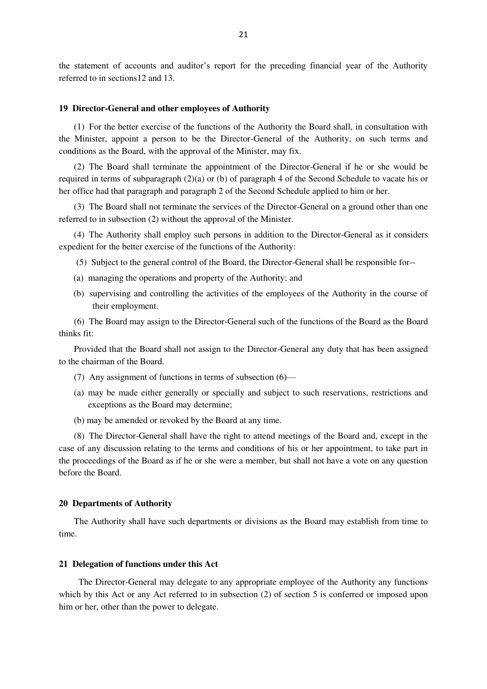the statement of accounts and auditor's report for the preceding financial year of the Authority referred to in sections12 and 13.

#### **19 Director-General and other employees of Authority**

(1) For the better exercise of the functions of the Authority the Board shall, in consultation with the Minister, appoint a person to be the Director-General of the Authority, on such terms and conditions as the Board, with the approval of the Minister, may fix.

(2) The Board shall terminate the appointment of the Director-General if he or she would be required in terms of subparagraph (2)(a) or (b) of paragraph 4 of the Second Schedule to vacate his or her office had that paragraph and paragraph 2 of the Second Schedule applied to him or her.

(3) The Board shall not terminate the services of the Director-General on a ground other than one referred to in subsection (2) without the approval of the Minister.

(4) The Authority shall employ such persons in addition to the Director-General as it considers expedient for the better exercise of the functions of the Authority:

(5) Subject to the general control of the Board, the Director-General shall be responsible for--

- (a) managing the operations and property of the Authority; and
- (b) supervising and controlling the activities of the employees of the Authority in the course of their employment.

(6) The Board may assign to the Director-General such of the functions of the Board as the Board thinks fit:

Provided that the Board shall not assign to the Director-General any duty that has been assigned to the chairman of the Board.

- (7) Any assignment of functions in terms of subsection (6)—
- (a) may be made either generally or specially and subject to such reservations, restrictions and exceptions as the Board may determine;
- (b) may be amended or revoked by the Board at any time.

(8) The Director-General shall have the right to attend meetings of the Board and, except in the case of any discussion relating to the terms and conditions of his or her appointment, to take part in the proceedings of the Board as if he or she were a member, but shall not have a vote on any question before the Board.

#### **20 Departments of Authority**

The Authority shall have such departments or divisions as the Board may establish from time to time.

#### **21 Delegation of functions under this Act**

 The Director-General may delegate to any appropriate employee of the Authority any functions which by this Act or any Act referred to in subsection (2) of section 5 is conferred or imposed upon him or her, other than the power to delegate.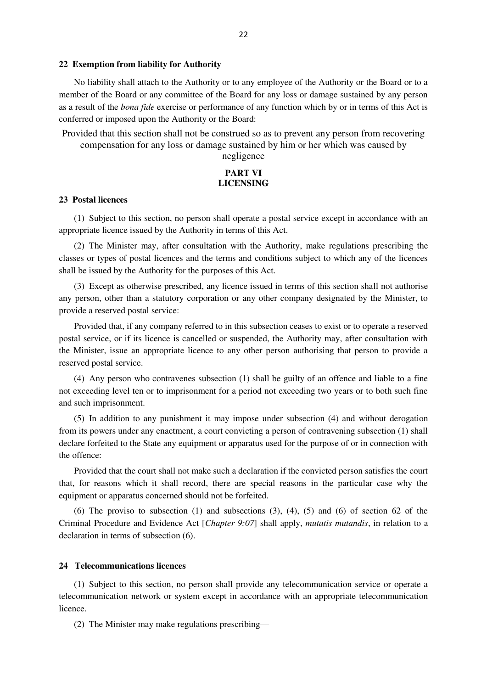#### **22 Exemption from liability for Authority**

No liability shall attach to the Authority or to any employee of the Authority or the Board or to a member of the Board or any committee of the Board for any loss or damage sustained by any person as a result of the *bona fide* exercise or performance of any function which by or in terms of this Act is conferred or imposed upon the Authority or the Board:

Provided that this section shall not be construed so as to prevent any person from recovering compensation for any loss or damage sustained by him or her which was caused by

negligence

# **PART VI LICENSING**

#### **23 Postal licences**

(1) Subject to this section, no person shall operate a postal service except in accordance with an appropriate licence issued by the Authority in terms of this Act.

(2) The Minister may, after consultation with the Authority, make regulations prescribing the classes or types of postal licences and the terms and conditions subject to which any of the licences shall be issued by the Authority for the purposes of this Act.

(3) Except as otherwise prescribed, any licence issued in terms of this section shall not authorise any person, other than a statutory corporation or any other company designated by the Minister, to provide a reserved postal service:

Provided that, if any company referred to in this subsection ceases to exist or to operate a reserved postal service, or if its licence is cancelled or suspended, the Authority may, after consultation with the Minister, issue an appropriate licence to any other person authorising that person to provide a reserved postal service.

(4) Any person who contravenes subsection (1) shall be guilty of an offence and liable to a fine not exceeding level ten or to imprisonment for a period not exceeding two years or to both such fine and such imprisonment.

(5) In addition to any punishment it may impose under subsection (4) and without derogation from its powers under any enactment, a court convicting a person of contravening subsection (1) shall declare forfeited to the State any equipment or apparatus used for the purpose of or in connection with the offence:

Provided that the court shall not make such a declaration if the convicted person satisfies the court that, for reasons which it shall record, there are special reasons in the particular case why the equipment or apparatus concerned should not be forfeited.

(6) The proviso to subsection (1) and subsections  $(3)$ ,  $(4)$ ,  $(5)$  and  $(6)$  of section 62 of the Criminal Procedure and Evidence Act [*Chapter 9:07*] shall apply, *mutatis mutandis*, in relation to a declaration in terms of subsection (6).

## **24 Telecommunications licences**

(1) Subject to this section, no person shall provide any telecommunication service or operate a telecommunication network or system except in accordance with an appropriate telecommunication licence.

(2) The Minister may make regulations prescribing—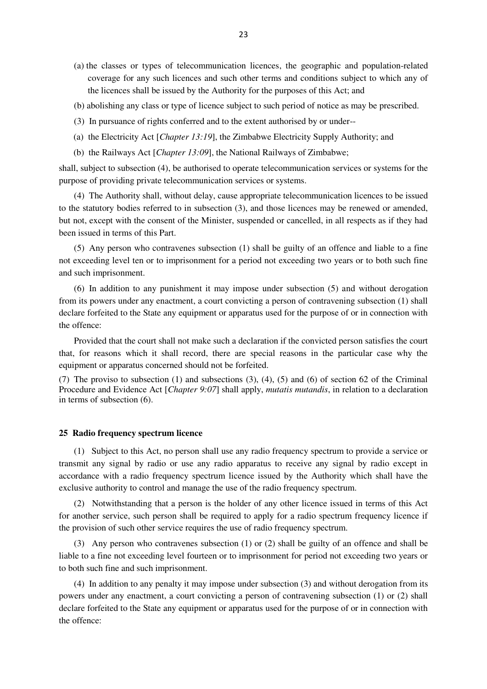- (a) the classes or types of telecommunication licences, the geographic and population-related coverage for any such licences and such other terms and conditions subject to which any of the licences shall be issued by the Authority for the purposes of this Act; and
- (b) abolishing any class or type of licence subject to such period of notice as may be prescribed.
- (3) In pursuance of rights conferred and to the extent authorised by or under--
- (a) the Electricity Act [*Chapter 13:19*], the Zimbabwe Electricity Supply Authority; and
- (b) the Railways Act [*Chapter 13:09*], the National Railways of Zimbabwe;

shall, subject to subsection (4), be authorised to operate telecommunication services or systems for the purpose of providing private telecommunication services or systems.

(4) The Authority shall, without delay, cause appropriate telecommunication licences to be issued to the statutory bodies referred to in subsection (3), and those licences may be renewed or amended, but not, except with the consent of the Minister, suspended or cancelled, in all respects as if they had been issued in terms of this Part.

(5) Any person who contravenes subsection (1) shall be guilty of an offence and liable to a fine not exceeding level ten or to imprisonment for a period not exceeding two years or to both such fine and such imprisonment.

(6) In addition to any punishment it may impose under subsection (5) and without derogation from its powers under any enactment, a court convicting a person of contravening subsection (1) shall declare forfeited to the State any equipment or apparatus used for the purpose of or in connection with the offence:

Provided that the court shall not make such a declaration if the convicted person satisfies the court that, for reasons which it shall record, there are special reasons in the particular case why the equipment or apparatus concerned should not be forfeited.

(7) The proviso to subsection (1) and subsections (3), (4), (5) and (6) of section 62 of the Criminal Procedure and Evidence Act [*Chapter 9:07*] shall apply, *mutatis mutandis*, in relation to a declaration in terms of subsection (6).

#### **25 Radio frequency spectrum licence**

(1) Subject to this Act, no person shall use any radio frequency spectrum to provide a service or transmit any signal by radio or use any radio apparatus to receive any signal by radio except in accordance with a radio frequency spectrum licence issued by the Authority which shall have the exclusive authority to control and manage the use of the radio frequency spectrum.

(2) Notwithstanding that a person is the holder of any other licence issued in terms of this Act for another service, such person shall be required to apply for a radio spectrum frequency licence if the provision of such other service requires the use of radio frequency spectrum.

(3) Any person who contravenes subsection (1) or (2) shall be guilty of an offence and shall be liable to a fine not exceeding level fourteen or to imprisonment for period not exceeding two years or to both such fine and such imprisonment.

(4) In addition to any penalty it may impose under subsection (3) and without derogation from its powers under any enactment, a court convicting a person of contravening subsection (1) or (2) shall declare forfeited to the State any equipment or apparatus used for the purpose of or in connection with the offence: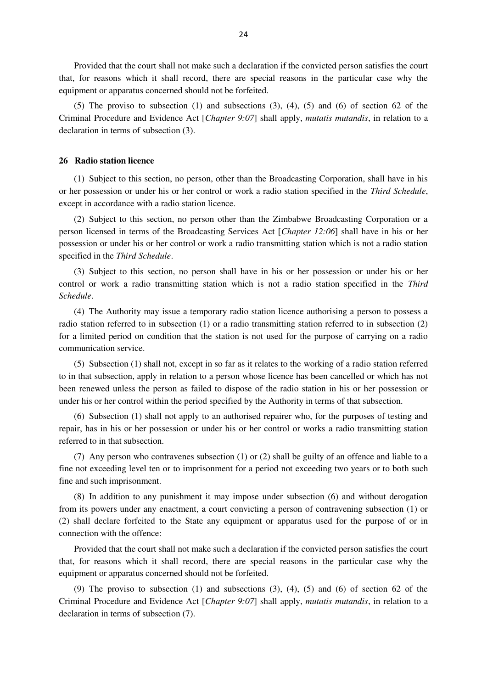Provided that the court shall not make such a declaration if the convicted person satisfies the court that, for reasons which it shall record, there are special reasons in the particular case why the equipment or apparatus concerned should not be forfeited.

(5) The proviso to subsection (1) and subsections (3), (4), (5) and (6) of section 62 of the Criminal Procedure and Evidence Act [*Chapter 9:07*] shall apply, *mutatis mutandis*, in relation to a declaration in terms of subsection (3).

## **26 Radio station licence**

(1) Subject to this section, no person, other than the Broadcasting Corporation, shall have in his or her possession or under his or her control or work a radio station specified in the *Third Schedule*, except in accordance with a radio station licence.

(2) Subject to this section, no person other than the Zimbabwe Broadcasting Corporation or a person licensed in terms of the Broadcasting Services Act [*Chapter 12:06*] shall have in his or her possession or under his or her control or work a radio transmitting station which is not a radio station specified in the *Third Schedule*.

(3) Subject to this section, no person shall have in his or her possession or under his or her control or work a radio transmitting station which is not a radio station specified in the *Third Schedule*.

(4) The Authority may issue a temporary radio station licence authorising a person to possess a radio station referred to in subsection (1) or a radio transmitting station referred to in subsection (2) for a limited period on condition that the station is not used for the purpose of carrying on a radio communication service.

(5) Subsection (1) shall not, except in so far as it relates to the working of a radio station referred to in that subsection, apply in relation to a person whose licence has been cancelled or which has not been renewed unless the person as failed to dispose of the radio station in his or her possession or under his or her control within the period specified by the Authority in terms of that subsection.

(6) Subsection (1) shall not apply to an authorised repairer who, for the purposes of testing and repair, has in his or her possession or under his or her control or works a radio transmitting station referred to in that subsection.

(7) Any person who contravenes subsection (1) or (2) shall be guilty of an offence and liable to a fine not exceeding level ten or to imprisonment for a period not exceeding two years or to both such fine and such imprisonment.

(8) In addition to any punishment it may impose under subsection (6) and without derogation from its powers under any enactment, a court convicting a person of contravening subsection (1) or (2) shall declare forfeited to the State any equipment or apparatus used for the purpose of or in connection with the offence:

Provided that the court shall not make such a declaration if the convicted person satisfies the court that, for reasons which it shall record, there are special reasons in the particular case why the equipment or apparatus concerned should not be forfeited.

(9) The proviso to subsection (1) and subsections  $(3)$ ,  $(4)$ ,  $(5)$  and  $(6)$  of section  $62$  of the Criminal Procedure and Evidence Act [*Chapter 9:07*] shall apply, *mutatis mutandis*, in relation to a declaration in terms of subsection (7).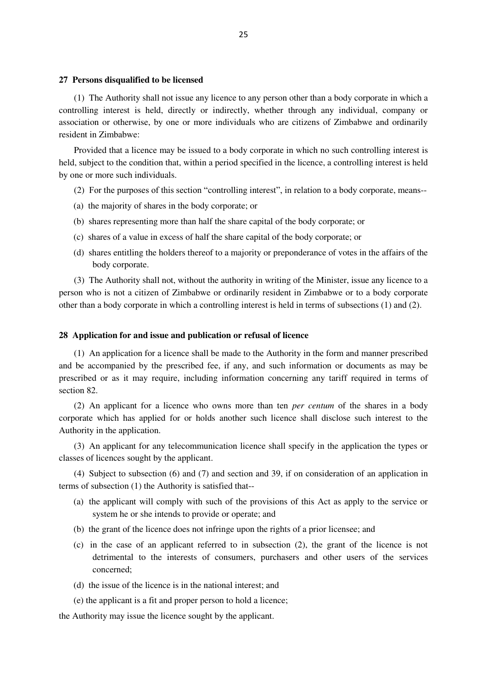#### **27 Persons disqualified to be licensed**

(1) The Authority shall not issue any licence to any person other than a body corporate in which a controlling interest is held, directly or indirectly, whether through any individual, company or association or otherwise, by one or more individuals who are citizens of Zimbabwe and ordinarily resident in Zimbabwe:

Provided that a licence may be issued to a body corporate in which no such controlling interest is held, subject to the condition that, within a period specified in the licence, a controlling interest is held by one or more such individuals.

- (2) For the purposes of this section "controlling interest", in relation to a body corporate, means--
- (a) the majority of shares in the body corporate; or
- (b) shares representing more than half the share capital of the body corporate; or
- (c) shares of a value in excess of half the share capital of the body corporate; or
- (d) shares entitling the holders thereof to a majority or preponderance of votes in the affairs of the body corporate.

(3) The Authority shall not, without the authority in writing of the Minister, issue any licence to a person who is not a citizen of Zimbabwe or ordinarily resident in Zimbabwe or to a body corporate other than a body corporate in which a controlling interest is held in terms of subsections (1) and (2).

# **28 Application for and issue and publication or refusal of licence**

(1) An application for a licence shall be made to the Authority in the form and manner prescribed and be accompanied by the prescribed fee, if any, and such information or documents as may be prescribed or as it may require, including information concerning any tariff required in terms of section 82.

(2) An applicant for a licence who owns more than ten *per centum* of the shares in a body corporate which has applied for or holds another such licence shall disclose such interest to the Authority in the application.

(3) An applicant for any telecommunication licence shall specify in the application the types or classes of licences sought by the applicant.

(4) Subject to subsection (6) and (7) and section and 39, if on consideration of an application in terms of subsection (1) the Authority is satisfied that--

- (a) the applicant will comply with such of the provisions of this Act as apply to the service or system he or she intends to provide or operate; and
- (b) the grant of the licence does not infringe upon the rights of a prior licensee; and
- (c) in the case of an applicant referred to in subsection (2), the grant of the licence is not detrimental to the interests of consumers, purchasers and other users of the services concerned;
- (d) the issue of the licence is in the national interest; and
- (e) the applicant is a fit and proper person to hold a licence;

the Authority may issue the licence sought by the applicant.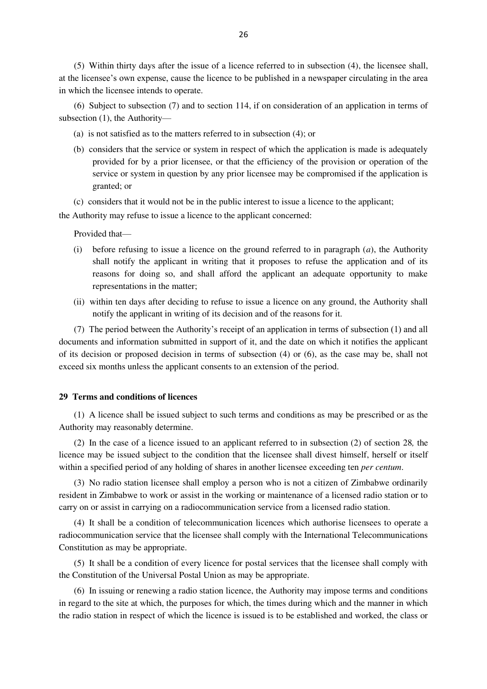(5) Within thirty days after the issue of a licence referred to in subsection (4), the licensee shall, at the licensee's own expense, cause the licence to be published in a newspaper circulating in the area in which the licensee intends to operate.

(6) Subject to subsection (7) and to section 114, if on consideration of an application in terms of subsection (1), the Authority—

- (a) is not satisfied as to the matters referred to in subsection (4); or
- (b) considers that the service or system in respect of which the application is made is adequately provided for by a prior licensee, or that the efficiency of the provision or operation of the service or system in question by any prior licensee may be compromised if the application is granted; or

(c) considers that it would not be in the public interest to issue a licence to the applicant;

the Authority may refuse to issue a licence to the applicant concerned:

Provided that—

- (i) before refusing to issue a licence on the ground referred to in paragraph (*a*), the Authority shall notify the applicant in writing that it proposes to refuse the application and of its reasons for doing so, and shall afford the applicant an adequate opportunity to make representations in the matter;
- (ii) within ten days after deciding to refuse to issue a licence on any ground, the Authority shall notify the applicant in writing of its decision and of the reasons for it.

(7) The period between the Authority's receipt of an application in terms of subsection (1) and all documents and information submitted in support of it, and the date on which it notifies the applicant of its decision or proposed decision in terms of subsection (4) or (6), as the case may be, shall not exceed six months unless the applicant consents to an extension of the period.

## **29 Terms and conditions of licences**

(1) A licence shall be issued subject to such terms and conditions as may be prescribed or as the Authority may reasonably determine.

(2) In the case of a licence issued to an applicant referred to in subsection (2) of section 28*,* the licence may be issued subject to the condition that the licensee shall divest himself, herself or itself within a specified period of any holding of shares in another licensee exceeding ten *per centum*.

(3) No radio station licensee shall employ a person who is not a citizen of Zimbabwe ordinarily resident in Zimbabwe to work or assist in the working or maintenance of a licensed radio station or to carry on or assist in carrying on a radiocommunication service from a licensed radio station.

(4) It shall be a condition of telecommunication licences which authorise licensees to operate a radiocommunication service that the licensee shall comply with the International Telecommunications Constitution as may be appropriate.

(5) It shall be a condition of every licence for postal services that the licensee shall comply with the Constitution of the Universal Postal Union as may be appropriate.

(6) In issuing or renewing a radio station licence, the Authority may impose terms and conditions in regard to the site at which, the purposes for which, the times during which and the manner in which the radio station in respect of which the licence is issued is to be established and worked, the class or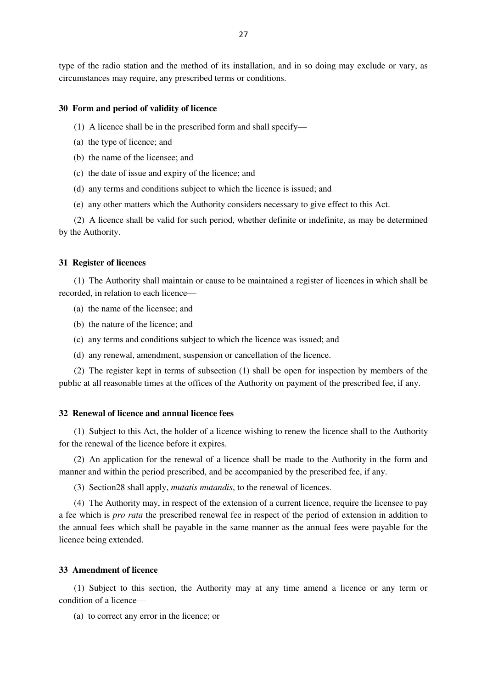type of the radio station and the method of its installation, and in so doing may exclude or vary, as circumstances may require, any prescribed terms or conditions.

#### **30 Form and period of validity of licence**

- (1) A licence shall be in the prescribed form and shall specify—
- (a) the type of licence; and
- (b) the name of the licensee; and
- (c) the date of issue and expiry of the licence; and
- (d) any terms and conditions subject to which the licence is issued; and
- (e) any other matters which the Authority considers necessary to give effect to this Act.

(2) A licence shall be valid for such period, whether definite or indefinite, as may be determined by the Authority.

#### **31 Register of licences**

(1) The Authority shall maintain or cause to be maintained a register of licences in which shall be recorded, in relation to each licence—

- (a) the name of the licensee; and
- (b) the nature of the licence; and
- (c) any terms and conditions subject to which the licence was issued; and
- (d) any renewal, amendment, suspension or cancellation of the licence.

(2) The register kept in terms of subsection (1) shall be open for inspection by members of the public at all reasonable times at the offices of the Authority on payment of the prescribed fee, if any.

#### **32 Renewal of licence and annual licence fees**

(1) Subject to this Act, the holder of a licence wishing to renew the licence shall to the Authority for the renewal of the licence before it expires.

(2) An application for the renewal of a licence shall be made to the Authority in the form and manner and within the period prescribed, and be accompanied by the prescribed fee, if any.

(3) Section28 shall apply, *mutatis mutandis*, to the renewal of licences.

(4) The Authority may, in respect of the extension of a current licence, require the licensee to pay a fee which is *pro rata* the prescribed renewal fee in respect of the period of extension in addition to the annual fees which shall be payable in the same manner as the annual fees were payable for the licence being extended.

# **33 Amendment of licence**

(1) Subject to this section, the Authority may at any time amend a licence or any term or condition of a licence—

(a) to correct any error in the licence; or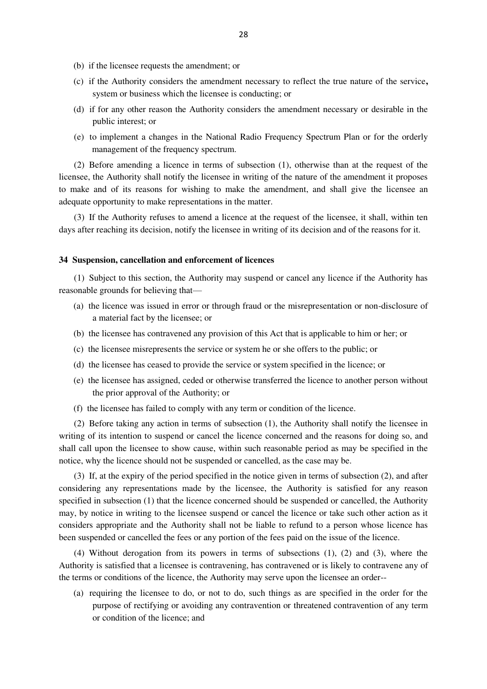- (b) if the licensee requests the amendment; or
- (c) if the Authority considers the amendment necessary to reflect the true nature of the service**,**  system or business which the licensee is conducting; or
- (d) if for any other reason the Authority considers the amendment necessary or desirable in the public interest; or
- (e) to implement a changes in the National Radio Frequency Spectrum Plan or for the orderly management of the frequency spectrum.

(2) Before amending a licence in terms of subsection (1), otherwise than at the request of the licensee, the Authority shall notify the licensee in writing of the nature of the amendment it proposes to make and of its reasons for wishing to make the amendment, and shall give the licensee an adequate opportunity to make representations in the matter.

(3) If the Authority refuses to amend a licence at the request of the licensee, it shall, within ten days after reaching its decision, notify the licensee in writing of its decision and of the reasons for it.

#### **34 Suspension, cancellation and enforcement of licences**

(1) Subject to this section, the Authority may suspend or cancel any licence if the Authority has reasonable grounds for believing that—

- (a) the licence was issued in error or through fraud or the misrepresentation or non-disclosure of a material fact by the licensee; or
- (b) the licensee has contravened any provision of this Act that is applicable to him or her; or
- (c) the licensee misrepresents the service or system he or she offers to the public; or
- (d) the licensee has ceased to provide the service or system specified in the licence; or
- (e) the licensee has assigned, ceded or otherwise transferred the licence to another person without the prior approval of the Authority; or
- (f) the licensee has failed to comply with any term or condition of the licence.

(2) Before taking any action in terms of subsection (1), the Authority shall notify the licensee in writing of its intention to suspend or cancel the licence concerned and the reasons for doing so, and shall call upon the licensee to show cause, within such reasonable period as may be specified in the notice, why the licence should not be suspended or cancelled, as the case may be.

(3) If, at the expiry of the period specified in the notice given in terms of subsection (2), and after considering any representations made by the licensee, the Authority is satisfied for any reason specified in subsection (1) that the licence concerned should be suspended or cancelled, the Authority may, by notice in writing to the licensee suspend or cancel the licence or take such other action as it considers appropriate and the Authority shall not be liable to refund to a person whose licence has been suspended or cancelled the fees or any portion of the fees paid on the issue of the licence.

(4) Without derogation from its powers in terms of subsections (1), (2) and (3), where the Authority is satisfied that a licensee is contravening, has contravened or is likely to contravene any of the terms or conditions of the licence, the Authority may serve upon the licensee an order--

(a) requiring the licensee to do, or not to do, such things as are specified in the order for the purpose of rectifying or avoiding any contravention or threatened contravention of any term or condition of the licence; and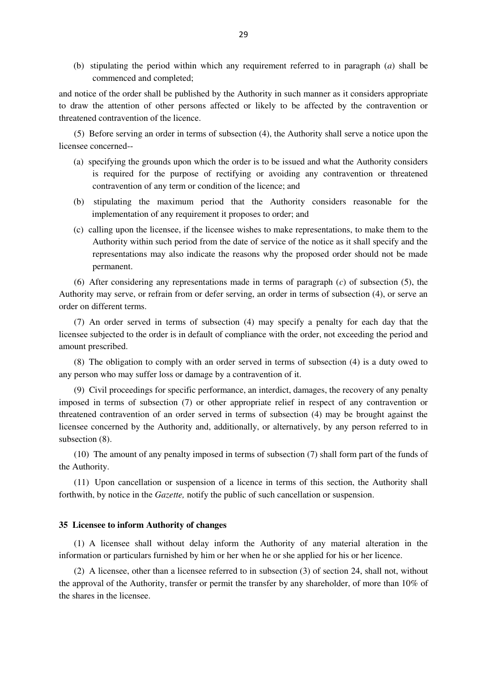(b) stipulating the period within which any requirement referred to in paragraph (*a*) shall be commenced and completed;

and notice of the order shall be published by the Authority in such manner as it considers appropriate to draw the attention of other persons affected or likely to be affected by the contravention or threatened contravention of the licence.

(5) Before serving an order in terms of subsection (4), the Authority shall serve a notice upon the licensee concerned--

- (a) specifying the grounds upon which the order is to be issued and what the Authority considers is required for the purpose of rectifying or avoiding any contravention or threatened contravention of any term or condition of the licence; and
- (b) stipulating the maximum period that the Authority considers reasonable for the implementation of any requirement it proposes to order; and
- (c) calling upon the licensee, if the licensee wishes to make representations, to make them to the Authority within such period from the date of service of the notice as it shall specify and the representations may also indicate the reasons why the proposed order should not be made permanent.

(6) After considering any representations made in terms of paragraph (*c*) of subsection (5), the Authority may serve, or refrain from or defer serving, an order in terms of subsection (4), or serve an order on different terms.

(7) An order served in terms of subsection (4) may specify a penalty for each day that the licensee subjected to the order is in default of compliance with the order, not exceeding the period and amount prescribed.

(8) The obligation to comply with an order served in terms of subsection (4) is a duty owed to any person who may suffer loss or damage by a contravention of it.

(9) Civil proceedings for specific performance, an interdict, damages, the recovery of any penalty imposed in terms of subsection (7) or other appropriate relief in respect of any contravention or threatened contravention of an order served in terms of subsection (4) may be brought against the licensee concerned by the Authority and, additionally, or alternatively, by any person referred to in subsection (8).

(10) The amount of any penalty imposed in terms of subsection (7) shall form part of the funds of the Authority.

(11) Upon cancellation or suspension of a licence in terms of this section, the Authority shall forthwith, by notice in the *Gazette,* notify the public of such cancellation or suspension.

## **35 Licensee to inform Authority of changes**

(1) A licensee shall without delay inform the Authority of any material alteration in the information or particulars furnished by him or her when he or she applied for his or her licence.

(2) A licensee, other than a licensee referred to in subsection (3) of section 24, shall not, without the approval of the Authority, transfer or permit the transfer by any shareholder, of more than 10% of the shares in the licensee.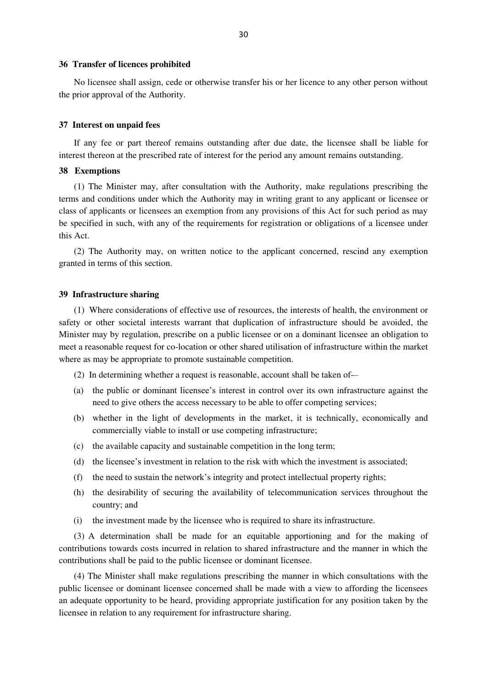#### **36 Transfer of licences prohibited**

No licensee shall assign, cede or otherwise transfer his or her licence to any other person without the prior approval of the Authority.

#### **37 Interest on unpaid fees**

If any fee or part thereof remains outstanding after due date, the licensee shall be liable for interest thereon at the prescribed rate of interest for the period any amount remains outstanding.

## **38 Exemptions**

(1) The Minister may, after consultation with the Authority, make regulations prescribing the terms and conditions under which the Authority may in writing grant to any applicant or licensee or class of applicants or licensees an exemption from any provisions of this Act for such period as may be specified in such, with any of the requirements for registration or obligations of a licensee under this Act.

(2) The Authority may, on written notice to the applicant concerned, rescind any exemption granted in terms of this section.

### **39 Infrastructure sharing**

(1) Where considerations of effective use of resources, the interests of health, the environment or safety or other societal interests warrant that duplication of infrastructure should be avoided, the Minister may by regulation, prescribe on a public licensee or on a dominant licensee an obligation to meet a reasonable request for co-location or other shared utilisation of infrastructure within the market where as may be appropriate to promote sustainable competition.

- (2) In determining whether a request is reasonable, account shall be taken of-–
- (a) the public or dominant licensee's interest in control over its own infrastructure against the need to give others the access necessary to be able to offer competing services;
- (b) whether in the light of developments in the market, it is technically, economically and commercially viable to install or use competing infrastructure;
- (c) the available capacity and sustainable competition in the long term;
- (d) the licensee's investment in relation to the risk with which the investment is associated;
- (f) the need to sustain the network's integrity and protect intellectual property rights;
- (h) the desirability of securing the availability of telecommunication services throughout the country; and
- (i) the investment made by the licensee who is required to share its infrastructure.

(3) A determination shall be made for an equitable apportioning and for the making of contributions towards costs incurred in relation to shared infrastructure and the manner in which the contributions shall be paid to the public licensee or dominant licensee.

(4) The Minister shall make regulations prescribing the manner in which consultations with the public licensee or dominant licensee concerned shall be made with a view to affording the licensees an adequate opportunity to be heard, providing appropriate justification for any position taken by the licensee in relation to any requirement for infrastructure sharing.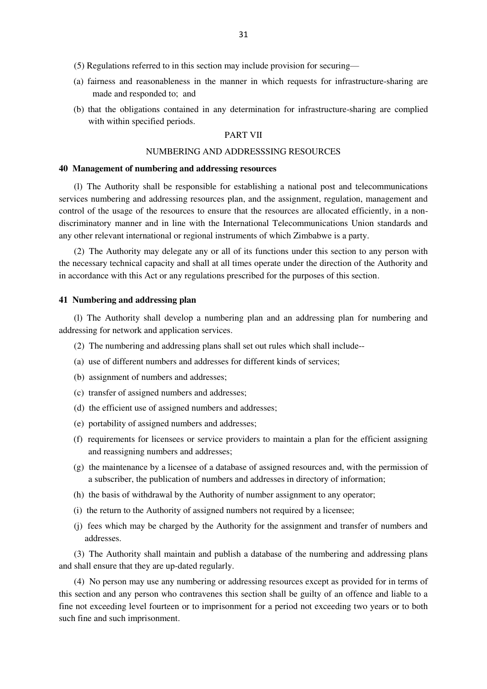- (5) Regulations referred to in this section may include provision for securing—
- (a) fairness and reasonableness in the manner in which requests for infrastructure-sharing are made and responded to; and
- (b) that the obligations contained in any determination for infrastructure-sharing are complied with within specified periods.

# PART VII

## NUMBERING AND ADDRESSSING RESOURCES

#### **40 Management of numbering and addressing resources**

(l) The Authority shall be responsible for establishing a national post and telecommunications services numbering and addressing resources plan, and the assignment, regulation, management and control of the usage of the resources to ensure that the resources are allocated efficiently, in a nondiscriminatory manner and in line with the International Telecommunications Union standards and any other relevant international or regional instruments of which Zimbabwe is a party.

(2) The Authority may delegate any or all of its functions under this section to any person with the necessary technical capacity and shall at all times operate under the direction of the Authority and in accordance with this Act or any regulations prescribed for the purposes of this section.

## **41 Numbering and addressing plan**

(l) The Authority shall develop a numbering plan and an addressing plan for numbering and addressing for network and application services.

- (2) The numbering and addressing plans shall set out rules which shall include--
- (a) use of different numbers and addresses for different kinds of services;
- (b) assignment of numbers and addresses;
- (c) transfer of assigned numbers and addresses;
- (d) the efficient use of assigned numbers and addresses;
- (e) portability of assigned numbers and addresses;
- (f) requirements for licensees or service providers to maintain a plan for the efficient assigning and reassigning numbers and addresses;
- (g) the maintenance by a licensee of a database of assigned resources and, with the permission of a subscriber, the publication of numbers and addresses in directory of information;
- (h) the basis of withdrawal by the Authority of number assignment to any operator;
- (i) the return to the Authority of assigned numbers not required by a licensee;
- (j) fees which may be charged by the Authority for the assignment and transfer of numbers and addresses.

(3) The Authority shall maintain and publish a database of the numbering and addressing plans and shall ensure that they are up-dated regularly.

(4) No person may use any numbering or addressing resources except as provided for in terms of this section and any person who contravenes this section shall be guilty of an offence and liable to a fine not exceeding level fourteen or to imprisonment for a period not exceeding two years or to both such fine and such imprisonment.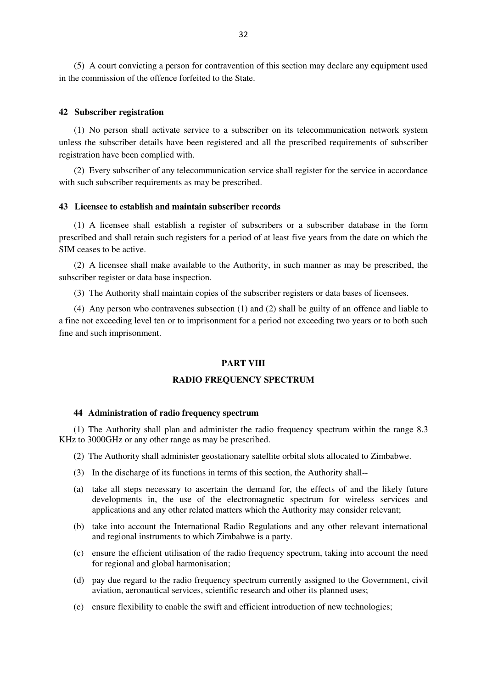(5) A court convicting a person for contravention of this section may declare any equipment used in the commission of the offence forfeited to the State.

## **42 Subscriber registration**

(1) No person shall activate service to a subscriber on its telecommunication network system unless the subscriber details have been registered and all the prescribed requirements of subscriber registration have been complied with.

(2) Every subscriber of any telecommunication service shall register for the service in accordance with such subscriber requirements as may be prescribed.

# **43 Licensee to establish and maintain subscriber records**

(1) A licensee shall establish a register of subscribers or a subscriber database in the form prescribed and shall retain such registers for a period of at least five years from the date on which the SIM ceases to be active.

(2) A licensee shall make available to the Authority, in such manner as may be prescribed, the subscriber register or data base inspection.

(3) The Authority shall maintain copies of the subscriber registers or data bases of licensees.

(4) Any person who contravenes subsection (1) and (2) shall be guilty of an offence and liable to a fine not exceeding level ten or to imprisonment for a period not exceeding two years or to both such fine and such imprisonment.

#### **PART VIII**

# **RADIO FREQUENCY SPECTRUM**

## **44 Administration of radio frequency spectrum**

(1) The Authority shall plan and administer the radio frequency spectrum within the range 8.3 KHz to 3000GHz or any other range as may be prescribed.

- (2) The Authority shall administer geostationary satellite orbital slots allocated to Zimbabwe.
- (3) In the discharge of its functions in terms of this section, the Authority shall--
- (a) take all steps necessary to ascertain the demand for, the effects of and the likely future developments in, the use of the electromagnetic spectrum for wireless services and applications and any other related matters which the Authority may consider relevant;
- (b) take into account the International Radio Regulations and any other relevant international and regional instruments to which Zimbabwe is a party.
- (c) ensure the efficient utilisation of the radio frequency spectrum, taking into account the need for regional and global harmonisation;
- (d) pay due regard to the radio frequency spectrum currently assigned to the Government, civil aviation, aeronautical services, scientific research and other its planned uses;
- (e) ensure flexibility to enable the swift and efficient introduction of new technologies;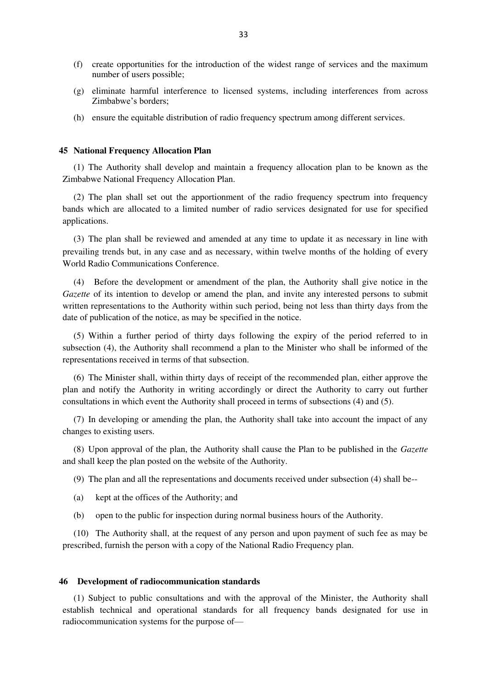- (f) create opportunities for the introduction of the widest range of services and the maximum number of users possible;
- (g) eliminate harmful interference to licensed systems, including interferences from across Zimbabwe's borders;
- (h) ensure the equitable distribution of radio frequency spectrum among different services.

#### **45 National Frequency Allocation Plan**

(1) The Authority shall develop and maintain a frequency allocation plan to be known as the Zimbabwe National Frequency Allocation Plan.

(2) The plan shall set out the apportionment of the radio frequency spectrum into frequency bands which are allocated to a limited number of radio services designated for use for specified applications.

(3) The plan shall be reviewed and amended at any time to update it as necessary in line with prevailing trends but, in any case and as necessary, within twelve months of the holding of every World Radio Communications Conference.

(4) Before the development or amendment of the plan, the Authority shall give notice in the *Gazette* of its intention to develop or amend the plan, and invite any interested persons to submit written representations to the Authority within such period, being not less than thirty days from the date of publication of the notice, as may be specified in the notice.

(5) Within a further period of thirty days following the expiry of the period referred to in subsection (4), the Authority shall recommend a plan to the Minister who shall be informed of the representations received in terms of that subsection.

(6) The Minister shall, within thirty days of receipt of the recommended plan, either approve the plan and notify the Authority in writing accordingly or direct the Authority to carry out further consultations in which event the Authority shall proceed in terms of subsections (4) and (5).

(7) In developing or amending the plan, the Authority shall take into account the impact of any changes to existing users.

(8) Upon approval of the plan, the Authority shall cause the Plan to be published in the *Gazette* and shall keep the plan posted on the website of the Authority.

(9) The plan and all the representations and documents received under subsection (4) shall be--

- (a) kept at the offices of the Authority; and
- (b) open to the public for inspection during normal business hours of the Authority.

(10) The Authority shall, at the request of any person and upon payment of such fee as may be prescribed, furnish the person with a copy of the National Radio Frequency plan.

#### **46 Development of radiocommunication standards**

(1) Subject to public consultations and with the approval of the Minister, the Authority shall establish technical and operational standards for all frequency bands designated for use in radiocommunication systems for the purpose of—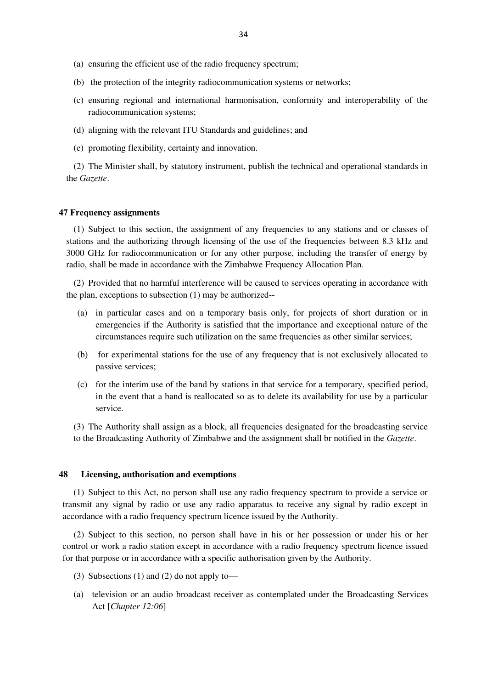- (a) ensuring the efficient use of the radio frequency spectrum;
- (b) the protection of the integrity radiocommunication systems or networks;
- (c) ensuring regional and international harmonisation, conformity and interoperability of the radiocommunication systems;
- (d) aligning with the relevant ITU Standards and guidelines; and
- (e) promoting flexibility, certainty and innovation.

(2) The Minister shall, by statutory instrument, publish the technical and operational standards in the *Gazette*.

## **47 Frequency assignments**

(1) Subject to this section, the assignment of any frequencies to any stations and or classes of stations and the authorizing through licensing of the use of the frequencies between 8.3 kHz and 3000 GHz for radiocommunication or for any other purpose, including the transfer of energy by radio, shall be made in accordance with the Zimbabwe Frequency Allocation Plan.

(2) Provided that no harmful interference will be caused to services operating in accordance with the plan, exceptions to subsection (1) may be authorized--

- (a) in particular cases and on a temporary basis only, for projects of short duration or in emergencies if the Authority is satisfied that the importance and exceptional nature of the circumstances require such utilization on the same frequencies as other similar services;
- (b) for experimental stations for the use of any frequency that is not exclusively allocated to passive services;
- (c) for the interim use of the band by stations in that service for a temporary, specified period, in the event that a band is reallocated so as to delete its availability for use by a particular service.

(3) The Authority shall assign as a block, all frequencies designated for the broadcasting service to the Broadcasting Authority of Zimbabwe and the assignment shall br notified in the *Gazette*.

#### **48 Licensing, authorisation and exemptions**

(1) Subject to this Act, no person shall use any radio frequency spectrum to provide a service or transmit any signal by radio or use any radio apparatus to receive any signal by radio except in accordance with a radio frequency spectrum licence issued by the Authority.

(2) Subject to this section, no person shall have in his or her possession or under his or her control or work a radio station except in accordance with a radio frequency spectrum licence issued for that purpose or in accordance with a specific authorisation given by the Authority.

- (3) Subsections (1) and (2) do not apply to—
- (a) television or an audio broadcast receiver as contemplated under the Broadcasting Services Act [*Chapter 12:06*]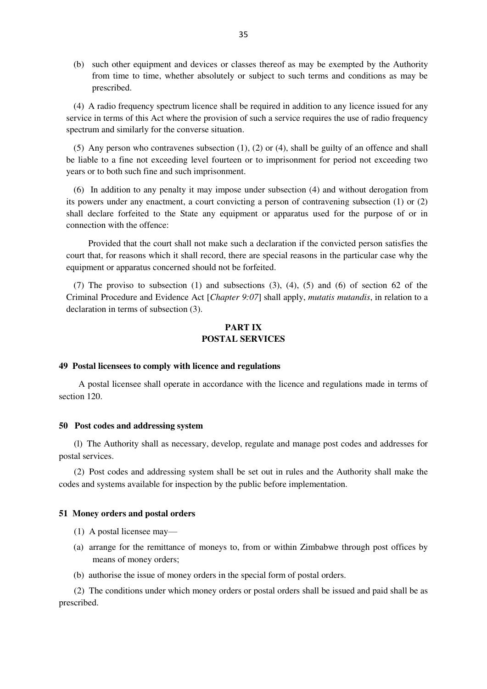(b) such other equipment and devices or classes thereof as may be exempted by the Authority from time to time, whether absolutely or subject to such terms and conditions as may be prescribed.

(4) A radio frequency spectrum licence shall be required in addition to any licence issued for any service in terms of this Act where the provision of such a service requires the use of radio frequency spectrum and similarly for the converse situation.

(5) Any person who contravenes subsection (1), (2) or (4), shall be guilty of an offence and shall be liable to a fine not exceeding level fourteen or to imprisonment for period not exceeding two years or to both such fine and such imprisonment.

(6) In addition to any penalty it may impose under subsection (4) and without derogation from its powers under any enactment, a court convicting a person of contravening subsection (1) or (2) shall declare forfeited to the State any equipment or apparatus used for the purpose of or in connection with the offence:

Provided that the court shall not make such a declaration if the convicted person satisfies the court that, for reasons which it shall record, there are special reasons in the particular case why the equipment or apparatus concerned should not be forfeited.

(7) The proviso to subsection (1) and subsections (3), (4), (5) and (6) of section 62 of the Criminal Procedure and Evidence Act [*Chapter 9:07*] shall apply, *mutatis mutandis*, in relation to a declaration in terms of subsection (3).

# **PART IX POSTAL SERVICES**

# **49 Postal licensees to comply with licence and regulations**

 A postal licensee shall operate in accordance with the licence and regulations made in terms of section 120.

#### **50 Post codes and addressing system**

(l) The Authority shall as necessary, develop, regulate and manage post codes and addresses for postal services.

(2) Post codes and addressing system shall be set out in rules and the Authority shall make the codes and systems available for inspection by the public before implementation.

#### **51 Money orders and postal orders**

- (1) A postal licensee may—
- (a) arrange for the remittance of moneys to, from or within Zimbabwe through post offices by means of money orders;
- (b) authorise the issue of money orders in the special form of postal orders.

(2) The conditions under which money orders or postal orders shall be issued and paid shall be as prescribed.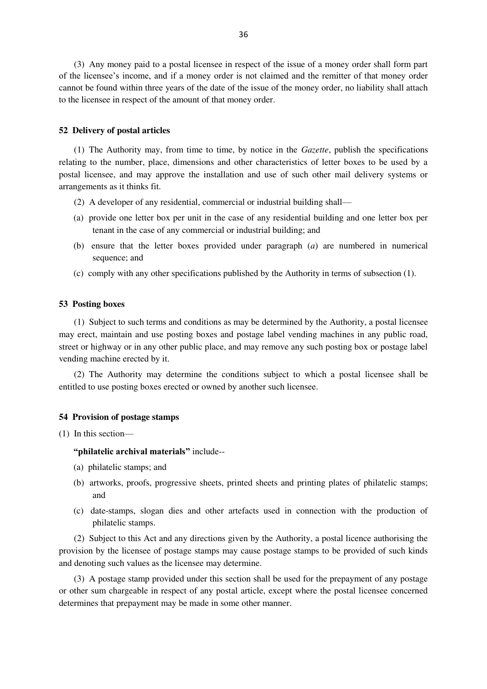(3) Any money paid to a postal licensee in respect of the issue of a money order shall form part of the licensee's income, and if a money order is not claimed and the remitter of that money order cannot be found within three years of the date of the issue of the money order, no liability shall attach to the licensee in respect of the amount of that money order.

#### **52 Delivery of postal articles**

(1) The Authority may, from time to time, by notice in the *Gazette*, publish the specifications relating to the number, place, dimensions and other characteristics of letter boxes to be used by a postal licensee, and may approve the installation and use of such other mail delivery systems or arrangements as it thinks fit.

- (2) A developer of any residential, commercial or industrial building shall—
- (a) provide one letter box per unit in the case of any residential building and one letter box per tenant in the case of any commercial or industrial building; and
- (b) ensure that the letter boxes provided under paragraph (*a*) are numbered in numerical sequence; and
- (c) comply with any other specifications published by the Authority in terms of subsection (1).

# **53 Posting boxes**

(1) Subject to such terms and conditions as may be determined by the Authority, a postal licensee may erect, maintain and use posting boxes and postage label vending machines in any public road, street or highway or in any other public place, and may remove any such posting box or postage label vending machine erected by it.

(2) The Authority may determine the conditions subject to which a postal licensee shall be entitled to use posting boxes erected or owned by another such licensee.

#### **54 Provision of postage stamps**

(1) In this section—

# **"philatelic archival materials"** include--

- (a) philatelic stamps; and
- (b) artworks, proofs, progressive sheets, printed sheets and printing plates of philatelic stamps; and
- (c) date-stamps, slogan dies and other artefacts used in connection with the production of philatelic stamps.

(2) Subject to this Act and any directions given by the Authority, a postal licence authorising the provision by the licensee of postage stamps may cause postage stamps to be provided of such kinds and denoting such values as the licensee may determine.

(3) A postage stamp provided under this section shall be used for the prepayment of any postage or other sum chargeable in respect of any postal article, except where the postal licensee concerned determines that prepayment may be made in some other manner.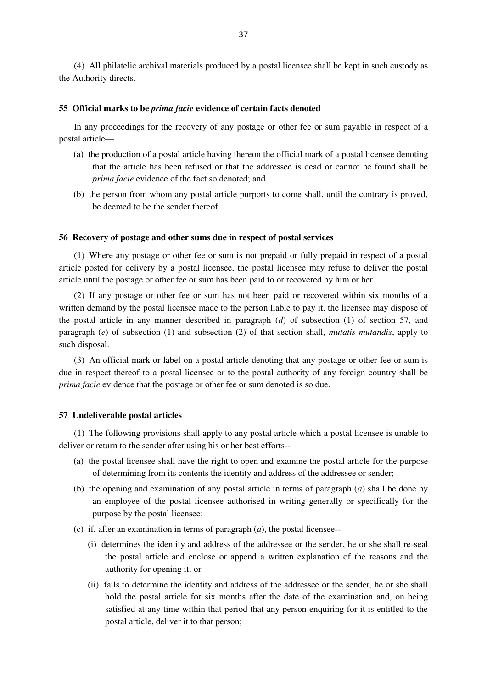(4) All philatelic archival materials produced by a postal licensee shall be kept in such custody as the Authority directs.

## **55 Official marks to be** *prima facie* **evidence of certain facts denoted**

In any proceedings for the recovery of any postage or other fee or sum payable in respect of a postal article—

- (a) the production of a postal article having thereon the official mark of a postal licensee denoting that the article has been refused or that the addressee is dead or cannot be found shall be *prima facie* evidence of the fact so denoted; and
- (b) the person from whom any postal article purports to come shall, until the contrary is proved, be deemed to be the sender thereof.

## **56 Recovery of postage and other sums due in respect of postal services**

(1) Where any postage or other fee or sum is not prepaid or fully prepaid in respect of a postal article posted for delivery by a postal licensee, the postal licensee may refuse to deliver the postal article until the postage or other fee or sum has been paid to or recovered by him or her.

(2) If any postage or other fee or sum has not been paid or recovered within six months of a written demand by the postal licensee made to the person liable to pay it, the licensee may dispose of the postal article in any manner described in paragraph (*d*) of subsection (1) of section 57, and paragraph (*e*) of subsection (1) and subsection (2) of that section shall, *mutatis mutandis*, apply to such disposal.

(3) An official mark or label on a postal article denoting that any postage or other fee or sum is due in respect thereof to a postal licensee or to the postal authority of any foreign country shall be *prima facie* evidence that the postage or other fee or sum denoted is so due.

### **57 Undeliverable postal articles**

(1) The following provisions shall apply to any postal article which a postal licensee is unable to deliver or return to the sender after using his or her best efforts--

- (a) the postal licensee shall have the right to open and examine the postal article for the purpose of determining from its contents the identity and address of the addressee or sender;
- (b) the opening and examination of any postal article in terms of paragraph (*a*) shall be done by an employee of the postal licensee authorised in writing generally or specifically for the purpose by the postal licensee;
- (c) if, after an examination in terms of paragraph (*a*), the postal licensee--
	- (i) determines the identity and address of the addressee or the sender, he or she shall re-seal the postal article and enclose or append a written explanation of the reasons and the authority for opening it; or
	- (ii) fails to determine the identity and address of the addressee or the sender, he or she shall hold the postal article for six months after the date of the examination and, on being satisfied at any time within that period that any person enquiring for it is entitled to the postal article, deliver it to that person;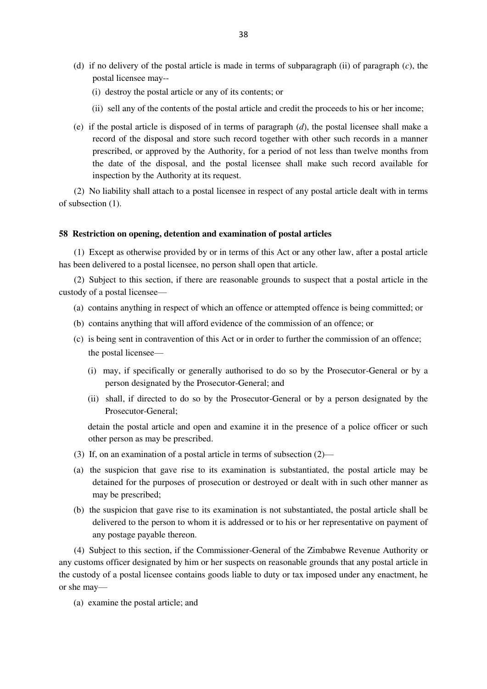- (d) if no delivery of the postal article is made in terms of subparagraph (ii) of paragraph (*c*), the postal licensee may--
	- (i) destroy the postal article or any of its contents; or
	- (ii) sell any of the contents of the postal article and credit the proceeds to his or her income;
- (e) if the postal article is disposed of in terms of paragraph (*d*), the postal licensee shall make a record of the disposal and store such record together with other such records in a manner prescribed, or approved by the Authority, for a period of not less than twelve months from the date of the disposal, and the postal licensee shall make such record available for inspection by the Authority at its request.

(2) No liability shall attach to a postal licensee in respect of any postal article dealt with in terms of subsection (1).

#### **58 Restriction on opening, detention and examination of postal articles**

(1) Except as otherwise provided by or in terms of this Act or any other law, after a postal article has been delivered to a postal licensee, no person shall open that article.

(2) Subject to this section, if there are reasonable grounds to suspect that a postal article in the custody of a postal licensee—

- (a) contains anything in respect of which an offence or attempted offence is being committed; or
- (b) contains anything that will afford evidence of the commission of an offence; or
- (c) is being sent in contravention of this Act or in order to further the commission of an offence; the postal licensee—
	- (i) may, if specifically or generally authorised to do so by the Prosecutor-General or by a person designated by the Prosecutor-General; and
	- (ii) shall, if directed to do so by the Prosecutor-General or by a person designated by the Prosecutor-General;

detain the postal article and open and examine it in the presence of a police officer or such other person as may be prescribed.

- (3) If, on an examination of a postal article in terms of subsection (2)—
- (a) the suspicion that gave rise to its examination is substantiated, the postal article may be detained for the purposes of prosecution or destroyed or dealt with in such other manner as may be prescribed;
- (b) the suspicion that gave rise to its examination is not substantiated, the postal article shall be delivered to the person to whom it is addressed or to his or her representative on payment of any postage payable thereon.

(4) Subject to this section, if the Commissioner-General of the Zimbabwe Revenue Authority or any customs officer designated by him or her suspects on reasonable grounds that any postal article in the custody of a postal licensee contains goods liable to duty or tax imposed under any enactment, he or she may—

(a) examine the postal article; and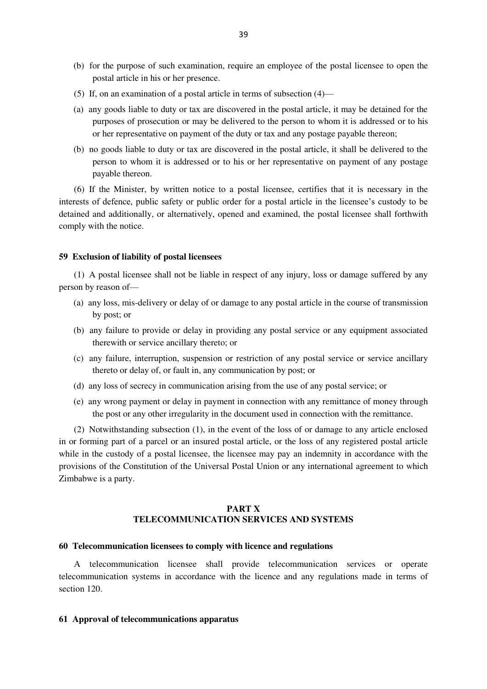- (b) for the purpose of such examination, require an employee of the postal licensee to open the postal article in his or her presence.
- (5) If, on an examination of a postal article in terms of subsection (4)—
- (a) any goods liable to duty or tax are discovered in the postal article, it may be detained for the purposes of prosecution or may be delivered to the person to whom it is addressed or to his or her representative on payment of the duty or tax and any postage payable thereon;
- (b) no goods liable to duty or tax are discovered in the postal article, it shall be delivered to the person to whom it is addressed or to his or her representative on payment of any postage payable thereon.

(6) If the Minister, by written notice to a postal licensee, certifies that it is necessary in the interests of defence, public safety or public order for a postal article in the licensee's custody to be detained and additionally, or alternatively, opened and examined, the postal licensee shall forthwith comply with the notice.

#### **59 Exclusion of liability of postal licensees**

(1) A postal licensee shall not be liable in respect of any injury, loss or damage suffered by any person by reason of—

- (a) any loss, mis-delivery or delay of or damage to any postal article in the course of transmission by post; or
- (b) any failure to provide or delay in providing any postal service or any equipment associated therewith or service ancillary thereto; or
- (c) any failure, interruption, suspension or restriction of any postal service or service ancillary thereto or delay of, or fault in, any communication by post; or
- (d) any loss of secrecy in communication arising from the use of any postal service; or
- (e) any wrong payment or delay in payment in connection with any remittance of money through the post or any other irregularity in the document used in connection with the remittance.

(2) Notwithstanding subsection (1), in the event of the loss of or damage to any article enclosed in or forming part of a parcel or an insured postal article, or the loss of any registered postal article while in the custody of a postal licensee, the licensee may pay an indemnity in accordance with the provisions of the Constitution of the Universal Postal Union or any international agreement to which Zimbabwe is a party.

# **PART X TELECOMMUNICATION SERVICES AND SYSTEMS**

#### **60 Telecommunication licensees to comply with licence and regulations**

A telecommunication licensee shall provide telecommunication services or operate telecommunication systems in accordance with the licence and any regulations made in terms of section 120.

### **61 Approval of telecommunications apparatus**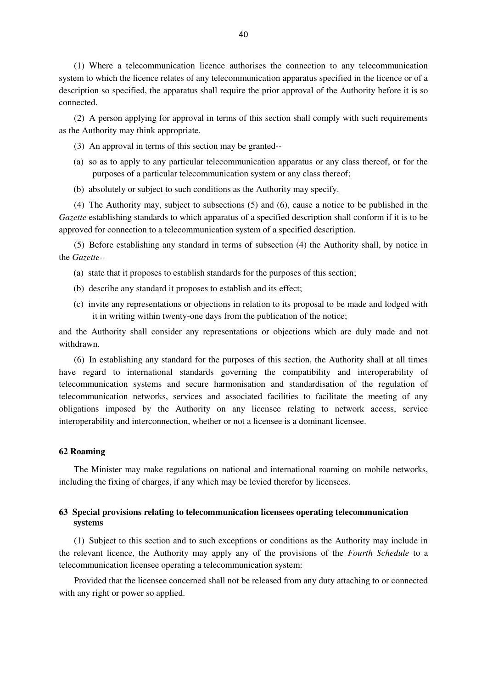(1) Where a telecommunication licence authorises the connection to any telecommunication system to which the licence relates of any telecommunication apparatus specified in the licence or of a description so specified, the apparatus shall require the prior approval of the Authority before it is so connected.

(2) A person applying for approval in terms of this section shall comply with such requirements as the Authority may think appropriate.

- (3) An approval in terms of this section may be granted--
- (a) so as to apply to any particular telecommunication apparatus or any class thereof, or for the purposes of a particular telecommunication system or any class thereof;
- (b) absolutely or subject to such conditions as the Authority may specify.

(4) The Authority may, subject to subsections (5) and (6), cause a notice to be published in the *Gazette* establishing standards to which apparatus of a specified description shall conform if it is to be approved for connection to a telecommunication system of a specified description.

(5) Before establishing any standard in terms of subsection (4) the Authority shall, by notice in the *Gazette--*

- (a) state that it proposes to establish standards for the purposes of this section;
- (b) describe any standard it proposes to establish and its effect;
- (c) invite any representations or objections in relation to its proposal to be made and lodged with it in writing within twenty-one days from the publication of the notice;

and the Authority shall consider any representations or objections which are duly made and not withdrawn.

(6) In establishing any standard for the purposes of this section, the Authority shall at all times have regard to international standards governing the compatibility and interoperability of telecommunication systems and secure harmonisation and standardisation of the regulation of telecommunication networks, services and associated facilities to facilitate the meeting of any obligations imposed by the Authority on any licensee relating to network access, service interoperability and interconnection, whether or not a licensee is a dominant licensee.

# **62 Roaming**

The Minister may make regulations on national and international roaming on mobile networks, including the fixing of charges, if any which may be levied therefor by licensees.

# **63 Special provisions relating to telecommunication licensees operating telecommunication systems**

(1) Subject to this section and to such exceptions or conditions as the Authority may include in the relevant licence, the Authority may apply any of the provisions of the *Fourth Schedule* to a telecommunication licensee operating a telecommunication system:

Provided that the licensee concerned shall not be released from any duty attaching to or connected with any right or power so applied.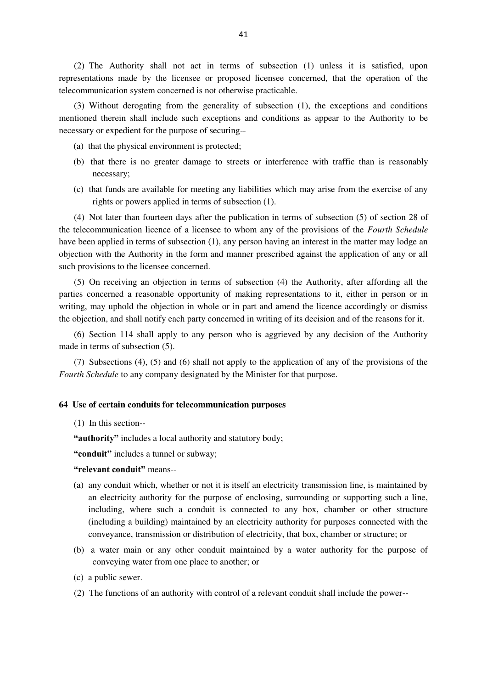(2) The Authority shall not act in terms of subsection (1) unless it is satisfied, upon representations made by the licensee or proposed licensee concerned, that the operation of the telecommunication system concerned is not otherwise practicable.

(3) Without derogating from the generality of subsection (1), the exceptions and conditions mentioned therein shall include such exceptions and conditions as appear to the Authority to be necessary or expedient for the purpose of securing--

- (a) that the physical environment is protected;
- (b) that there is no greater damage to streets or interference with traffic than is reasonably necessary;
- (c) that funds are available for meeting any liabilities which may arise from the exercise of any rights or powers applied in terms of subsection (1).

(4) Not later than fourteen days after the publication in terms of subsection (5) of section 28 of the telecommunication licence of a licensee to whom any of the provisions of the *Fourth Schedule* have been applied in terms of subsection (1), any person having an interest in the matter may lodge an objection with the Authority in the form and manner prescribed against the application of any or all such provisions to the licensee concerned.

(5) On receiving an objection in terms of subsection (4) the Authority, after affording all the parties concerned a reasonable opportunity of making representations to it, either in person or in writing, may uphold the objection in whole or in part and amend the licence accordingly or dismiss the objection, and shall notify each party concerned in writing of its decision and of the reasons for it.

(6) Section 114 shall apply to any person who is aggrieved by any decision of the Authority made in terms of subsection (5).

(7) Subsections (4), (5) and (6) shall not apply to the application of any of the provisions of the *Fourth Schedule* to any company designated by the Minister for that purpose.

### **64 Use of certain conduits for telecommunication purposes**

(1) In this section--

**"authority"** includes a local authority and statutory body;

**"conduit"** includes a tunnel or subway;

**"relevant conduit"** means--

- (a) any conduit which, whether or not it is itself an electricity transmission line, is maintained by an electricity authority for the purpose of enclosing, surrounding or supporting such a line, including, where such a conduit is connected to any box, chamber or other structure (including a building) maintained by an electricity authority for purposes connected with the conveyance, transmission or distribution of electricity, that box, chamber or structure; or
- (b) a water main or any other conduit maintained by a water authority for the purpose of conveying water from one place to another; or
- (c) a public sewer.
- (2) The functions of an authority with control of a relevant conduit shall include the power--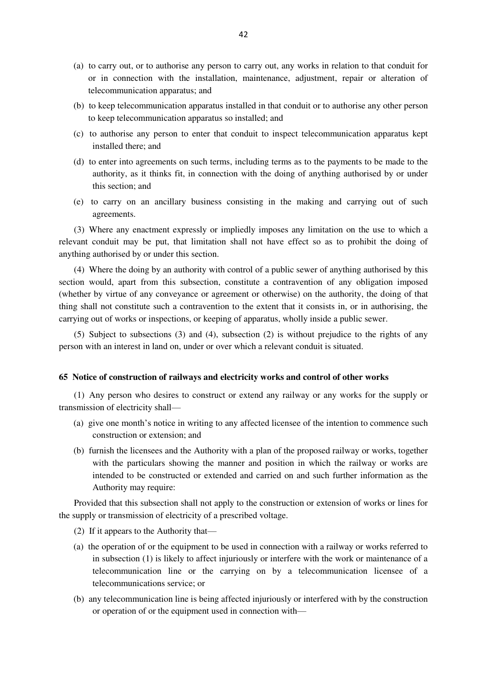- (a) to carry out, or to authorise any person to carry out, any works in relation to that conduit for or in connection with the installation, maintenance, adjustment, repair or alteration of telecommunication apparatus; and
- (b) to keep telecommunication apparatus installed in that conduit or to authorise any other person to keep telecommunication apparatus so installed; and
- (c) to authorise any person to enter that conduit to inspect telecommunication apparatus kept installed there; and
- (d) to enter into agreements on such terms, including terms as to the payments to be made to the authority, as it thinks fit, in connection with the doing of anything authorised by or under this section; and
- (e) to carry on an ancillary business consisting in the making and carrying out of such agreements.

(3) Where any enactment expressly or impliedly imposes any limitation on the use to which a relevant conduit may be put, that limitation shall not have effect so as to prohibit the doing of anything authorised by or under this section.

(4) Where the doing by an authority with control of a public sewer of anything authorised by this section would, apart from this subsection, constitute a contravention of any obligation imposed (whether by virtue of any conveyance or agreement or otherwise) on the authority, the doing of that thing shall not constitute such a contravention to the extent that it consists in, or in authorising, the carrying out of works or inspections, or keeping of apparatus, wholly inside a public sewer.

(5) Subject to subsections (3) and (4), subsection (2) is without prejudice to the rights of any person with an interest in land on, under or over which a relevant conduit is situated.

### **65 Notice of construction of railways and electricity works and control of other works**

(1) Any person who desires to construct or extend any railway or any works for the supply or transmission of electricity shall—

- (a) give one month's notice in writing to any affected licensee of the intention to commence such construction or extension; and
- (b) furnish the licensees and the Authority with a plan of the proposed railway or works, together with the particulars showing the manner and position in which the railway or works are intended to be constructed or extended and carried on and such further information as the Authority may require:

Provided that this subsection shall not apply to the construction or extension of works or lines for the supply or transmission of electricity of a prescribed voltage.

- (2) If it appears to the Authority that—
- (a) the operation of or the equipment to be used in connection with a railway or works referred to in subsection (1) is likely to affect injuriously or interfere with the work or maintenance of a telecommunication line or the carrying on by a telecommunication licensee of a telecommunications service; or
- (b) any telecommunication line is being affected injuriously or interfered with by the construction or operation of or the equipment used in connection with—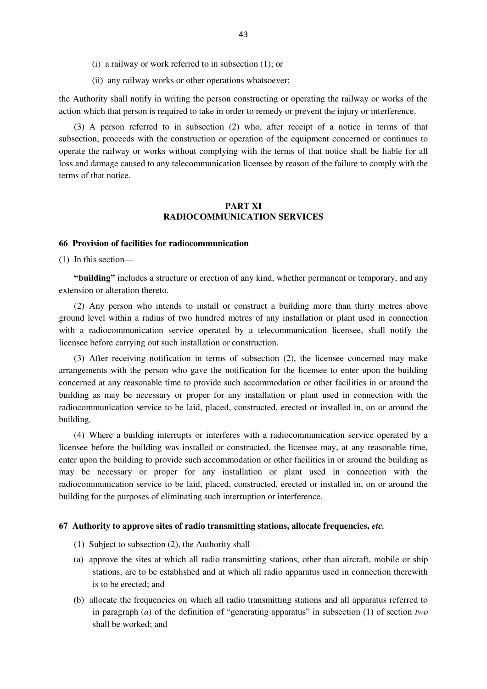- (i) a railway or work referred to in subsection (1); or
- (ii) any railway works or other operations whatsoever;

the Authority shall notify in writing the person constructing or operating the railway or works of the action which that person is required to take in order to remedy or prevent the injury or interference.

(3) A person referred to in subsection (2) who, after receipt of a notice in terms of that subsection, proceeds with the construction or operation of the equipment concerned or continues to operate the railway or works without complying with the terms of that notice shall be liable for all loss and damage caused to any telecommunication licensee by reason of the failure to comply with the terms of that notice.

# **PART XI RADIOCOMMUNICATION SERVICES**

## **66 Provision of facilities for radiocommunication**

(1) In this section—

**"building"** includes a structure or erection of any kind, whether permanent or temporary, and any extension or alteration thereto.

(2) Any person who intends to install or construct a building more than thirty metres above ground level within a radius of two hundred metres of any installation or plant used in connection with a radiocommunication service operated by a telecommunication licensee, shall notify the licensee before carrying out such installation or construction.

(3) After receiving notification in terms of subsection (2), the licensee concerned may make arrangements with the person who gave the notification for the licensee to enter upon the building concerned at any reasonable time to provide such accommodation or other facilities in or around the building as may be necessary or proper for any installation or plant used in connection with the radiocommunication service to be laid, placed, constructed, erected or installed in, on or around the building.

(4) Where a building interrupts or interferes with a radiocommunication service operated by a licensee before the building was installed or constructed, the licensee may, at any reasonable time, enter upon the building to provide such accommodation or other facilities in or around the building as may be necessary or proper for any installation or plant used in connection with the radiocommunication service to be laid, placed, constructed, erected or installed in, on or around the building for the purposes of eliminating such interruption or interference.

# **67 Authority to approve sites of radio transmitting stations, allocate frequencies,** *etc.*

- (1) Subject to subsection (2), the Authority shall—
- (a) approve the sites at which all radio transmitting stations, other than aircraft, mobile or ship stations, are to be established and at which all radio apparatus used in connection therewith is to be erected; and
- (b) allocate the frequencies on which all radio transmitting stations and all apparatus referred to in paragraph (*a*) of the definition of "generating apparatus" in subsection (1) of section *two* shall be worked; and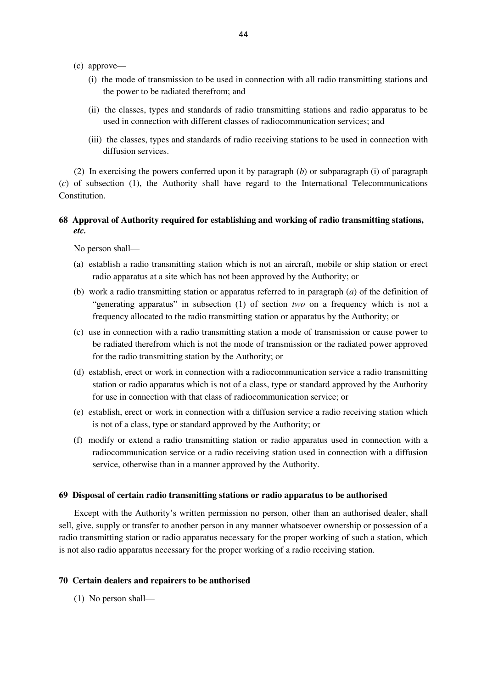- (c) approve—
	- (i) the mode of transmission to be used in connection with all radio transmitting stations and the power to be radiated therefrom; and
	- (ii) the classes, types and standards of radio transmitting stations and radio apparatus to be used in connection with different classes of radiocommunication services; and
	- (iii) the classes, types and standards of radio receiving stations to be used in connection with diffusion services.

(2) In exercising the powers conferred upon it by paragraph (*b*) or subparagraph (i) of paragraph (*c*) of subsection (1), the Authority shall have regard to the International Telecommunications **Constitution** 

# **68 Approval of Authority required for establishing and working of radio transmitting stations,**  *etc.*

No person shall—

- (a) establish a radio transmitting station which is not an aircraft, mobile or ship station or erect radio apparatus at a site which has not been approved by the Authority; or
- (b) work a radio transmitting station or apparatus referred to in paragraph (*a*) of the definition of "generating apparatus" in subsection (1) of section *two* on a frequency which is not a frequency allocated to the radio transmitting station or apparatus by the Authority; or
- (c) use in connection with a radio transmitting station a mode of transmission or cause power to be radiated therefrom which is not the mode of transmission or the radiated power approved for the radio transmitting station by the Authority; or
- (d) establish, erect or work in connection with a radiocommunication service a radio transmitting station or radio apparatus which is not of a class, type or standard approved by the Authority for use in connection with that class of radiocommunication service; or
- (e) establish, erect or work in connection with a diffusion service a radio receiving station which is not of a class, type or standard approved by the Authority; or
- (f) modify or extend a radio transmitting station or radio apparatus used in connection with a radiocommunication service or a radio receiving station used in connection with a diffusion service, otherwise than in a manner approved by the Authority.

#### **69 Disposal of certain radio transmitting stations or radio apparatus to be authorised**

Except with the Authority's written permission no person, other than an authorised dealer, shall sell, give, supply or transfer to another person in any manner whatsoever ownership or possession of a radio transmitting station or radio apparatus necessary for the proper working of such a station, which is not also radio apparatus necessary for the proper working of a radio receiving station.

# **70 Certain dealers and repairers to be authorised**

(1) No person shall—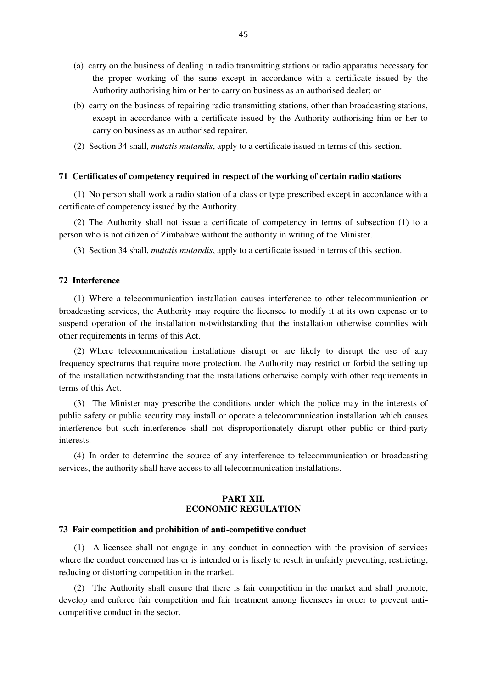- (a) carry on the business of dealing in radio transmitting stations or radio apparatus necessary for the proper working of the same except in accordance with a certificate issued by the Authority authorising him or her to carry on business as an authorised dealer; or
- (b) carry on the business of repairing radio transmitting stations, other than broadcasting stations, except in accordance with a certificate issued by the Authority authorising him or her to carry on business as an authorised repairer.
- (2) Section 34 shall, *mutatis mutandis*, apply to a certificate issued in terms of this section.

## **71 Certificates of competency required in respect of the working of certain radio stations**

(1) No person shall work a radio station of a class or type prescribed except in accordance with a certificate of competency issued by the Authority.

(2) The Authority shall not issue a certificate of competency in terms of subsection (1) to a person who is not citizen of Zimbabwe without the authority in writing of the Minister.

(3)Section 34 shall, *mutatis mutandis*, apply to a certificate issued in terms of this section.

# **72 Interference**

(1) Where a telecommunication installation causes interference to other telecommunication or broadcasting services, the Authority may require the licensee to modify it at its own expense or to suspend operation of the installation notwithstanding that the installation otherwise complies with other requirements in terms of this Act.

(2) Where telecommunication installations disrupt or are likely to disrupt the use of any frequency spectrums that require more protection, the Authority may restrict or forbid the setting up of the installation notwithstanding that the installations otherwise comply with other requirements in terms of this Act.

(3) The Minister may prescribe the conditions under which the police may in the interests of public safety or public security may install or operate a telecommunication installation which causes interference but such interference shall not disproportionately disrupt other public or third-party interests.

(4) In order to determine the source of any interference to telecommunication or broadcasting services, the authority shall have access to all telecommunication installations.

# **PART XII. ECONOMIC REGULATION**

### **73 Fair competition and prohibition of anti-competitive conduct**

(1) A licensee shall not engage in any conduct in connection with the provision of services where the conduct concerned has or is intended or is likely to result in unfairly preventing, restricting, reducing or distorting competition in the market.

(2) The Authority shall ensure that there is fair competition in the market and shall promote, develop and enforce fair competition and fair treatment among licensees in order to prevent anticompetitive conduct in the sector.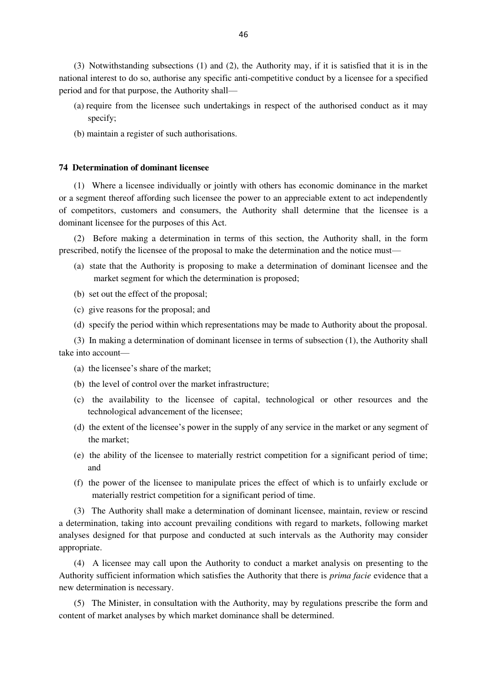(3) Notwithstanding subsections (1) and (2), the Authority may, if it is satisfied that it is in the national interest to do so, authorise any specific anti-competitive conduct by a licensee for a specified period and for that purpose, the Authority shall—

- (a) require from the licensee such undertakings in respect of the authorised conduct as it may specify;
- (b) maintain a register of such authorisations.

#### **74 Determination of dominant licensee**

(1) Where a licensee individually or jointly with others has economic dominance in the market or a segment thereof affording such licensee the power to an appreciable extent to act independently of competitors, customers and consumers, the Authority shall determine that the licensee is a dominant licensee for the purposes of this Act.

(2) Before making a determination in terms of this section, the Authority shall, in the form prescribed, notify the licensee of the proposal to make the determination and the notice must—

- (a) state that the Authority is proposing to make a determination of dominant licensee and the market segment for which the determination is proposed;
- (b) set out the effect of the proposal;
- (c) give reasons for the proposal; and
- (d) specify the period within which representations may be made to Authority about the proposal.

(3) In making a determination of dominant licensee in terms of subsection (1), the Authority shall take into account—

- (a) the licensee's share of the market;
- (b) the level of control over the market infrastructure;
- (c) the availability to the licensee of capital, technological or other resources and the technological advancement of the licensee;
- (d) the extent of the licensee's power in the supply of any service in the market or any segment of the market;
- (e) the ability of the licensee to materially restrict competition for a significant period of time; and
- (f) the power of the licensee to manipulate prices the effect of which is to unfairly exclude or materially restrict competition for a significant period of time.

(3) The Authority shall make a determination of dominant licensee, maintain, review or rescind a determination, taking into account prevailing conditions with regard to markets, following market analyses designed for that purpose and conducted at such intervals as the Authority may consider appropriate.

(4) A licensee may call upon the Authority to conduct a market analysis on presenting to the Authority sufficient information which satisfies the Authority that there is *prima facie* evidence that a new determination is necessary.

(5) The Minister, in consultation with the Authority, may by regulations prescribe the form and content of market analyses by which market dominance shall be determined.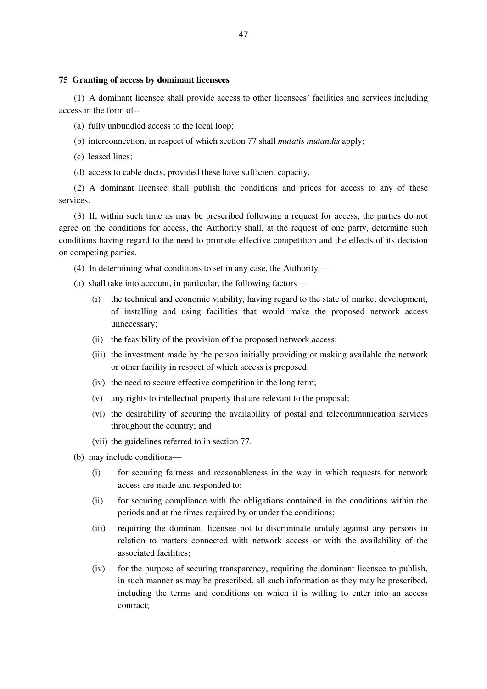# **75 Granting of access by dominant licensees**

(1) A dominant licensee shall provide access to other licensees' facilities and services including access in the form of--

- (a) fully unbundled access to the local loop;
- (b) interconnection, in respect of which section 77 shall *mutatis mutandis* apply;
- (c) leased lines;
- (d) access to cable ducts, provided these have sufficient capacity,

(2) A dominant licensee shall publish the conditions and prices for access to any of these services.

(3) If, within such time as may be prescribed following a request for access, the parties do not agree on the conditions for access, the Authority shall, at the request of one party, determine such conditions having regard to the need to promote effective competition and the effects of its decision on competing parties.

- (4) In determining what conditions to set in any case, the Authority—
- (a) shall take into account, in particular, the following factors—
	- (i) the technical and economic viability, having regard to the state of market development, of installing and using facilities that would make the proposed network access unnecessary;
	- (ii) the feasibility of the provision of the proposed network access;
	- (iii) the investment made by the person initially providing or making available the network or other facility in respect of which access is proposed;
	- (iv) the need to secure effective competition in the long term;
	- (v) any rights to intellectual property that are relevant to the proposal;
	- (vi) the desirability of securing the availability of postal and telecommunication services throughout the country; and
	- (vii) the guidelines referred to in section 77.
- (b) may include conditions—
	- (i) for securing fairness and reasonableness in the way in which requests for network access are made and responded to;
	- (ii) for securing compliance with the obligations contained in the conditions within the periods and at the times required by or under the conditions;
	- (iii) requiring the dominant licensee not to discriminate unduly against any persons in relation to matters connected with network access or with the availability of the associated facilities;
	- (iv) for the purpose of securing transparency, requiring the dominant licensee to publish, in such manner as may be prescribed, all such information as they may be prescribed, including the terms and conditions on which it is willing to enter into an access contract;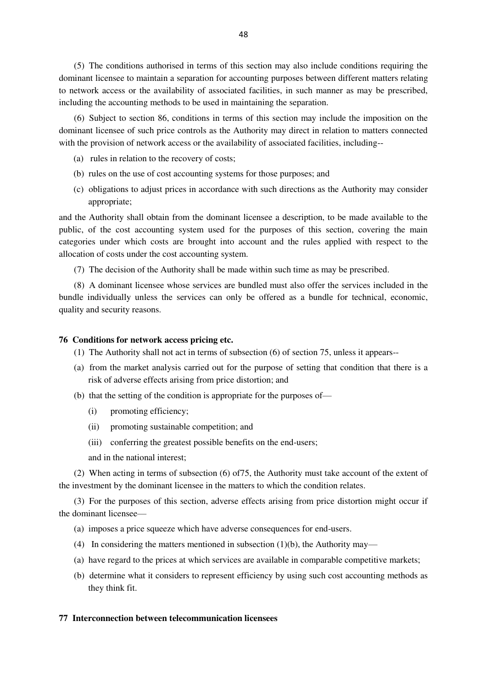(5) The conditions authorised in terms of this section may also include conditions requiring the dominant licensee to maintain a separation for accounting purposes between different matters relating to network access or the availability of associated facilities, in such manner as may be prescribed, including the accounting methods to be used in maintaining the separation.

(6) Subject to section 86, conditions in terms of this section may include the imposition on the dominant licensee of such price controls as the Authority may direct in relation to matters connected with the provision of network access or the availability of associated facilities, including--

- (a) rules in relation to the recovery of costs;
- (b) rules on the use of cost accounting systems for those purposes; and
- (c) obligations to adjust prices in accordance with such directions as the Authority may consider appropriate;

and the Authority shall obtain from the dominant licensee a description, to be made available to the public, of the cost accounting system used for the purposes of this section, covering the main categories under which costs are brought into account and the rules applied with respect to the allocation of costs under the cost accounting system.

(7) The decision of the Authority shall be made within such time as may be prescribed.

(8) A dominant licensee whose services are bundled must also offer the services included in the bundle individually unless the services can only be offered as a bundle for technical, economic, quality and security reasons.

## **76 Conditions for network access pricing etc.**

- (1) The Authority shall not act in terms of subsection (6) of section 75, unless it appears--
- (a) from the market analysis carried out for the purpose of setting that condition that there is a risk of adverse effects arising from price distortion; and
- (b) that the setting of the condition is appropriate for the purposes of—
	- (i) promoting efficiency;
	- (ii) promoting sustainable competition; and
	- (iii) conferring the greatest possible benefits on the end-users;

and in the national interest;

(2) When acting in terms of subsection (6) of75, the Authority must take account of the extent of the investment by the dominant licensee in the matters to which the condition relates.

(3) For the purposes of this section, adverse effects arising from price distortion might occur if the dominant licensee—

- (a) imposes a price squeeze which have adverse consequences for end-users.
- (4) In considering the matters mentioned in subsection (1)(b), the Authority may—
- (a) have regard to the prices at which services are available in comparable competitive markets;
- (b) determine what it considers to represent efficiency by using such cost accounting methods as they think fit.

#### **77 Interconnection between telecommunication licensees**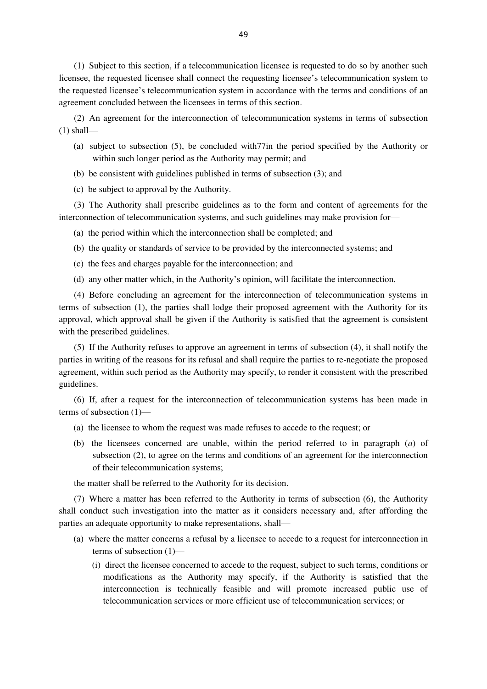(1) Subject to this section, if a telecommunication licensee is requested to do so by another such licensee, the requested licensee shall connect the requesting licensee's telecommunication system to the requested licensee's telecommunication system in accordance with the terms and conditions of an agreement concluded between the licensees in terms of this section.

(2) An agreement for the interconnection of telecommunication systems in terms of subsection  $(1)$  shall—

- (a) subject to subsection (5), be concluded with77in the period specified by the Authority or within such longer period as the Authority may permit; and
- (b) be consistent with guidelines published in terms of subsection (3); and
- (c) be subject to approval by the Authority.

(3) The Authority shall prescribe guidelines as to the form and content of agreements for the interconnection of telecommunication systems, and such guidelines may make provision for—

- (a) the period within which the interconnection shall be completed; and
- (b) the quality or standards of service to be provided by the interconnected systems; and
- (c) the fees and charges payable for the interconnection; and
- (d) any other matter which, in the Authority's opinion, will facilitate the interconnection.

(4) Before concluding an agreement for the interconnection of telecommunication systems in terms of subsection (1), the parties shall lodge their proposed agreement with the Authority for its approval, which approval shall be given if the Authority is satisfied that the agreement is consistent with the prescribed guidelines.

(5) If the Authority refuses to approve an agreement in terms of subsection (4), it shall notify the parties in writing of the reasons for its refusal and shall require the parties to re-negotiate the proposed agreement, within such period as the Authority may specify, to render it consistent with the prescribed guidelines.

(6) If, after a request for the interconnection of telecommunication systems has been made in terms of subsection (1)—

- (a) the licensee to whom the request was made refuses to accede to the request; or
- (b) the licensees concerned are unable, within the period referred to in paragraph (*a*) of subsection (2), to agree on the terms and conditions of an agreement for the interconnection of their telecommunication systems;

the matter shall be referred to the Authority for its decision.

(7) Where a matter has been referred to the Authority in terms of subsection (6), the Authority shall conduct such investigation into the matter as it considers necessary and, after affording the parties an adequate opportunity to make representations, shall—

- (a) where the matter concerns a refusal by a licensee to accede to a request for interconnection in terms of subsection (1)—
	- (i) direct the licensee concerned to accede to the request, subject to such terms, conditions or modifications as the Authority may specify, if the Authority is satisfied that the interconnection is technically feasible and will promote increased public use of telecommunication services or more efficient use of telecommunication services; or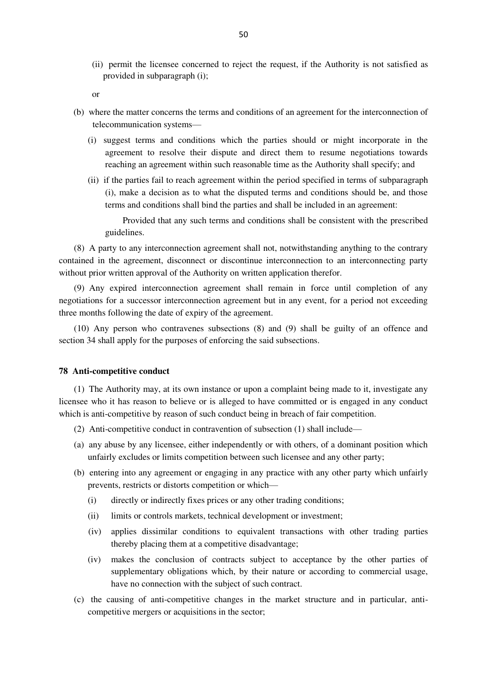(ii) permit the licensee concerned to reject the request, if the Authority is not satisfied as provided in subparagraph (i);

or

- (b) where the matter concerns the terms and conditions of an agreement for the interconnection of telecommunication systems—
	- (i) suggest terms and conditions which the parties should or might incorporate in the agreement to resolve their dispute and direct them to resume negotiations towards reaching an agreement within such reasonable time as the Authority shall specify; and
	- (ii) if the parties fail to reach agreement within the period specified in terms of subparagraph (i), make a decision as to what the disputed terms and conditions should be, and those terms and conditions shall bind the parties and shall be included in an agreement:

Provided that any such terms and conditions shall be consistent with the prescribed guidelines.

(8) A party to any interconnection agreement shall not, notwithstanding anything to the contrary contained in the agreement, disconnect or discontinue interconnection to an interconnecting party without prior written approval of the Authority on written application therefor.

(9) Any expired interconnection agreement shall remain in force until completion of any negotiations for a successor interconnection agreement but in any event, for a period not exceeding three months following the date of expiry of the agreement.

(10) Any person who contravenes subsections (8) and (9) shall be guilty of an offence and section 34 shall apply for the purposes of enforcing the said subsections.

# **78 Anti-competitive conduct**

(1) The Authority may, at its own instance or upon a complaint being made to it, investigate any licensee who it has reason to believe or is alleged to have committed or is engaged in any conduct which is anti-competitive by reason of such conduct being in breach of fair competition.

- (2) Anti-competitive conduct in contravention of subsection (1) shall include—
- (a) any abuse by any licensee, either independently or with others, of a dominant position which unfairly excludes or limits competition between such licensee and any other party;
- (b) entering into any agreement or engaging in any practice with any other party which unfairly prevents, restricts or distorts competition or which—
	- (i) directly or indirectly fixes prices or any other trading conditions;
	- (ii) limits or controls markets, technical development or investment;
	- (iv) applies dissimilar conditions to equivalent transactions with other trading parties thereby placing them at a competitive disadvantage;
	- (iv) makes the conclusion of contracts subject to acceptance by the other parties of supplementary obligations which, by their nature or according to commercial usage, have no connection with the subject of such contract.
- (c) the causing of anti-competitive changes in the market structure and in particular, anticompetitive mergers or acquisitions in the sector;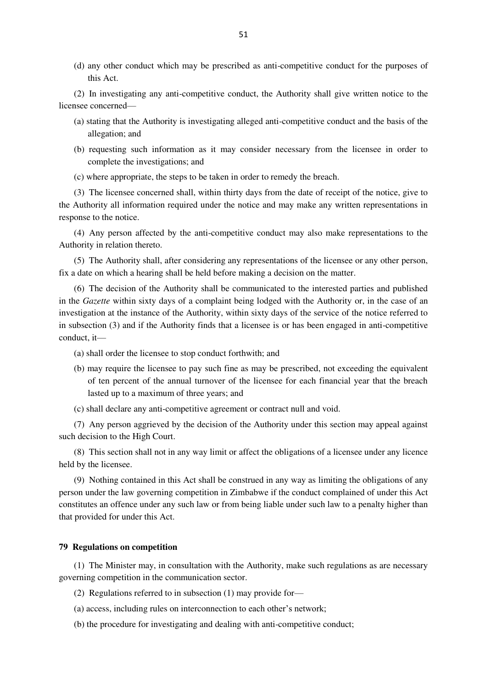(d) any other conduct which may be prescribed as anti-competitive conduct for the purposes of this Act.

(2) In investigating any anti-competitive conduct, the Authority shall give written notice to the licensee concerned—

- (a) stating that the Authority is investigating alleged anti-competitive conduct and the basis of the allegation; and
- (b) requesting such information as it may consider necessary from the licensee in order to complete the investigations; and
- (c) where appropriate, the steps to be taken in order to remedy the breach.

(3) The licensee concerned shall, within thirty days from the date of receipt of the notice, give to the Authority all information required under the notice and may make any written representations in response to the notice.

(4) Any person affected by the anti-competitive conduct may also make representations to the Authority in relation thereto.

(5) The Authority shall, after considering any representations of the licensee or any other person, fix a date on which a hearing shall be held before making a decision on the matter.

(6) The decision of the Authority shall be communicated to the interested parties and published in the *Gazette* within sixty days of a complaint being lodged with the Authority or, in the case of an investigation at the instance of the Authority, within sixty days of the service of the notice referred to in subsection (3) and if the Authority finds that a licensee is or has been engaged in anti-competitive conduct, it—

- (a) shall order the licensee to stop conduct forthwith; and
- (b) may require the licensee to pay such fine as may be prescribed, not exceeding the equivalent of ten percent of the annual turnover of the licensee for each financial year that the breach lasted up to a maximum of three years; and
- (c) shall declare any anti-competitive agreement or contract null and void.

(7) Any person aggrieved by the decision of the Authority under this section may appeal against such decision to the High Court.

(8) This section shall not in any way limit or affect the obligations of a licensee under any licence held by the licensee.

(9) Nothing contained in this Act shall be construed in any way as limiting the obligations of any person under the law governing competition in Zimbabwe if the conduct complained of under this Act constitutes an offence under any such law or from being liable under such law to a penalty higher than that provided for under this Act.

# **79 Regulations on competition**

(1) The Minister may, in consultation with the Authority, make such regulations as are necessary governing competition in the communication sector.

- (2) Regulations referred to in subsection (1) may provide for—
- (a) access, including rules on interconnection to each other's network;
- (b) the procedure for investigating and dealing with anti-competitive conduct;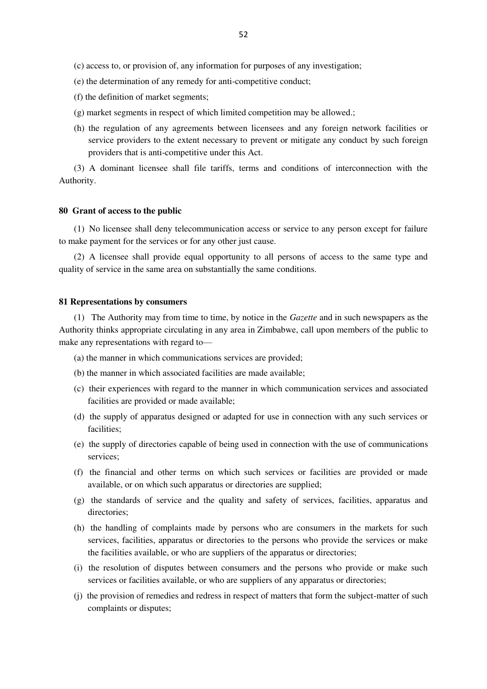- (c) access to, or provision of, any information for purposes of any investigation;
- (e) the determination of any remedy for anti-competitive conduct;
- (f) the definition of market segments;
- (g) market segments in respect of which limited competition may be allowed.;
- (h) the regulation of any agreements between licensees and any foreign network facilities or service providers to the extent necessary to prevent or mitigate any conduct by such foreign providers that is anti-competitive under this Act.

(3) A dominant licensee shall file tariffs, terms and conditions of interconnection with the Authority.

## **80 Grant of access to the public**

(1) No licensee shall deny telecommunication access or service to any person except for failure to make payment for the services or for any other just cause.

(2) A licensee shall provide equal opportunity to all persons of access to the same type and quality of service in the same area on substantially the same conditions.

#### **81 Representations by consumers**

(1) The Authority may from time to time, by notice in the *Gazette* and in such newspapers as the Authority thinks appropriate circulating in any area in Zimbabwe, call upon members of the public to make any representations with regard to—

- (a) the manner in which communications services are provided;
- (b) the manner in which associated facilities are made available;
- (c) their experiences with regard to the manner in which communication services and associated facilities are provided or made available;
- (d) the supply of apparatus designed or adapted for use in connection with any such services or facilities;
- (e) the supply of directories capable of being used in connection with the use of communications services;
- (f) the financial and other terms on which such services or facilities are provided or made available, or on which such apparatus or directories are supplied;
- (g) the standards of service and the quality and safety of services, facilities, apparatus and directories;
- (h) the handling of complaints made by persons who are consumers in the markets for such services, facilities, apparatus or directories to the persons who provide the services or make the facilities available, or who are suppliers of the apparatus or directories;
- (i) the resolution of disputes between consumers and the persons who provide or make such services or facilities available, or who are suppliers of any apparatus or directories;
- (j) the provision of remedies and redress in respect of matters that form the subject-matter of such complaints or disputes;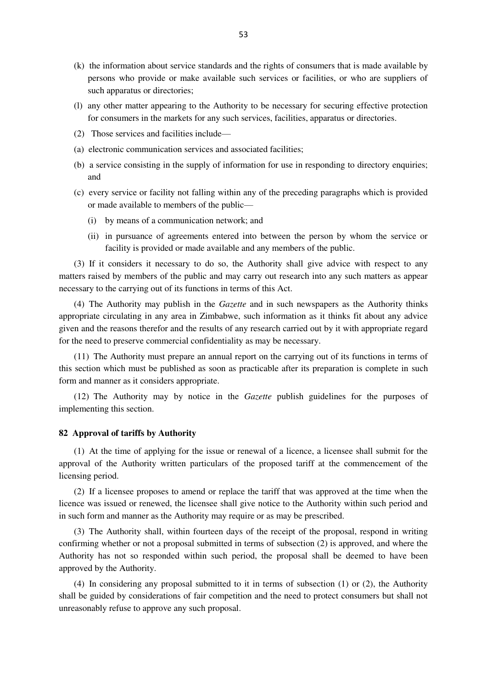- (k) the information about service standards and the rights of consumers that is made available by persons who provide or make available such services or facilities, or who are suppliers of such apparatus or directories;
- (l) any other matter appearing to the Authority to be necessary for securing effective protection for consumers in the markets for any such services, facilities, apparatus or directories.
- (2) Those services and facilities include—
- (a) electronic communication services and associated facilities;
- (b) a service consisting in the supply of information for use in responding to directory enquiries; and
- (c) every service or facility not falling within any of the preceding paragraphs which is provided or made available to members of the public—
	- (i) by means of a communication network; and
	- (ii) in pursuance of agreements entered into between the person by whom the service or facility is provided or made available and any members of the public.

(3) If it considers it necessary to do so, the Authority shall give advice with respect to any matters raised by members of the public and may carry out research into any such matters as appear necessary to the carrying out of its functions in terms of this Act.

(4) The Authority may publish in the *Gazette* and in such newspapers as the Authority thinks appropriate circulating in any area in Zimbabwe, such information as it thinks fit about any advice given and the reasons therefor and the results of any research carried out by it with appropriate regard for the need to preserve commercial confidentiality as may be necessary.

(11) The Authority must prepare an annual report on the carrying out of its functions in terms of this section which must be published as soon as practicable after its preparation is complete in such form and manner as it considers appropriate.

(12) The Authority may by notice in the *Gazette* publish guidelines for the purposes of implementing this section.

#### **82 Approval of tariffs by Authority**

(1) At the time of applying for the issue or renewal of a licence, a licensee shall submit for the approval of the Authority written particulars of the proposed tariff at the commencement of the licensing period.

(2) If a licensee proposes to amend or replace the tariff that was approved at the time when the licence was issued or renewed, the licensee shall give notice to the Authority within such period and in such form and manner as the Authority may require or as may be prescribed.

(3) The Authority shall, within fourteen days of the receipt of the proposal, respond in writing confirming whether or not a proposal submitted in terms of subsection (2) is approved, and where the Authority has not so responded within such period, the proposal shall be deemed to have been approved by the Authority.

(4) In considering any proposal submitted to it in terms of subsection (1) or (2), the Authority shall be guided by considerations of fair competition and the need to protect consumers but shall not unreasonably refuse to approve any such proposal.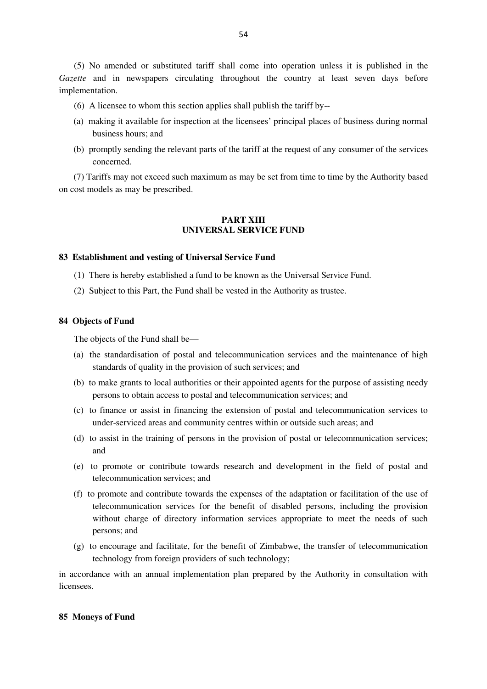(5) No amended or substituted tariff shall come into operation unless it is published in the *Gazette* and in newspapers circulating throughout the country at least seven days before implementation.

- (6) A licensee to whom this section applies shall publish the tariff by--
- (a) making it available for inspection at the licensees' principal places of business during normal business hours; and
- (b) promptly sending the relevant parts of the tariff at the request of any consumer of the services concerned.

(7) Tariffs may not exceed such maximum as may be set from time to time by the Authority based on cost models as may be prescribed.

# **PART XIII UNIVERSAL SERVICE FUND**

### **83 Establishment and vesting of Universal Service Fund**

- (1) There is hereby established a fund to be known as the Universal Service Fund.
- (2) Subject to this Part, the Fund shall be vested in the Authority as trustee.

# **84 Objects of Fund**

The objects of the Fund shall be—

- (a) the standardisation of postal and telecommunication services and the maintenance of high standards of quality in the provision of such services; and
- (b) to make grants to local authorities or their appointed agents for the purpose of assisting needy persons to obtain access to postal and telecommunication services; and
- (c) to finance or assist in financing the extension of postal and telecommunication services to under-serviced areas and community centres within or outside such areas; and
- (d) to assist in the training of persons in the provision of postal or telecommunication services; and
- (e) to promote or contribute towards research and development in the field of postal and telecommunication services; and
- (f) to promote and contribute towards the expenses of the adaptation or facilitation of the use of telecommunication services for the benefit of disabled persons, including the provision without charge of directory information services appropriate to meet the needs of such persons; and
- (g) to encourage and facilitate, for the benefit of Zimbabwe, the transfer of telecommunication technology from foreign providers of such technology;

in accordance with an annual implementation plan prepared by the Authority in consultation with licensees.

# **85 Moneys of Fund**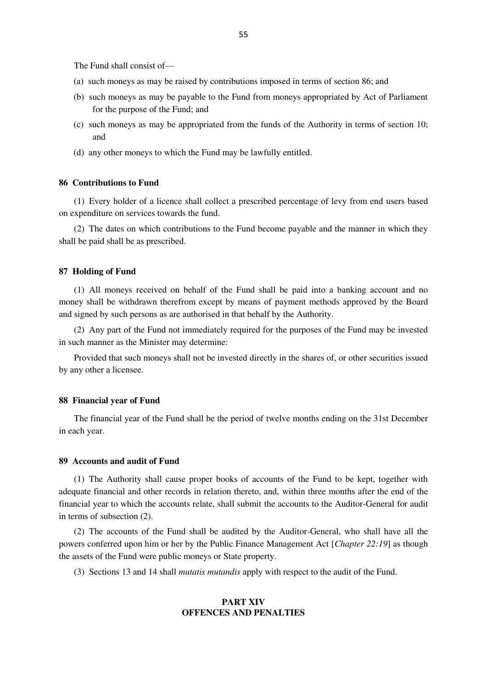The Fund shall consist of—

- (a) such moneys as may be raised by contributions imposed in terms of section 86; and
- (b) such moneys as may be payable to the Fund from moneys appropriated by Act of Parliament for the purpose of the Fund; and
- (c) such moneys as may be appropriated from the funds of the Authority in terms of section 10; and
- (d) any other moneys to which the Fund may be lawfully entitled.

# **86 Contributions to Fund**

(1) Every holder of a licence shall collect a prescribed percentage of levy from end users based on expenditure on services towards the fund.

(2) The dates on which contributions to the Fund become payable and the manner in which they shall be paid shall be as prescribed.

#### **87 Holding of Fund**

(1) All moneys received on behalf of the Fund shall be paid into a banking account and no money shall be withdrawn therefrom except by means of payment methods approved by the Board and signed by such persons as are authorised in that behalf by the Authority.

(2) Any part of the Fund not immediately required for the purposes of the Fund may be invested in such manner as the Minister may determine:

Provided that such moneys shall not be invested directly in the shares of, or other securities issued by any other a licensee.

### **88 Financial year of Fund**

The financial year of the Fund shall be the period of twelve months ending on the 31st December in each year.

# **89 Accounts and audit of Fund**

(1) The Authority shall cause proper books of accounts of the Fund to be kept, together with adequate financial and other records in relation thereto, and, within three months after the end of the financial year to which the accounts relate, shall submit the accounts to the Auditor-General for audit in terms of subsection (2).

(2) The accounts of the Fund shall be audited by the Auditor-General, who shall have all the powers conferred upon him or her by the Public Finance Management Act [*Chapter 22:19*] as though the assets of the Fund were public moneys or State property.

(3) Sections 13 and 14 shall *mutatis mutandis* apply with respect to the audit of the Fund.

## **PART XIV OFFENCES AND PENALTIES**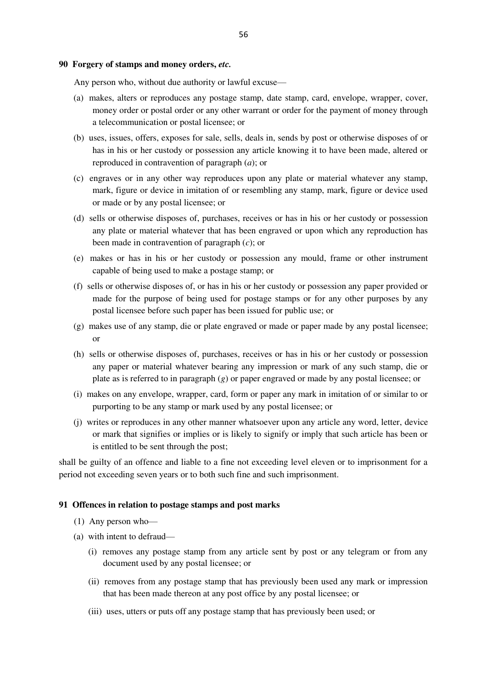#### **90 Forgery of stamps and money orders,** *etc.*

Any person who, without due authority or lawful excuse—

- (a) makes, alters or reproduces any postage stamp, date stamp, card, envelope, wrapper, cover, money order or postal order or any other warrant or order for the payment of money through a telecommunication or postal licensee; or
- (b) uses, issues, offers, exposes for sale, sells, deals in, sends by post or otherwise disposes of or has in his or her custody or possession any article knowing it to have been made, altered or reproduced in contravention of paragraph (*a*); or
- (c) engraves or in any other way reproduces upon any plate or material whatever any stamp, mark, figure or device in imitation of or resembling any stamp, mark, figure or device used or made or by any postal licensee; or
- (d) sells or otherwise disposes of, purchases, receives or has in his or her custody or possession any plate or material whatever that has been engraved or upon which any reproduction has been made in contravention of paragraph (*c*); or
- (e) makes or has in his or her custody or possession any mould, frame or other instrument capable of being used to make a postage stamp; or
- (f) sells or otherwise disposes of, or has in his or her custody or possession any paper provided or made for the purpose of being used for postage stamps or for any other purposes by any postal licensee before such paper has been issued for public use; or
- (g) makes use of any stamp, die or plate engraved or made or paper made by any postal licensee; or
- (h) sells or otherwise disposes of, purchases, receives or has in his or her custody or possession any paper or material whatever bearing any impression or mark of any such stamp, die or plate as is referred to in paragraph (*g*) or paper engraved or made by any postal licensee; or
- (i) makes on any envelope, wrapper, card, form or paper any mark in imitation of or similar to or purporting to be any stamp or mark used by any postal licensee; or
- (j) writes or reproduces in any other manner whatsoever upon any article any word, letter, device or mark that signifies or implies or is likely to signify or imply that such article has been or is entitled to be sent through the post;

shall be guilty of an offence and liable to a fine not exceeding level eleven or to imprisonment for a period not exceeding seven years or to both such fine and such imprisonment.

# **91 Offences in relation to postage stamps and post marks**

- (1) Any person who—
- (a) with intent to defraud—
	- (i) removes any postage stamp from any article sent by post or any telegram or from any document used by any postal licensee; or
	- (ii) removes from any postage stamp that has previously been used any mark or impression that has been made thereon at any post office by any postal licensee; or
	- (iii) uses, utters or puts off any postage stamp that has previously been used; or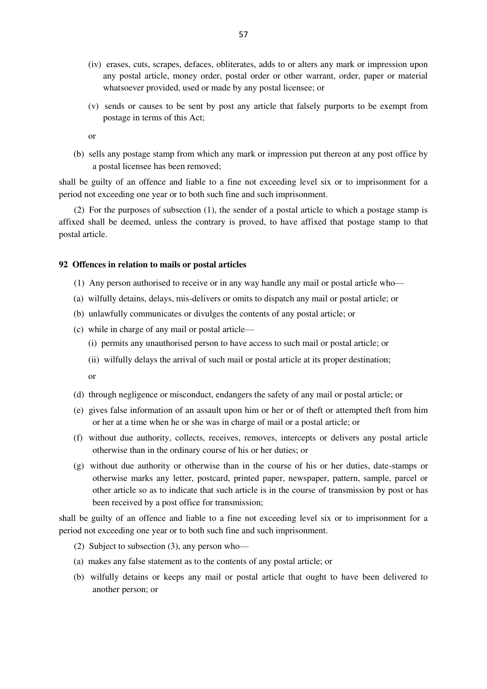- (iv) erases, cuts, scrapes, defaces, obliterates, adds to or alters any mark or impression upon any postal article, money order, postal order or other warrant, order, paper or material whatsoever provided, used or made by any postal licensee; or
- (v) sends or causes to be sent by post any article that falsely purports to be exempt from postage in terms of this Act;
- or
- (b) sells any postage stamp from which any mark or impression put thereon at any post office by a postal licensee has been removed;

shall be guilty of an offence and liable to a fine not exceeding level six or to imprisonment for a period not exceeding one year or to both such fine and such imprisonment.

(2) For the purposes of subsection (1), the sender of a postal article to which a postage stamp is affixed shall be deemed, unless the contrary is proved, to have affixed that postage stamp to that postal article.

# **92 Offences in relation to mails or postal articles**

- (1) Any person authorised to receive or in any way handle any mail or postal article who—
- (a) wilfully detains, delays, mis-delivers or omits to dispatch any mail or postal article; or
- (b) unlawfully communicates or divulges the contents of any postal article; or
- (c) while in charge of any mail or postal article—
	- (i) permits any unauthorised person to have access to such mail or postal article; or
	- (ii) wilfully delays the arrival of such mail or postal article at its proper destination;

or

- (d) through negligence or misconduct, endangers the safety of any mail or postal article; or
- (e) gives false information of an assault upon him or her or of theft or attempted theft from him or her at a time when he or she was in charge of mail or a postal article; or
- (f) without due authority, collects, receives, removes, intercepts or delivers any postal article otherwise than in the ordinary course of his or her duties; or
- (g) without due authority or otherwise than in the course of his or her duties, date-stamps or otherwise marks any letter, postcard, printed paper, newspaper, pattern, sample, parcel or other article so as to indicate that such article is in the course of transmission by post or has been received by a post office for transmission;

shall be guilty of an offence and liable to a fine not exceeding level six or to imprisonment for a period not exceeding one year or to both such fine and such imprisonment.

- (2) Subject to subsection (3), any person who—
- (a) makes any false statement as to the contents of any postal article; or
- (b) wilfully detains or keeps any mail or postal article that ought to have been delivered to another person; or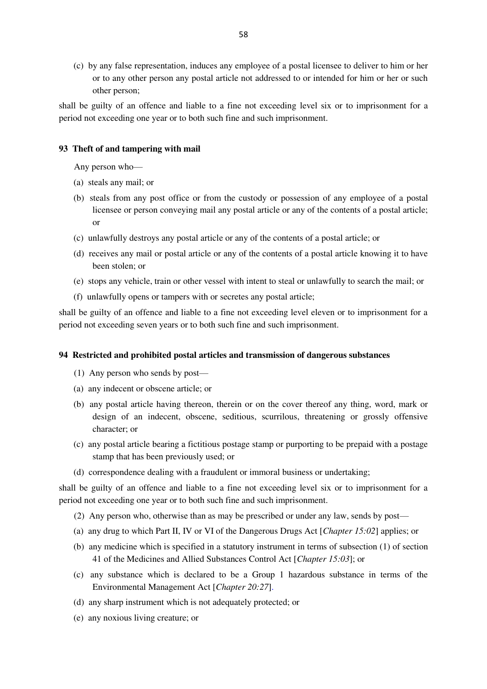(c) by any false representation, induces any employee of a postal licensee to deliver to him or her or to any other person any postal article not addressed to or intended for him or her or such other person;

shall be guilty of an offence and liable to a fine not exceeding level six or to imprisonment for a period not exceeding one year or to both such fine and such imprisonment.

# **93 Theft of and tampering with mail**

Any person who—

- (a) steals any mail; or
- (b) steals from any post office or from the custody or possession of any employee of a postal licensee or person conveying mail any postal article or any of the contents of a postal article; or
- (c) unlawfully destroys any postal article or any of the contents of a postal article; or
- (d) receives any mail or postal article or any of the contents of a postal article knowing it to have been stolen; or
- (e) stops any vehicle, train or other vessel with intent to steal or unlawfully to search the mail; or
- (f) unlawfully opens or tampers with or secretes any postal article;

shall be guilty of an offence and liable to a fine not exceeding level eleven or to imprisonment for a period not exceeding seven years or to both such fine and such imprisonment.

### **94 Restricted and prohibited postal articles and transmission of dangerous substances**

- (1) Any person who sends by post—
- (a) any indecent or obscene article; or
- (b) any postal article having thereon, therein or on the cover thereof any thing, word, mark or design of an indecent, obscene, seditious, scurrilous, threatening or grossly offensive character; or
- (c) any postal article bearing a fictitious postage stamp or purporting to be prepaid with a postage stamp that has been previously used; or
- (d) correspondence dealing with a fraudulent or immoral business or undertaking;

shall be guilty of an offence and liable to a fine not exceeding level six or to imprisonment for a period not exceeding one year or to both such fine and such imprisonment.

- (2) Any person who, otherwise than as may be prescribed or under any law, sends by post—
- (a) any drug to which Part II, IV or VI of the Dangerous Drugs Act [*Chapter 15:02*] applies; or
- (b) any medicine which is specified in a statutory instrument in terms of subsection (1) of section 41 of the Medicines and Allied Substances Control Act [*Chapter 15:03*]; or
- (c) any substance which is declared to be a Group 1 hazardous substance in terms of the Environmental Management Act [*Chapter 20:27*].
- (d) any sharp instrument which is not adequately protected; or
- (e) any noxious living creature; or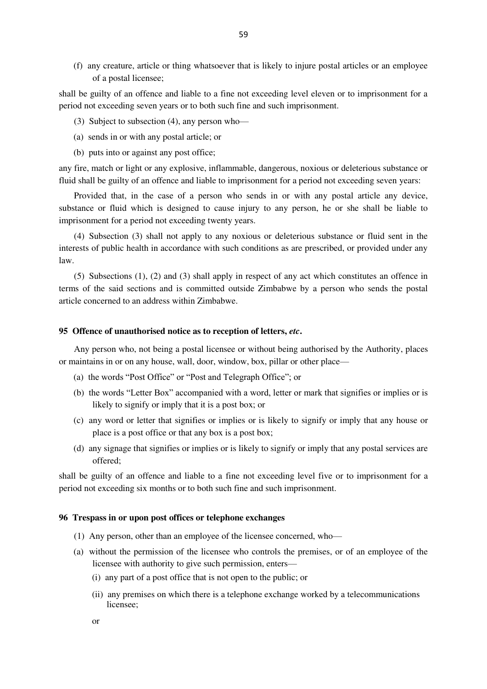(f) any creature, article or thing whatsoever that is likely to injure postal articles or an employee of a postal licensee;

shall be guilty of an offence and liable to a fine not exceeding level eleven or to imprisonment for a period not exceeding seven years or to both such fine and such imprisonment.

- (3) Subject to subsection (4), any person who—
- (a) sends in or with any postal article; or
- (b) puts into or against any post office;

any fire, match or light or any explosive, inflammable, dangerous, noxious or deleterious substance or fluid shall be guilty of an offence and liable to imprisonment for a period not exceeding seven years:

Provided that, in the case of a person who sends in or with any postal article any device, substance or fluid which is designed to cause injury to any person, he or she shall be liable to imprisonment for a period not exceeding twenty years.

(4) Subsection (3) shall not apply to any noxious or deleterious substance or fluid sent in the interests of public health in accordance with such conditions as are prescribed, or provided under any law.

(5) Subsections (1), (2) and (3) shall apply in respect of any act which constitutes an offence in terms of the said sections and is committed outside Zimbabwe by a person who sends the postal article concerned to an address within Zimbabwe.

### **95 Offence of unauthorised notice as to reception of letters,** *etc***.**

Any person who, not being a postal licensee or without being authorised by the Authority, places or maintains in or on any house, wall, door, window, box, pillar or other place—

- (a) the words "Post Office" or "Post and Telegraph Office"; or
- (b) the words "Letter Box" accompanied with a word, letter or mark that signifies or implies or is likely to signify or imply that it is a post box; or
- (c) any word or letter that signifies or implies or is likely to signify or imply that any house or place is a post office or that any box is a post box;
- (d) any signage that signifies or implies or is likely to signify or imply that any postal services are offered;

shall be guilty of an offence and liable to a fine not exceeding level five or to imprisonment for a period not exceeding six months or to both such fine and such imprisonment.

# **96 Trespass in or upon post offices or telephone exchanges**

- (1) Any person, other than an employee of the licensee concerned, who—
- (a) without the permission of the licensee who controls the premises, or of an employee of the licensee with authority to give such permission, enters—
	- (i) any part of a post office that is not open to the public; or
	- (ii) any premises on which there is a telephone exchange worked by a telecommunications licensee;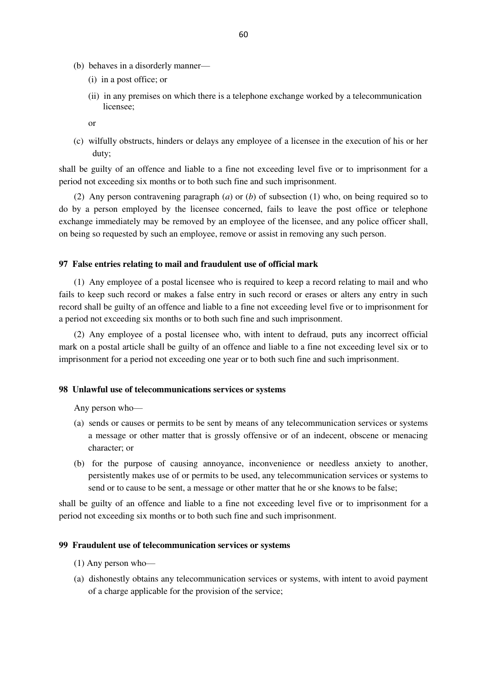- (b) behaves in a disorderly manner—
	- (i) in a post office; or
	- (ii) in any premises on which there is a telephone exchange worked by a telecommunication licensee;

or

(c) wilfully obstructs, hinders or delays any employee of a licensee in the execution of his or her duty;

shall be guilty of an offence and liable to a fine not exceeding level five or to imprisonment for a period not exceeding six months or to both such fine and such imprisonment.

(2) Any person contravening paragraph (*a*) or (*b*) of subsection (1) who, on being required so to do by a person employed by the licensee concerned, fails to leave the post office or telephone exchange immediately may be removed by an employee of the licensee, and any police officer shall, on being so requested by such an employee, remove or assist in removing any such person.

# **97 False entries relating to mail and fraudulent use of official mark**

(1) Any employee of a postal licensee who is required to keep a record relating to mail and who fails to keep such record or makes a false entry in such record or erases or alters any entry in such record shall be guilty of an offence and liable to a fine not exceeding level five or to imprisonment for a period not exceeding six months or to both such fine and such imprisonment.

(2) Any employee of a postal licensee who, with intent to defraud, puts any incorrect official mark on a postal article shall be guilty of an offence and liable to a fine not exceeding level six or to imprisonment for a period not exceeding one year or to both such fine and such imprisonment.

# **98 Unlawful use of telecommunications services or systems**

Any person who—

- (a) sends or causes or permits to be sent by means of any telecommunication services or systems a message or other matter that is grossly offensive or of an indecent, obscene or menacing character; or
- (b) for the purpose of causing annoyance, inconvenience or needless anxiety to another, persistently makes use of or permits to be used, any telecommunication services or systems to send or to cause to be sent, a message or other matter that he or she knows to be false;

shall be guilty of an offence and liable to a fine not exceeding level five or to imprisonment for a period not exceeding six months or to both such fine and such imprisonment.

# **99 Fraudulent use of telecommunication services or systems**

- (1) Any person who—
- (a) dishonestly obtains any telecommunication services or systems, with intent to avoid payment of a charge applicable for the provision of the service;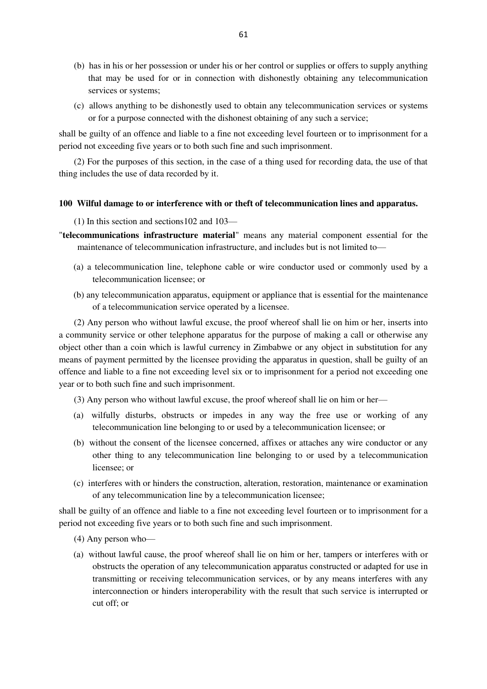- (b) has in his or her possession or under his or her control or supplies or offers to supply anything that may be used for or in connection with dishonestly obtaining any telecommunication services or systems;
- (c) allows anything to be dishonestly used to obtain any telecommunication services or systems or for a purpose connected with the dishonest obtaining of any such a service;

shall be guilty of an offence and liable to a fine not exceeding level fourteen or to imprisonment for a period not exceeding five years or to both such fine and such imprisonment.

(2) For the purposes of this section, in the case of a thing used for recording data, the use of that thing includes the use of data recorded by it.

# **100 Wilful damage to or interference with or theft of telecommunication lines and apparatus.**

(1) In this section and sections102 and 103—

- "**telecommunications infrastructure material**" means any material component essential for the maintenance of telecommunication infrastructure, and includes but is not limited to—
	- (a) a telecommunication line, telephone cable or wire conductor used or commonly used by a telecommunication licensee; or
	- (b) any telecommunication apparatus, equipment or appliance that is essential for the maintenance of a telecommunication service operated by a licensee.

(2) Any person who without lawful excuse, the proof whereof shall lie on him or her, inserts into a community service or other telephone apparatus for the purpose of making a call or otherwise any object other than a coin which is lawful currency in Zimbabwe or any object in substitution for any means of payment permitted by the licensee providing the apparatus in question, shall be guilty of an offence and liable to a fine not exceeding level six or to imprisonment for a period not exceeding one year or to both such fine and such imprisonment.

- (3) Any person who without lawful excuse, the proof whereof shall lie on him or her—
- (a) wilfully disturbs, obstructs or impedes in any way the free use or working of any telecommunication line belonging to or used by a telecommunication licensee; or
- (b) without the consent of the licensee concerned, affixes or attaches any wire conductor or any other thing to any telecommunication line belonging to or used by a telecommunication licensee; or
- (c) interferes with or hinders the construction, alteration, restoration, maintenance or examination of any telecommunication line by a telecommunication licensee;

shall be guilty of an offence and liable to a fine not exceeding level fourteen or to imprisonment for a period not exceeding five years or to both such fine and such imprisonment.

- (4) Any person who—
- (a) without lawful cause, the proof whereof shall lie on him or her, tampers or interferes with or obstructs the operation of any telecommunication apparatus constructed or adapted for use in transmitting or receiving telecommunication services, or by any means interferes with any interconnection or hinders interoperability with the result that such service is interrupted or cut off; or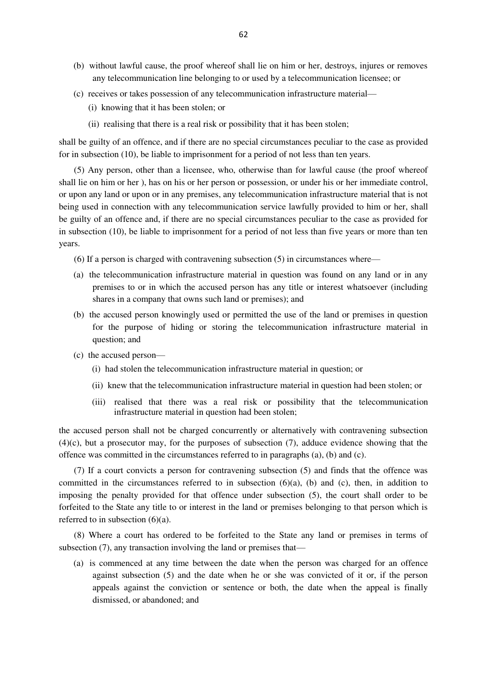- (b) without lawful cause, the proof whereof shall lie on him or her, destroys, injures or removes any telecommunication line belonging to or used by a telecommunication licensee; or
- (c) receives or takes possession of any telecommunication infrastructure material—
	- (i) knowing that it has been stolen; or
	- (ii) realising that there is a real risk or possibility that it has been stolen;

shall be guilty of an offence, and if there are no special circumstances peculiar to the case as provided for in subsection (10), be liable to imprisonment for a period of not less than ten years.

(5) Any person, other than a licensee, who, otherwise than for lawful cause (the proof whereof shall lie on him or her ), has on his or her person or possession, or under his or her immediate control, or upon any land or upon or in any premises, any telecommunication infrastructure material that is not being used in connection with any telecommunication service lawfully provided to him or her, shall be guilty of an offence and, if there are no special circumstances peculiar to the case as provided for in subsection (10), be liable to imprisonment for a period of not less than five years or more than ten years.

- (6) If a person is charged with contravening subsection (5) in circumstances where—
- (a) the telecommunication infrastructure material in question was found on any land or in any premises to or in which the accused person has any title or interest whatsoever (including shares in a company that owns such land or premises); and
- (b) the accused person knowingly used or permitted the use of the land or premises in question for the purpose of hiding or storing the telecommunication infrastructure material in question; and
- (c) the accused person—
	- (i) had stolen the telecommunication infrastructure material in question; or
	- (ii) knew that the telecommunication infrastructure material in question had been stolen; or
	- (iii) realised that there was a real risk or possibility that the telecommunication infrastructure material in question had been stolen;

the accused person shall not be charged concurrently or alternatively with contravening subsection (4)(c), but a prosecutor may, for the purposes of subsection (7), adduce evidence showing that the offence was committed in the circumstances referred to in paragraphs  $(a)$ ,  $(b)$  and  $(c)$ .

(7) If a court convicts a person for contravening subsection (5) and finds that the offence was committed in the circumstances referred to in subsection  $(6)(a)$ ,  $(b)$  and  $(c)$ , then, in addition to imposing the penalty provided for that offence under subsection (5), the court shall order to be forfeited to the State any title to or interest in the land or premises belonging to that person which is referred to in subsection  $(6)(a)$ .

(8) Where a court has ordered to be forfeited to the State any land or premises in terms of subsection (7), any transaction involving the land or premises that—

(a) is commenced at any time between the date when the person was charged for an offence against subsection (5) and the date when he or she was convicted of it or, if the person appeals against the conviction or sentence or both, the date when the appeal is finally dismissed, or abandoned; and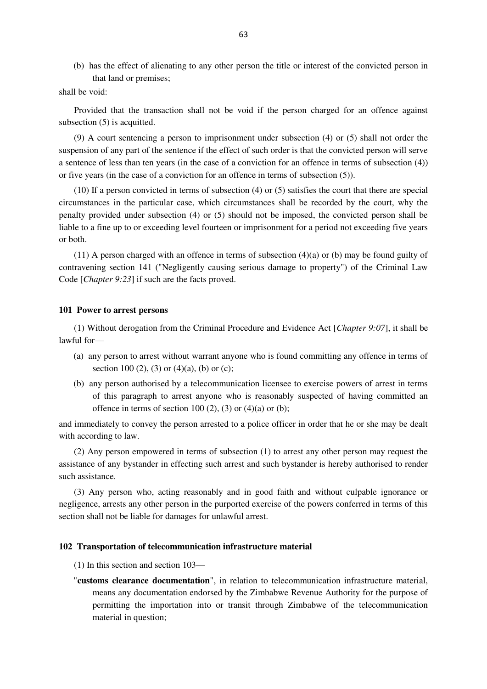(b) has the effect of alienating to any other person the title or interest of the convicted person in that land or premises;

#### shall be void:

Provided that the transaction shall not be void if the person charged for an offence against subsection (5) is acquitted.

(9) A court sentencing a person to imprisonment under subsection (4) or (5) shall not order the suspension of any part of the sentence if the effect of such order is that the convicted person will serve a sentence of less than ten years (in the case of a conviction for an offence in terms of subsection (4)) or five years (in the case of a conviction for an offence in terms of subsection (5)).

(10) If a person convicted in terms of subsection (4) or (5) satisfies the court that there are special circumstances in the particular case, which circumstances shall be recorded by the court, why the penalty provided under subsection (4) or (5) should not be imposed, the convicted person shall be liable to a fine up to or exceeding level fourteen or imprisonment for a period not exceeding five years or both.

 $(11)$  A person charged with an offence in terms of subsection  $(4)(a)$  or (b) may be found guilty of contravening section 141 ("Negligently causing serious damage to property") of the Criminal Law Code [*Chapter 9:23*] if such are the facts proved.

# **101 Power to arrest persons**

(1) Without derogation from the Criminal Procedure and Evidence Act [*Chapter 9:07*], it shall be lawful for—

- (a) any person to arrest without warrant anyone who is found committing any offence in terms of section 100 (2), (3) or (4)(a), (b) or (c);
- (b) any person authorised by a telecommunication licensee to exercise powers of arrest in terms of this paragraph to arrest anyone who is reasonably suspected of having committed an offence in terms of section 100 (2), (3) or (4)(a) or (b);

and immediately to convey the person arrested to a police officer in order that he or she may be dealt with according to law.

(2) Any person empowered in terms of subsection (1) to arrest any other person may request the assistance of any bystander in effecting such arrest and such bystander is hereby authorised to render such assistance.

(3) Any person who, acting reasonably and in good faith and without culpable ignorance or negligence, arrests any other person in the purported exercise of the powers conferred in terms of this section shall not be liable for damages for unlawful arrest.

### **102 Transportation of telecommunication infrastructure material**

- (1) In this section and section 103—
- "**customs clearance documentation**", in relation to telecommunication infrastructure material, means any documentation endorsed by the Zimbabwe Revenue Authority for the purpose of permitting the importation into or transit through Zimbabwe of the telecommunication material in question;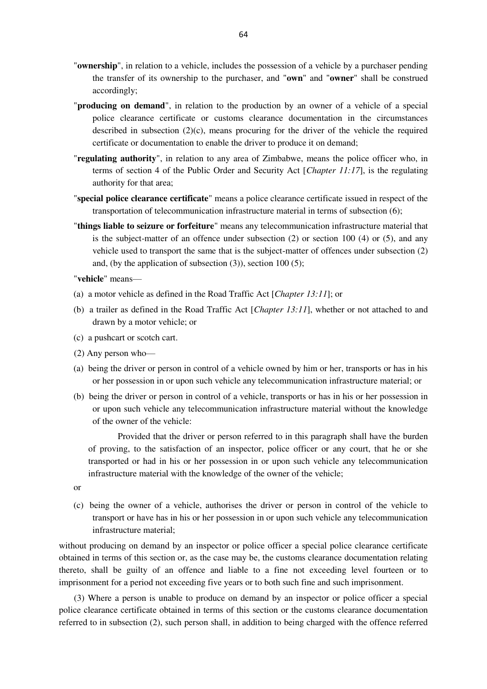- "**ownership**", in relation to a vehicle, includes the possession of a vehicle by a purchaser pending the transfer of its ownership to the purchaser, and "**own**" and "**owner**" shall be construed accordingly;
- "**producing on demand**", in relation to the production by an owner of a vehicle of a special police clearance certificate or customs clearance documentation in the circumstances described in subsection  $(2)(c)$ , means procuring for the driver of the vehicle the required certificate or documentation to enable the driver to produce it on demand;
- "**regulating authority**", in relation to any area of Zimbabwe, means the police officer who, in terms of section 4 of the Public Order and Security Act [*Chapter 11:17*], is the regulating authority for that area;
- "**special police clearance certificate**" means a police clearance certificate issued in respect of the transportation of telecommunication infrastructure material in terms of subsection (6);
- "**things liable to seizure or forfeiture**" means any telecommunication infrastructure material that is the subject-matter of an offence under subsection  $(2)$  or section 100  $(4)$  or  $(5)$ , and any vehicle used to transport the same that is the subject-matter of offences under subsection (2) and, (by the application of subsection (3)), section 100 (5);

"**vehicle**" means—

- (a) a motor vehicle as defined in the Road Traffic Act [*Chapter 13:11*]; or
- (b) a trailer as defined in the Road Traffic Act [*Chapter 13:11*], whether or not attached to and drawn by a motor vehicle; or
- (c) a pushcart or scotch cart.
- (2) Any person who—
- (a) being the driver or person in control of a vehicle owned by him or her, transports or has in his or her possession in or upon such vehicle any telecommunication infrastructure material; or
- (b) being the driver or person in control of a vehicle, transports or has in his or her possession in or upon such vehicle any telecommunication infrastructure material without the knowledge of the owner of the vehicle:

 Provided that the driver or person referred to in this paragraph shall have the burden of proving, to the satisfaction of an inspector, police officer or any court, that he or she transported or had in his or her possession in or upon such vehicle any telecommunication infrastructure material with the knowledge of the owner of the vehicle;

- or
- (c) being the owner of a vehicle, authorises the driver or person in control of the vehicle to transport or have has in his or her possession in or upon such vehicle any telecommunication infrastructure material;

without producing on demand by an inspector or police officer a special police clearance certificate obtained in terms of this section or, as the case may be, the customs clearance documentation relating thereto, shall be guilty of an offence and liable to a fine not exceeding level fourteen or to imprisonment for a period not exceeding five years or to both such fine and such imprisonment.

(3) Where a person is unable to produce on demand by an inspector or police officer a special police clearance certificate obtained in terms of this section or the customs clearance documentation referred to in subsection (2), such person shall, in addition to being charged with the offence referred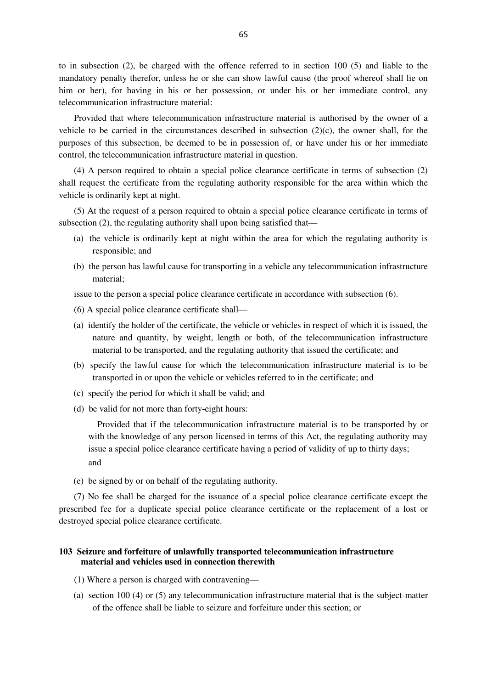to in subsection (2), be charged with the offence referred to in section 100 (5) and liable to the mandatory penalty therefor, unless he or she can show lawful cause (the proof whereof shall lie on him or her), for having in his or her possession, or under his or her immediate control, any telecommunication infrastructure material:

Provided that where telecommunication infrastructure material is authorised by the owner of a vehicle to be carried in the circumstances described in subsection (2)(c), the owner shall, for the purposes of this subsection, be deemed to be in possession of, or have under his or her immediate control, the telecommunication infrastructure material in question.

(4) A person required to obtain a special police clearance certificate in terms of subsection (2) shall request the certificate from the regulating authority responsible for the area within which the vehicle is ordinarily kept at night.

(5) At the request of a person required to obtain a special police clearance certificate in terms of subsection (2), the regulating authority shall upon being satisfied that—

- (a) the vehicle is ordinarily kept at night within the area for which the regulating authority is responsible; and
- (b) the person has lawful cause for transporting in a vehicle any telecommunication infrastructure material;

issue to the person a special police clearance certificate in accordance with subsection (6).

- (6) A special police clearance certificate shall—
- (a) identify the holder of the certificate, the vehicle or vehicles in respect of which it is issued, the nature and quantity, by weight, length or both, of the telecommunication infrastructure material to be transported, and the regulating authority that issued the certificate; and
- (b) specify the lawful cause for which the telecommunication infrastructure material is to be transported in or upon the vehicle or vehicles referred to in the certificate; and
- (c) specify the period for which it shall be valid; and
- (d) be valid for not more than forty-eight hours:

 Provided that if the telecommunication infrastructure material is to be transported by or with the knowledge of any person licensed in terms of this Act, the regulating authority may issue a special police clearance certificate having a period of validity of up to thirty days; and

(e) be signed by or on behalf of the regulating authority.

(7) No fee shall be charged for the issuance of a special police clearance certificate except the prescribed fee for a duplicate special police clearance certificate or the replacement of a lost or destroyed special police clearance certificate.

# **103 Seizure and forfeiture of unlawfully transported telecommunication infrastructure material and vehicles used in connection therewith**

- (1) Where a person is charged with contravening—
- (a) section 100 (4) or (5) any telecommunication infrastructure material that is the subject-matter of the offence shall be liable to seizure and forfeiture under this section; or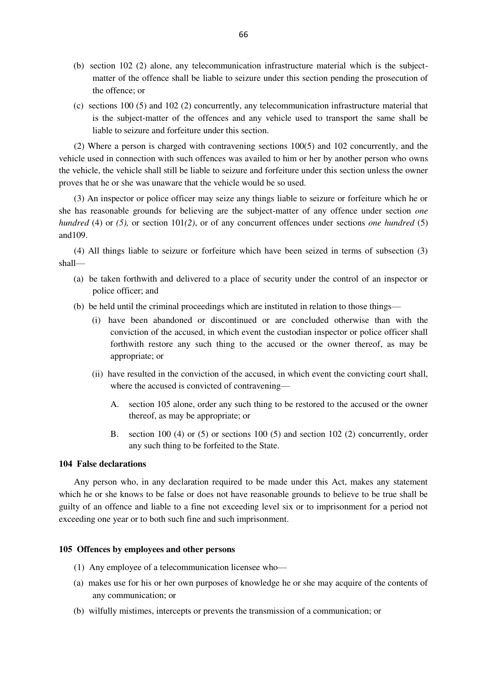- (b) section 102 (2) alone, any telecommunication infrastructure material which is the subjectmatter of the offence shall be liable to seizure under this section pending the prosecution of the offence; or
- (c) sections 100 (5) and 102 (2) concurrently, any telecommunication infrastructure material that is the subject-matter of the offences and any vehicle used to transport the same shall be liable to seizure and forfeiture under this section.

(2) Where a person is charged with contravening sections 100(5) and 102 concurrently, and the vehicle used in connection with such offences was availed to him or her by another person who owns the vehicle, the vehicle shall still be liable to seizure and forfeiture under this section unless the owner proves that he or she was unaware that the vehicle would be so used.

(3) An inspector or police officer may seize any things liable to seizure or forfeiture which he or she has reasonable grounds for believing are the subject-matter of any offence under section *one hundred* (4) or *(5),* or section 101*(2)*, or of any concurrent offences under sections *one hundred* (5) and109.

(4) All things liable to seizure or forfeiture which have been seized in terms of subsection (3) shall—

- (a) be taken forthwith and delivered to a place of security under the control of an inspector or police officer; and
- (b) be held until the criminal proceedings which are instituted in relation to those things—
	- (i) have been abandoned or discontinued or are concluded otherwise than with the conviction of the accused, in which event the custodian inspector or police officer shall forthwith restore any such thing to the accused or the owner thereof, as may be appropriate; or
	- (ii) have resulted in the conviction of the accused, in which event the convicting court shall, where the accused is convicted of contravening—
		- A. section 105 alone, order any such thing to be restored to the accused or the owner thereof, as may be appropriate; or
		- B. section 100 (4) or (5) or sections 100 (5) and section 102 (2) concurrently, order any such thing to be forfeited to the State.

# **104 False declarations**

Any person who, in any declaration required to be made under this Act, makes any statement which he or she knows to be false or does not have reasonable grounds to believe to be true shall be guilty of an offence and liable to a fine not exceeding level six or to imprisonment for a period not exceeding one year or to both such fine and such imprisonment.

# **105 Offences by employees and other persons**

- (1) Any employee of a telecommunication licensee who—
- (a) makes use for his or her own purposes of knowledge he or she may acquire of the contents of any communication; or
- (b) wilfully mistimes, intercepts or prevents the transmission of a communication; or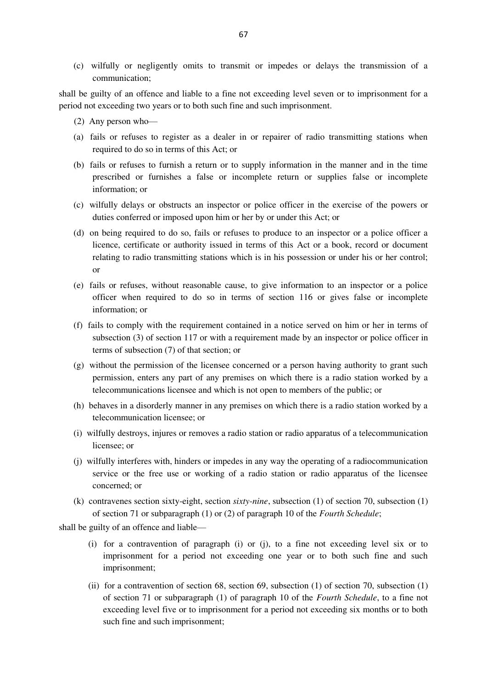(c) wilfully or negligently omits to transmit or impedes or delays the transmission of a communication;

shall be guilty of an offence and liable to a fine not exceeding level seven or to imprisonment for a period not exceeding two years or to both such fine and such imprisonment.

- (2) Any person who—
- (a) fails or refuses to register as a dealer in or repairer of radio transmitting stations when required to do so in terms of this Act; or
- (b) fails or refuses to furnish a return or to supply information in the manner and in the time prescribed or furnishes a false or incomplete return or supplies false or incomplete information; or
- (c) wilfully delays or obstructs an inspector or police officer in the exercise of the powers or duties conferred or imposed upon him or her by or under this Act; or
- (d) on being required to do so, fails or refuses to produce to an inspector or a police officer a licence, certificate or authority issued in terms of this Act or a book, record or document relating to radio transmitting stations which is in his possession or under his or her control; or
- (e) fails or refuses, without reasonable cause, to give information to an inspector or a police officer when required to do so in terms of section 116 or gives false or incomplete information; or
- (f) fails to comply with the requirement contained in a notice served on him or her in terms of subsection (3) of section 117 or with a requirement made by an inspector or police officer in terms of subsection (7) of that section; or
- (g) without the permission of the licensee concerned or a person having authority to grant such permission, enters any part of any premises on which there is a radio station worked by a telecommunications licensee and which is not open to members of the public; or
- (h) behaves in a disorderly manner in any premises on which there is a radio station worked by a telecommunication licensee; or
- (i) wilfully destroys, injures or removes a radio station or radio apparatus of a telecommunication licensee; or
- (j) wilfully interferes with, hinders or impedes in any way the operating of a radiocommunication service or the free use or working of a radio station or radio apparatus of the licensee concerned; or
- (k) contravenes section sixty-eight, section *sixty-nine*, subsection (1) of section 70, subsection (1) of section 71 or subparagraph (1) or (2) of paragraph 10 of the *Fourth Schedule*;

shall be guilty of an offence and liable—

- (i) for a contravention of paragraph (i) or (j), to a fine not exceeding level six or to imprisonment for a period not exceeding one year or to both such fine and such imprisonment;
- (ii) for a contravention of section 68, section 69, subsection (1) of section 70, subsection (1) of section 71 or subparagraph (1) of paragraph 10 of the *Fourth Schedule*, to a fine not exceeding level five or to imprisonment for a period not exceeding six months or to both such fine and such imprisonment;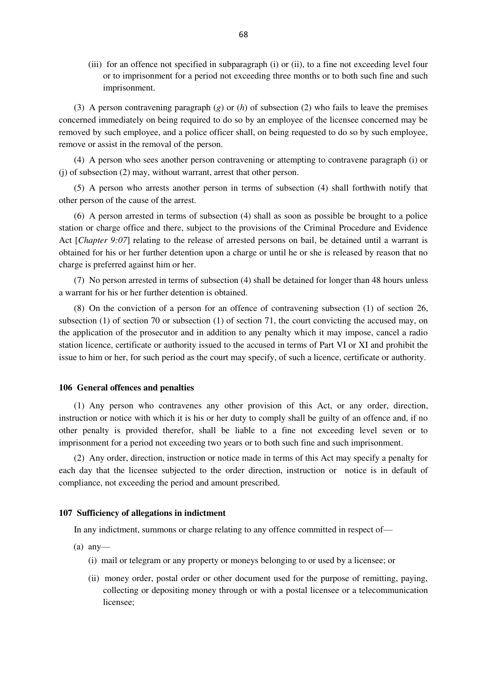(iii) for an offence not specified in subparagraph (i) or (ii), to a fine not exceeding level four or to imprisonment for a period not exceeding three months or to both such fine and such imprisonment.

(3) A person contravening paragraph (*g*) or (*h*) of subsection (2) who fails to leave the premises concerned immediately on being required to do so by an employee of the licensee concerned may be removed by such employee, and a police officer shall, on being requested to do so by such employee, remove or assist in the removal of the person.

(4) A person who sees another person contravening or attempting to contravene paragraph (i) or (j) of subsection (2) may, without warrant, arrest that other person.

(5) A person who arrests another person in terms of subsection (4) shall forthwith notify that other person of the cause of the arrest.

(6) A person arrested in terms of subsection (4) shall as soon as possible be brought to a police station or charge office and there, subject to the provisions of the Criminal Procedure and Evidence Act [*Chapter 9:07*] relating to the release of arrested persons on bail, be detained until a warrant is obtained for his or her further detention upon a charge or until he or she is released by reason that no charge is preferred against him or her.

(7) No person arrested in terms of subsection (4) shall be detained for longer than 48 hours unless a warrant for his or her further detention is obtained.

(8) On the conviction of a person for an offence of contravening subsection (1) of section 26, subsection (1) of section 70 or subsection (1) of section 71, the court convicting the accused may, on the application of the prosecutor and in addition to any penalty which it may impose, cancel a radio station licence, certificate or authority issued to the accused in terms of Part VI or XI and prohibit the issue to him or her, for such period as the court may specify, of such a licence, certificate or authority.

#### **106 General offences and penalties**

(1) Any person who contravenes any other provision of this Act, or any order, direction, instruction or notice with which it is his or her duty to comply shall be guilty of an offence and, if no other penalty is provided therefor, shall be liable to a fine not exceeding level seven or to imprisonment for a period not exceeding two years or to both such fine and such imprisonment.

(2) Any order, direction, instruction or notice made in terms of this Act may specify a penalty for each day that the licensee subjected to the order direction, instruction or notice is in default of compliance, not exceeding the period and amount prescribed.

### **107 Sufficiency of allegations in indictment**

In any indictment, summons or charge relating to any offence committed in respect of—

- $(a)$  any-
	- (i) mail or telegram or any property or moneys belonging to or used by a licensee; or
	- (ii) money order, postal order or other document used for the purpose of remitting, paying, collecting or depositing money through or with a postal licensee or a telecommunication licensee;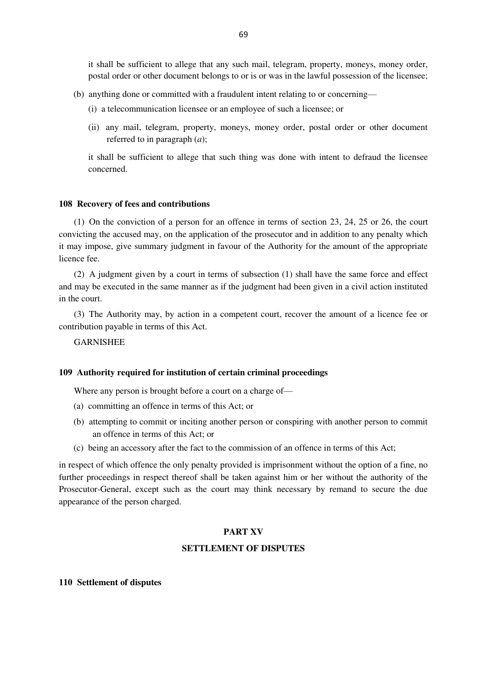it shall be sufficient to allege that any such mail, telegram, property, moneys, money order, postal order or other document belongs to or is or was in the lawful possession of the licensee;

- (b) anything done or committed with a fraudulent intent relating to or concerning—
	- (i) a telecommunication licensee or an employee of such a licensee; or
	- (ii) any mail, telegram, property, moneys, money order, postal order or other document referred to in paragraph (*a*);

it shall be sufficient to allege that such thing was done with intent to defraud the licensee concerned.

#### **108 Recovery of fees and contributions**

(1) On the conviction of a person for an offence in terms of section 23, 24, 25 or 26, the court convicting the accused may, on the application of the prosecutor and in addition to any penalty which it may impose, give summary judgment in favour of the Authority for the amount of the appropriate licence fee.

(2) A judgment given by a court in terms of subsection (1) shall have the same force and effect and may be executed in the same manner as if the judgment had been given in a civil action instituted in the court.

(3) The Authority may, by action in a competent court, recover the amount of a licence fee or contribution payable in terms of this Act.

GARNISHEE

# **109 Authority required for institution of certain criminal proceedings**

Where any person is brought before a court on a charge of—

- (a) committing an offence in terms of this Act; or
- (b) attempting to commit or inciting another person or conspiring with another person to commit an offence in terms of this Act; or
- (c) being an accessory after the fact to the commission of an offence in terms of this Act;

in respect of which offence the only penalty provided is imprisonment without the option of a fine, no further proceedings in respect thereof shall be taken against him or her without the authority of the Prosecutor-General, except such as the court may think necessary by remand to secure the due appearance of the person charged.

# **PART XV**

## **SETTLEMENT OF DISPUTES**

#### **110 Settlement of disputes**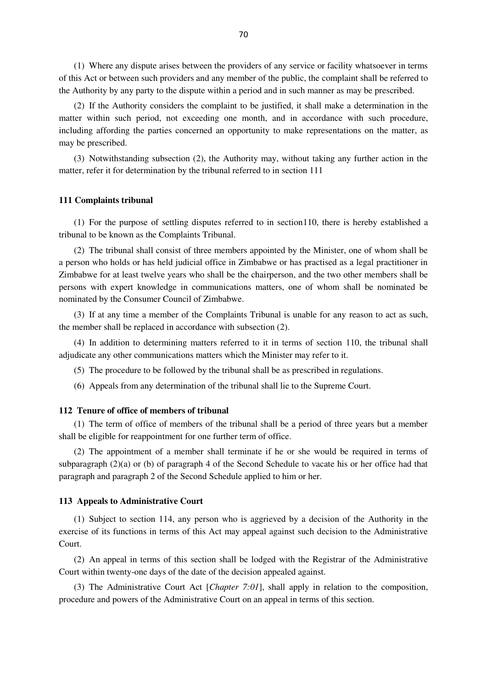(1) Where any dispute arises between the providers of any service or facility whatsoever in terms of this Act or between such providers and any member of the public, the complaint shall be referred to the Authority by any party to the dispute within a period and in such manner as may be prescribed.

(2) If the Authority considers the complaint to be justified, it shall make a determination in the matter within such period, not exceeding one month, and in accordance with such procedure, including affording the parties concerned an opportunity to make representations on the matter, as may be prescribed.

(3) Notwithstanding subsection (2), the Authority may, without taking any further action in the matter, refer it for determination by the tribunal referred to in section 111

### **111 Complaints tribunal**

(1) For the purpose of settling disputes referred to in section110, there is hereby established a tribunal to be known as the Complaints Tribunal.

(2) The tribunal shall consist of three members appointed by the Minister, one of whom shall be a person who holds or has held judicial office in Zimbabwe or has practised as a legal practitioner in Zimbabwe for at least twelve years who shall be the chairperson, and the two other members shall be persons with expert knowledge in communications matters, one of whom shall be nominated be nominated by the Consumer Council of Zimbabwe.

(3) If at any time a member of the Complaints Tribunal is unable for any reason to act as such, the member shall be replaced in accordance with subsection (2).

(4) In addition to determining matters referred to it in terms of section 110, the tribunal shall adjudicate any other communications matters which the Minister may refer to it.

(5) The procedure to be followed by the tribunal shall be as prescribed in regulations.

(6) Appeals from any determination of the tribunal shall lie to the Supreme Court.

# **112 Tenure of office of members of tribunal**

(1) The term of office of members of the tribunal shall be a period of three years but a member shall be eligible for reappointment for one further term of office.

(2) The appointment of a member shall terminate if he or she would be required in terms of subparagraph (2)(a) or (b) of paragraph 4 of the Second Schedule to vacate his or her office had that paragraph and paragraph 2 of the Second Schedule applied to him or her.

### **113 Appeals to Administrative Court**

(1) Subject to section 114, any person who is aggrieved by a decision of the Authority in the exercise of its functions in terms of this Act may appeal against such decision to the Administrative Court.

(2) An appeal in terms of this section shall be lodged with the Registrar of the Administrative Court within twenty-one days of the date of the decision appealed against.

(3) The Administrative Court Act [*Chapter 7:01*], shall apply in relation to the composition, procedure and powers of the Administrative Court on an appeal in terms of this section.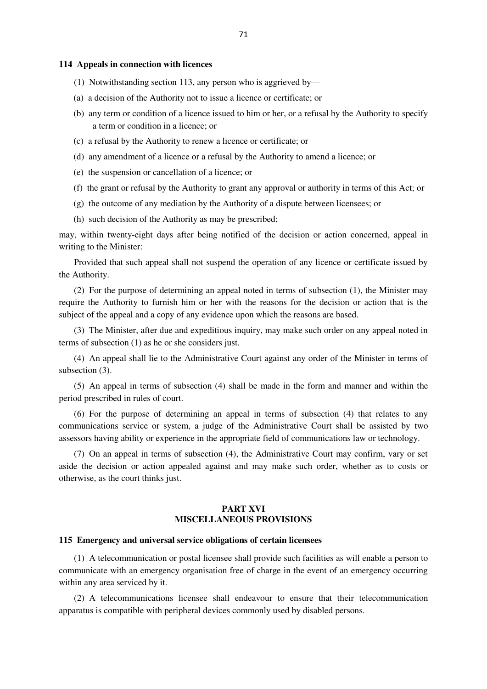#### **114 Appeals in connection with licences**

- (1) Notwithstanding section 113, any person who is aggrieved by—
- (a) a decision of the Authority not to issue a licence or certificate; or
- (b) any term or condition of a licence issued to him or her, or a refusal by the Authority to specify a term or condition in a licence; or
- (c) a refusal by the Authority to renew a licence or certificate; or
- (d) any amendment of a licence or a refusal by the Authority to amend a licence; or
- (e) the suspension or cancellation of a licence; or
- (f) the grant or refusal by the Authority to grant any approval or authority in terms of this Act; or
- (g) the outcome of any mediation by the Authority of a dispute between licensees; or
- (h) such decision of the Authority as may be prescribed;

may, within twenty-eight days after being notified of the decision or action concerned, appeal in writing to the Minister:

Provided that such appeal shall not suspend the operation of any licence or certificate issued by the Authority.

(2) For the purpose of determining an appeal noted in terms of subsection (1), the Minister may require the Authority to furnish him or her with the reasons for the decision or action that is the subject of the appeal and a copy of any evidence upon which the reasons are based.

(3) The Minister, after due and expeditious inquiry, may make such order on any appeal noted in terms of subsection (1) as he or she considers just.

(4) An appeal shall lie to the Administrative Court against any order of the Minister in terms of subsection (3).

(5) An appeal in terms of subsection (4) shall be made in the form and manner and within the period prescribed in rules of court.

(6) For the purpose of determining an appeal in terms of subsection (4) that relates to any communications service or system, a judge of the Administrative Court shall be assisted by two assessors having ability or experience in the appropriate field of communications law or technology.

(7) On an appeal in terms of subsection (4), the Administrative Court may confirm, vary or set aside the decision or action appealed against and may make such order, whether as to costs or otherwise, as the court thinks just.

# **PART XVI MISCELLANEOUS PROVISIONS**

### **115 Emergency and universal service obligations of certain licensees**

(1) A telecommunication or postal licensee shall provide such facilities as will enable a person to communicate with an emergency organisation free of charge in the event of an emergency occurring within any area serviced by it.

(2) A telecommunications licensee shall endeavour to ensure that their telecommunication apparatus is compatible with peripheral devices commonly used by disabled persons.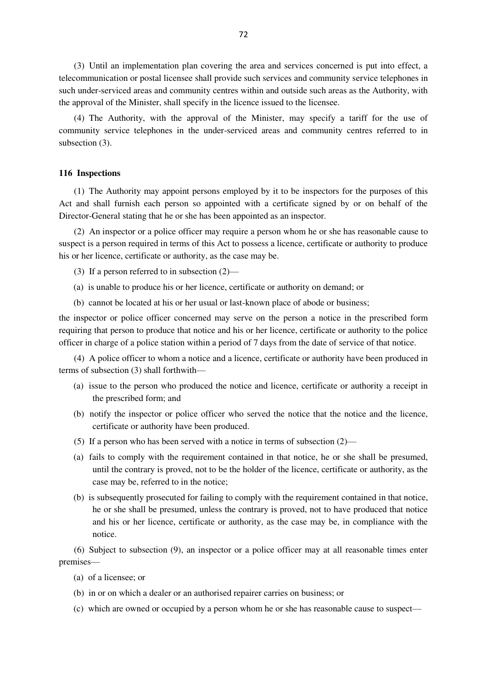(3) Until an implementation plan covering the area and services concerned is put into effect, a telecommunication or postal licensee shall provide such services and community service telephones in such under-serviced areas and community centres within and outside such areas as the Authority, with the approval of the Minister, shall specify in the licence issued to the licensee.

(4) The Authority, with the approval of the Minister, may specify a tariff for the use of community service telephones in the under-serviced areas and community centres referred to in subsection  $(3)$ .

## **116 Inspections**

(1) The Authority may appoint persons employed by it to be inspectors for the purposes of this Act and shall furnish each person so appointed with a certificate signed by or on behalf of the Director-General stating that he or she has been appointed as an inspector.

(2) An inspector or a police officer may require a person whom he or she has reasonable cause to suspect is a person required in terms of this Act to possess a licence, certificate or authority to produce his or her licence, certificate or authority, as the case may be.

- (3) If a person referred to in subsection (2)—
- (a) is unable to produce his or her licence, certificate or authority on demand; or
- (b) cannot be located at his or her usual or last-known place of abode or business;

the inspector or police officer concerned may serve on the person a notice in the prescribed form requiring that person to produce that notice and his or her licence, certificate or authority to the police officer in charge of a police station within a period of 7 days from the date of service of that notice.

(4) A police officer to whom a notice and a licence, certificate or authority have been produced in terms of subsection (3) shall forthwith—

- (a) issue to the person who produced the notice and licence, certificate or authority a receipt in the prescribed form; and
- (b) notify the inspector or police officer who served the notice that the notice and the licence, certificate or authority have been produced.
- (5) If a person who has been served with a notice in terms of subsection (2)—
- (a) fails to comply with the requirement contained in that notice, he or she shall be presumed, until the contrary is proved, not to be the holder of the licence, certificate or authority, as the case may be, referred to in the notice;
- (b) is subsequently prosecuted for failing to comply with the requirement contained in that notice, he or she shall be presumed, unless the contrary is proved, not to have produced that notice and his or her licence, certificate or authority, as the case may be, in compliance with the notice.

(6) Subject to subsection (9), an inspector or a police officer may at all reasonable times enter premises—

- (a) of a licensee; or
- (b) in or on which a dealer or an authorised repairer carries on business; or
- (c) which are owned or occupied by a person whom he or she has reasonable cause to suspect—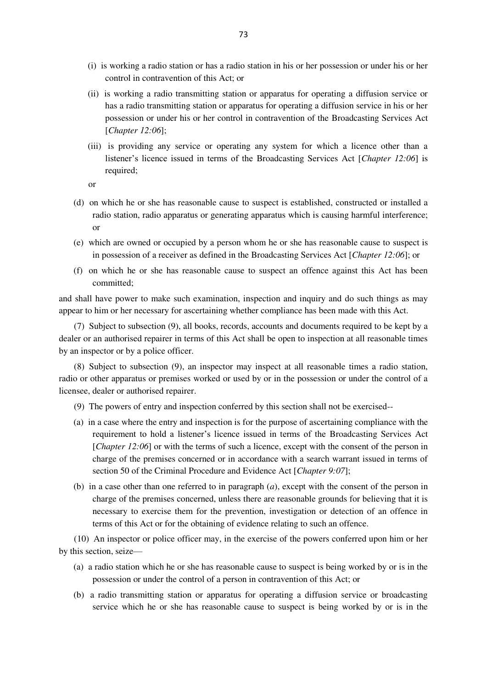- (i) is working a radio station or has a radio station in his or her possession or under his or her control in contravention of this Act; or
- (ii) is working a radio transmitting station or apparatus for operating a diffusion service or has a radio transmitting station or apparatus for operating a diffusion service in his or her possession or under his or her control in contravention of the Broadcasting Services Act [*Chapter 12:06*];
- (iii) is providing any service or operating any system for which a licence other than a listener's licence issued in terms of the Broadcasting Services Act [*Chapter 12:06*] is required;
- or
- (d) on which he or she has reasonable cause to suspect is established, constructed or installed a radio station, radio apparatus or generating apparatus which is causing harmful interference; or
- (e) which are owned or occupied by a person whom he or she has reasonable cause to suspect is in possession of a receiver as defined in the Broadcasting Services Act [*Chapter 12:06*]; or
- (f) on which he or she has reasonable cause to suspect an offence against this Act has been committed;

and shall have power to make such examination, inspection and inquiry and do such things as may appear to him or her necessary for ascertaining whether compliance has been made with this Act.

(7) Subject to subsection (9), all books, records, accounts and documents required to be kept by a dealer or an authorised repairer in terms of this Act shall be open to inspection at all reasonable times by an inspector or by a police officer.

(8) Subject to subsection (9), an inspector may inspect at all reasonable times a radio station, radio or other apparatus or premises worked or used by or in the possession or under the control of a licensee, dealer or authorised repairer.

- (9) The powers of entry and inspection conferred by this section shall not be exercised--
- (a) in a case where the entry and inspection is for the purpose of ascertaining compliance with the requirement to hold a listener's licence issued in terms of the Broadcasting Services Act [*Chapter 12:06*] or with the terms of such a licence, except with the consent of the person in charge of the premises concerned or in accordance with a search warrant issued in terms of section 50 of the Criminal Procedure and Evidence Act [*Chapter 9:07*];
- (b) in a case other than one referred to in paragraph (*a*), except with the consent of the person in charge of the premises concerned, unless there are reasonable grounds for believing that it is necessary to exercise them for the prevention, investigation or detection of an offence in terms of this Act or for the obtaining of evidence relating to such an offence.

(10) An inspector or police officer may, in the exercise of the powers conferred upon him or her by this section, seize—

- (a) a radio station which he or she has reasonable cause to suspect is being worked by or is in the possession or under the control of a person in contravention of this Act; or
- (b) a radio transmitting station or apparatus for operating a diffusion service or broadcasting service which he or she has reasonable cause to suspect is being worked by or is in the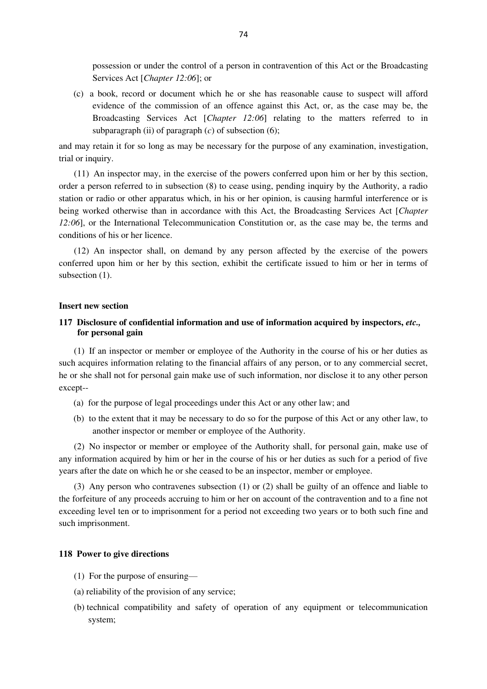possession or under the control of a person in contravention of this Act or the Broadcasting Services Act [*Chapter 12:06*]; or

(c) a book, record or document which he or she has reasonable cause to suspect will afford evidence of the commission of an offence against this Act, or, as the case may be, the Broadcasting Services Act [*Chapter 12:06*] relating to the matters referred to in subparagraph (ii) of paragraph  $(c)$  of subsection  $(6)$ ;

and may retain it for so long as may be necessary for the purpose of any examination, investigation, trial or inquiry.

(11) An inspector may, in the exercise of the powers conferred upon him or her by this section, order a person referred to in subsection (8) to cease using, pending inquiry by the Authority, a radio station or radio or other apparatus which, in his or her opinion, is causing harmful interference or is being worked otherwise than in accordance with this Act, the Broadcasting Services Act [*Chapter 12:06*], or the International Telecommunication Constitution or, as the case may be, the terms and conditions of his or her licence.

(12) An inspector shall, on demand by any person affected by the exercise of the powers conferred upon him or her by this section, exhibit the certificate issued to him or her in terms of subsection  $(1)$ .

### **Insert new section**

# **117 Disclosure of confidential information and use of information acquired by inspectors,** *etc.,* **for personal gain**

(1) If an inspector or member or employee of the Authority in the course of his or her duties as such acquires information relating to the financial affairs of any person, or to any commercial secret, he or she shall not for personal gain make use of such information, nor disclose it to any other person except--

- (a) for the purpose of legal proceedings under this Act or any other law; and
- (b) to the extent that it may be necessary to do so for the purpose of this Act or any other law, to another inspector or member or employee of the Authority.

(2) No inspector or member or employee of the Authority shall, for personal gain, make use of any information acquired by him or her in the course of his or her duties as such for a period of five years after the date on which he or she ceased to be an inspector, member or employee.

(3) Any person who contravenes subsection (1) or (2) shall be guilty of an offence and liable to the forfeiture of any proceeds accruing to him or her on account of the contravention and to a fine not exceeding level ten or to imprisonment for a period not exceeding two years or to both such fine and such imprisonment.

### **118 Power to give directions**

- (1) For the purpose of ensuring—
- (a) reliability of the provision of any service;
- (b) technical compatibility and safety of operation of any equipment or telecommunication system;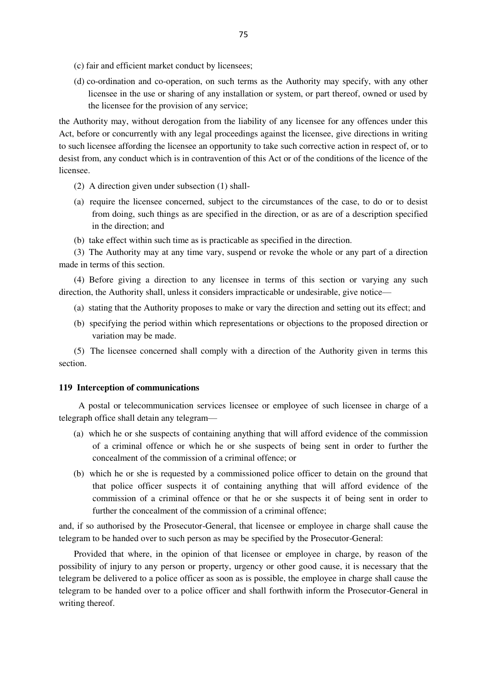- (c) fair and efficient market conduct by licensees;
- (d) co-ordination and co-operation, on such terms as the Authority may specify, with any other licensee in the use or sharing of any installation or system, or part thereof, owned or used by the licensee for the provision of any service;

the Authority may, without derogation from the liability of any licensee for any offences under this Act, before or concurrently with any legal proceedings against the licensee, give directions in writing to such licensee affording the licensee an opportunity to take such corrective action in respect of, or to desist from, any conduct which is in contravention of this Act or of the conditions of the licence of the licensee.

- (2) A direction given under subsection (1) shall-
- (a) require the licensee concerned, subject to the circumstances of the case, to do or to desist from doing, such things as are specified in the direction, or as are of a description specified in the direction; and
- (b) take effect within such time as is practicable as specified in the direction.

(3) The Authority may at any time vary, suspend or revoke the whole or any part of a direction made in terms of this section.

(4) Before giving a direction to any licensee in terms of this section or varying any such direction, the Authority shall, unless it considers impracticable or undesirable, give notice—

- (a) stating that the Authority proposes to make or vary the direction and setting out its effect; and
- (b) specifying the period within which representations or objections to the proposed direction or variation may be made.

(5) The licensee concerned shall comply with a direction of the Authority given in terms this section.

### **119 Interception of communications**

 A postal or telecommunication services licensee or employee of such licensee in charge of a telegraph office shall detain any telegram—

- (a) which he or she suspects of containing anything that will afford evidence of the commission of a criminal offence or which he or she suspects of being sent in order to further the concealment of the commission of a criminal offence; or
- (b) which he or she is requested by a commissioned police officer to detain on the ground that that police officer suspects it of containing anything that will afford evidence of the commission of a criminal offence or that he or she suspects it of being sent in order to further the concealment of the commission of a criminal offence:

and, if so authorised by the Prosecutor-General, that licensee or employee in charge shall cause the telegram to be handed over to such person as may be specified by the Prosecutor-General:

Provided that where, in the opinion of that licensee or employee in charge, by reason of the possibility of injury to any person or property, urgency or other good cause, it is necessary that the telegram be delivered to a police officer as soon as is possible, the employee in charge shall cause the telegram to be handed over to a police officer and shall forthwith inform the Prosecutor-General in writing thereof.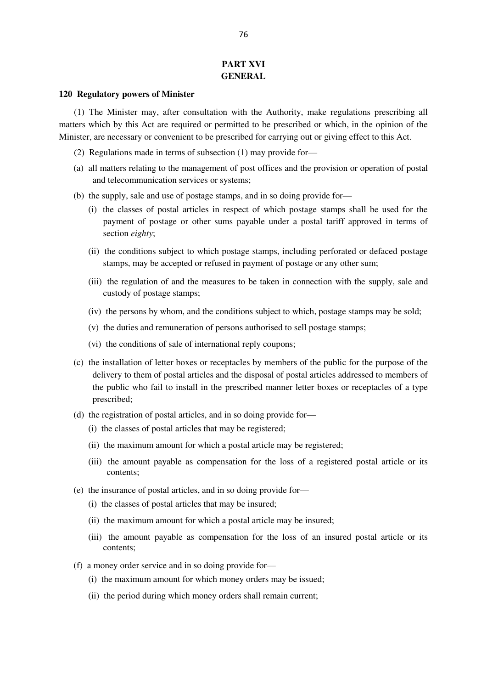# **PART XVI GENERAL**

### **120 Regulatory powers of Minister**

(1) The Minister may, after consultation with the Authority, make regulations prescribing all matters which by this Act are required or permitted to be prescribed or which, in the opinion of the Minister, are necessary or convenient to be prescribed for carrying out or giving effect to this Act.

- (2) Regulations made in terms of subsection (1) may provide for—
- (a) all matters relating to the management of post offices and the provision or operation of postal and telecommunication services or systems;
- (b) the supply, sale and use of postage stamps, and in so doing provide for—
	- (i) the classes of postal articles in respect of which postage stamps shall be used for the payment of postage or other sums payable under a postal tariff approved in terms of section *eighty*;
	- (ii) the conditions subject to which postage stamps, including perforated or defaced postage stamps, may be accepted or refused in payment of postage or any other sum;
	- (iii) the regulation of and the measures to be taken in connection with the supply, sale and custody of postage stamps;
	- (iv) the persons by whom, and the conditions subject to which, postage stamps may be sold;
	- (v) the duties and remuneration of persons authorised to sell postage stamps;
	- (vi) the conditions of sale of international reply coupons;
- (c) the installation of letter boxes or receptacles by members of the public for the purpose of the delivery to them of postal articles and the disposal of postal articles addressed to members of the public who fail to install in the prescribed manner letter boxes or receptacles of a type prescribed;
- (d) the registration of postal articles, and in so doing provide for—
	- (i) the classes of postal articles that may be registered;
	- (ii) the maximum amount for which a postal article may be registered;
	- (iii) the amount payable as compensation for the loss of a registered postal article or its contents;
- (e) the insurance of postal articles, and in so doing provide for—
	- (i) the classes of postal articles that may be insured;
	- (ii) the maximum amount for which a postal article may be insured;
	- (iii) the amount payable as compensation for the loss of an insured postal article or its contents;
- (f) a money order service and in so doing provide for—
	- (i) the maximum amount for which money orders may be issued;
	- (ii) the period during which money orders shall remain current;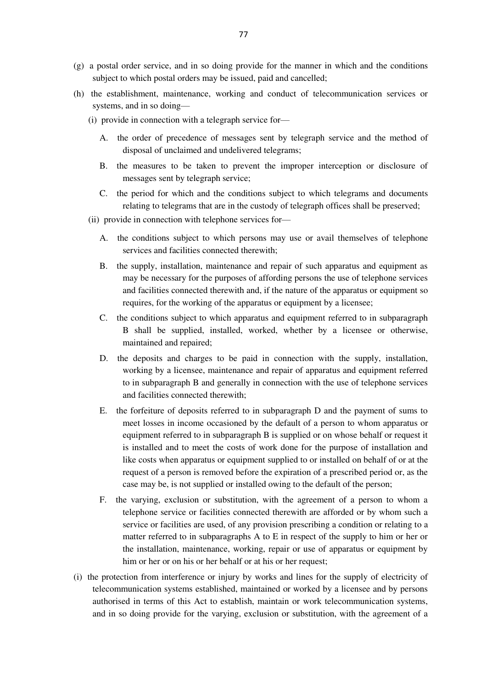- (g) a postal order service, and in so doing provide for the manner in which and the conditions subject to which postal orders may be issued, paid and cancelled;
- (h) the establishment, maintenance, working and conduct of telecommunication services or systems, and in so doing—
	- (i) provide in connection with a telegraph service for—
		- A. the order of precedence of messages sent by telegraph service and the method of disposal of unclaimed and undelivered telegrams;
		- B. the measures to be taken to prevent the improper interception or disclosure of messages sent by telegraph service;
		- C. the period for which and the conditions subject to which telegrams and documents relating to telegrams that are in the custody of telegraph offices shall be preserved;
	- (ii) provide in connection with telephone services for—
		- A. the conditions subject to which persons may use or avail themselves of telephone services and facilities connected therewith;
		- B. the supply, installation, maintenance and repair of such apparatus and equipment as may be necessary for the purposes of affording persons the use of telephone services and facilities connected therewith and, if the nature of the apparatus or equipment so requires, for the working of the apparatus or equipment by a licensee;
		- C. the conditions subject to which apparatus and equipment referred to in subparagraph B shall be supplied, installed, worked, whether by a licensee or otherwise, maintained and repaired;
		- D. the deposits and charges to be paid in connection with the supply, installation, working by a licensee, maintenance and repair of apparatus and equipment referred to in subparagraph B and generally in connection with the use of telephone services and facilities connected therewith;
		- E. the forfeiture of deposits referred to in subparagraph D and the payment of sums to meet losses in income occasioned by the default of a person to whom apparatus or equipment referred to in subparagraph B is supplied or on whose behalf or request it is installed and to meet the costs of work done for the purpose of installation and like costs when apparatus or equipment supplied to or installed on behalf of or at the request of a person is removed before the expiration of a prescribed period or, as the case may be, is not supplied or installed owing to the default of the person;
		- F. the varying, exclusion or substitution, with the agreement of a person to whom a telephone service or facilities connected therewith are afforded or by whom such a service or facilities are used, of any provision prescribing a condition or relating to a matter referred to in subparagraphs A to E in respect of the supply to him or her or the installation, maintenance, working, repair or use of apparatus or equipment by him or her or on his or her behalf or at his or her request;
- (i) the protection from interference or injury by works and lines for the supply of electricity of telecommunication systems established, maintained or worked by a licensee and by persons authorised in terms of this Act to establish, maintain or work telecommunication systems, and in so doing provide for the varying, exclusion or substitution, with the agreement of a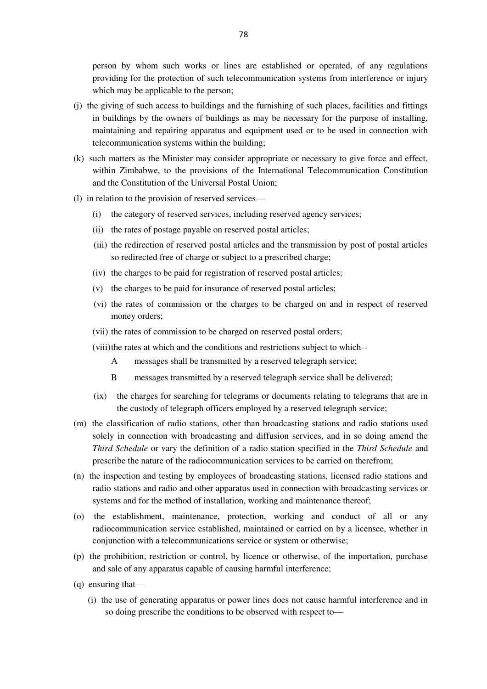person by whom such works or lines are established or operated, of any regulations providing for the protection of such telecommunication systems from interference or injury which may be applicable to the person;

- (j) the giving of such access to buildings and the furnishing of such places, facilities and fittings in buildings by the owners of buildings as may be necessary for the purpose of installing, maintaining and repairing apparatus and equipment used or to be used in connection with telecommunication systems within the building;
- (k) such matters as the Minister may consider appropriate or necessary to give force and effect, within Zimbabwe, to the provisions of the International Telecommunication Constitution and the Constitution of the Universal Postal Union;
- (l) in relation to the provision of reserved services—
	- (i) the category of reserved services, including reserved agency services;
	- (ii) the rates of postage payable on reserved postal articles;
	- (iii) the redirection of reserved postal articles and the transmission by post of postal articles so redirected free of charge or subject to a prescribed charge;
	- (iv) the charges to be paid for registration of reserved postal articles;
	- (v) the charges to be paid for insurance of reserved postal articles;
	- (vi) the rates of commission or the charges to be charged on and in respect of reserved money orders;
	- (vii) the rates of commission to be charged on reserved postal orders;
	- (viii) the rates at which and the conditions and restrictions subject to which--
		- A messages shall be transmitted by a reserved telegraph service;
		- B messages transmitted by a reserved telegraph service shall be delivered;
	- (ix) the charges for searching for telegrams or documents relating to telegrams that are in the custody of telegraph officers employed by a reserved telegraph service;
- (m) the classification of radio stations, other than broadcasting stations and radio stations used solely in connection with broadcasting and diffusion services, and in so doing amend the *Third Schedule* or vary the definition of a radio station specified in the *Third Schedule* and prescribe the nature of the radiocommunication services to be carried on therefrom;
- (n) the inspection and testing by employees of broadcasting stations, licensed radio stations and radio stations and radio and other apparatus used in connection with broadcasting services or systems and for the method of installation, working and maintenance thereof;
- (o) the establishment, maintenance, protection, working and conduct of all or any radiocommunication service established, maintained or carried on by a licensee, whether in conjunction with a telecommunications service or system or otherwise;
- (p) the prohibition, restriction or control, by licence or otherwise, of the importation, purchase and sale of any apparatus capable of causing harmful interference;
- (q) ensuring that—
	- (i) the use of generating apparatus or power lines does not cause harmful interference and in so doing prescribe the conditions to be observed with respect to—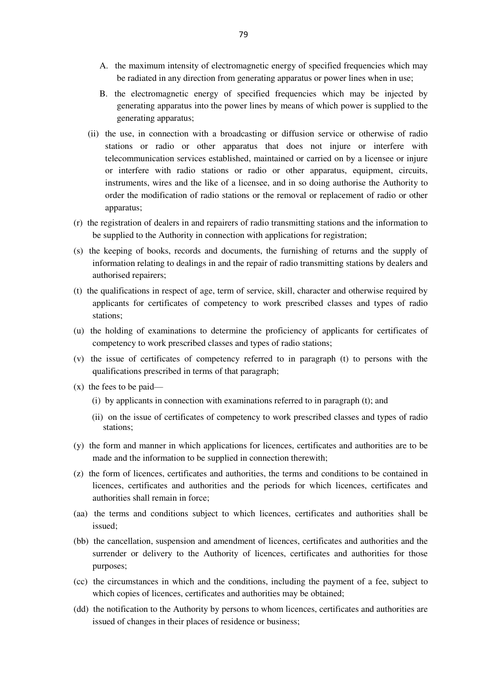- A. the maximum intensity of electromagnetic energy of specified frequencies which may be radiated in any direction from generating apparatus or power lines when in use;
- B. the electromagnetic energy of specified frequencies which may be injected by generating apparatus into the power lines by means of which power is supplied to the generating apparatus;
- (ii) the use, in connection with a broadcasting or diffusion service or otherwise of radio stations or radio or other apparatus that does not injure or interfere with telecommunication services established, maintained or carried on by a licensee or injure or interfere with radio stations or radio or other apparatus, equipment, circuits, instruments, wires and the like of a licensee, and in so doing authorise the Authority to order the modification of radio stations or the removal or replacement of radio or other apparatus;
- (r) the registration of dealers in and repairers of radio transmitting stations and the information to be supplied to the Authority in connection with applications for registration;
- (s) the keeping of books, records and documents, the furnishing of returns and the supply of information relating to dealings in and the repair of radio transmitting stations by dealers and authorised repairers;
- (t) the qualifications in respect of age, term of service, skill, character and otherwise required by applicants for certificates of competency to work prescribed classes and types of radio stations;
- (u) the holding of examinations to determine the proficiency of applicants for certificates of competency to work prescribed classes and types of radio stations;
- (v) the issue of certificates of competency referred to in paragraph (t) to persons with the qualifications prescribed in terms of that paragraph;
- (x) the fees to be paid—
	- (i) by applicants in connection with examinations referred to in paragraph (t); and
	- (ii) on the issue of certificates of competency to work prescribed classes and types of radio stations;
- (y) the form and manner in which applications for licences, certificates and authorities are to be made and the information to be supplied in connection therewith;
- (z) the form of licences, certificates and authorities, the terms and conditions to be contained in licences, certificates and authorities and the periods for which licences, certificates and authorities shall remain in force;
- (aa) the terms and conditions subject to which licences, certificates and authorities shall be issued;
- (bb) the cancellation, suspension and amendment of licences, certificates and authorities and the surrender or delivery to the Authority of licences, certificates and authorities for those purposes;
- (cc) the circumstances in which and the conditions, including the payment of a fee, subject to which copies of licences, certificates and authorities may be obtained;
- (dd) the notification to the Authority by persons to whom licences, certificates and authorities are issued of changes in their places of residence or business;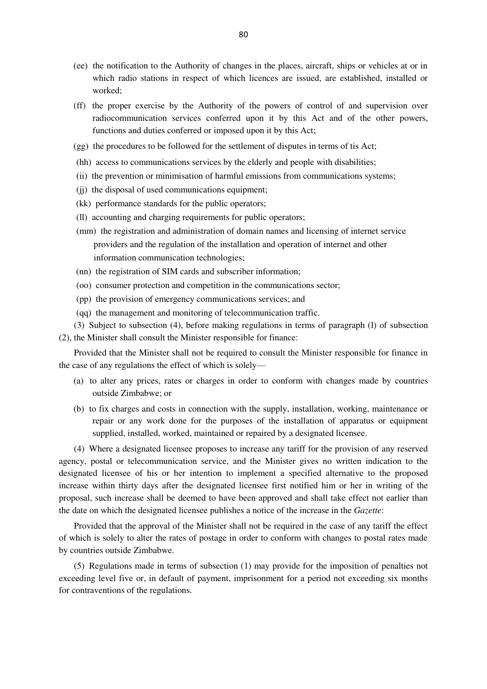- (ee) the notification to the Authority of changes in the places, aircraft, ships or vehicles at or in which radio stations in respect of which licences are issued, are established, installed or worked;
- (ff) the proper exercise by the Authority of the powers of control of and supervision over radiocommunication services conferred upon it by this Act and of the other powers, functions and duties conferred or imposed upon it by this Act;
- (gg) the procedures to be followed for the settlement of disputes in terms of tis Act;
- (hh) access to communications services by the elderly and people with disabilities;
- (ii) the prevention or minimisation of harmful emissions from communications systems;
- (jj) the disposal of used communications equipment;
- (kk) performance standards for the public operators;
- (ll) accounting and charging requirements for public operators;
- (mm) the registration and administration of domain names and licensing of internet service providers and the regulation of the installation and operation of internet and other information communication technologies;
- (nn) the registration of SIM cards and subscriber information;
- (oo) consumer protection and competition in the communications sector;
- (pp) the provision of emergency communications services; and
- (qq) the management and monitoring of telecommunication traffic.

(3) Subject to subsection (4), before making regulations in terms of paragraph (l) of subsection (2), the Minister shall consult the Minister responsible for finance:

Provided that the Minister shall not be required to consult the Minister responsible for finance in the case of any regulations the effect of which is solely—

- (a) to alter any prices, rates or charges in order to conform with changes made by countries outside Zimbabwe; or
- (b) to fix charges and costs in connection with the supply, installation, working, maintenance or repair or any work done for the purposes of the installation of apparatus or equipment supplied, installed, worked, maintained or repaired by a designated licensee.

(4) Where a designated licensee proposes to increase any tariff for the provision of any reserved agency, postal or telecommunication service, and the Minister gives no written indication to the designated licensee of his or her intention to implement a specified alternative to the proposed increase within thirty days after the designated licensee first notified him or her in writing of the proposal, such increase shall be deemed to have been approved and shall take effect not earlier than the date on which the designated licensee publishes a notice of the increase in the *Gazette*:

Provided that the approval of the Minister shall not be required in the case of any tariff the effect of which is solely to alter the rates of postage in order to conform with changes to postal rates made by countries outside Zimbabwe.

(5) Regulations made in terms of subsection (1) may provide for the imposition of penalties not exceeding level five or, in default of payment, imprisonment for a period not exceeding six months for contraventions of the regulations.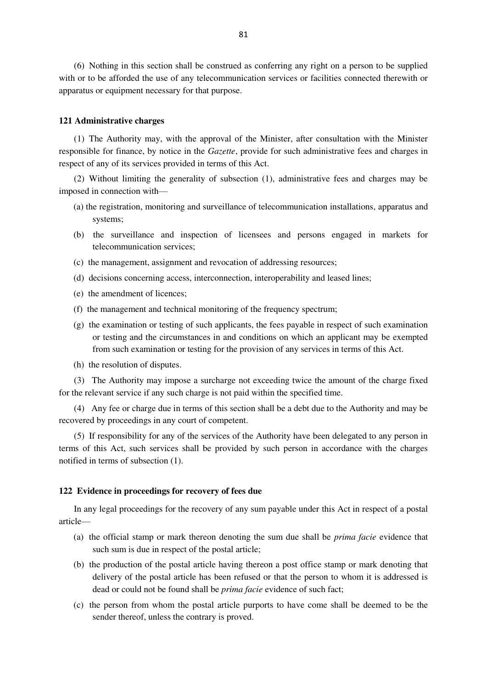(6) Nothing in this section shall be construed as conferring any right on a person to be supplied with or to be afforded the use of any telecommunication services or facilities connected therewith or apparatus or equipment necessary for that purpose.

### **121 Administrative charges**

(1) The Authority may, with the approval of the Minister, after consultation with the Minister responsible for finance, by notice in the *Gazette*, provide for such administrative fees and charges in respect of any of its services provided in terms of this Act.

(2) Without limiting the generality of subsection (1), administrative fees and charges may be imposed in connection with—

- (a) the registration, monitoring and surveillance of telecommunication installations, apparatus and systems;
- (b) the surveillance and inspection of licensees and persons engaged in markets for telecommunication services;
- (c) the management, assignment and revocation of addressing resources;
- (d) decisions concerning access, interconnection, interoperability and leased lines;
- (e) the amendment of licences;
- (f) the management and technical monitoring of the frequency spectrum;
- (g) the examination or testing of such applicants, the fees payable in respect of such examination or testing and the circumstances in and conditions on which an applicant may be exempted from such examination or testing for the provision of any services in terms of this Act.
- (h) the resolution of disputes.

(3) The Authority may impose a surcharge not exceeding twice the amount of the charge fixed for the relevant service if any such charge is not paid within the specified time.

(4) Any fee or charge due in terms of this section shall be a debt due to the Authority and may be recovered by proceedings in any court of competent.

(5) If responsibility for any of the services of the Authority have been delegated to any person in terms of this Act, such services shall be provided by such person in accordance with the charges notified in terms of subsection (1).

### **122 Evidence in proceedings for recovery of fees due**

In any legal proceedings for the recovery of any sum payable under this Act in respect of a postal article—

- (a) the official stamp or mark thereon denoting the sum due shall be *prima facie* evidence that such sum is due in respect of the postal article;
- (b) the production of the postal article having thereon a post office stamp or mark denoting that delivery of the postal article has been refused or that the person to whom it is addressed is dead or could not be found shall be *prima facie* evidence of such fact;
- (c) the person from whom the postal article purports to have come shall be deemed to be the sender thereof, unless the contrary is proved.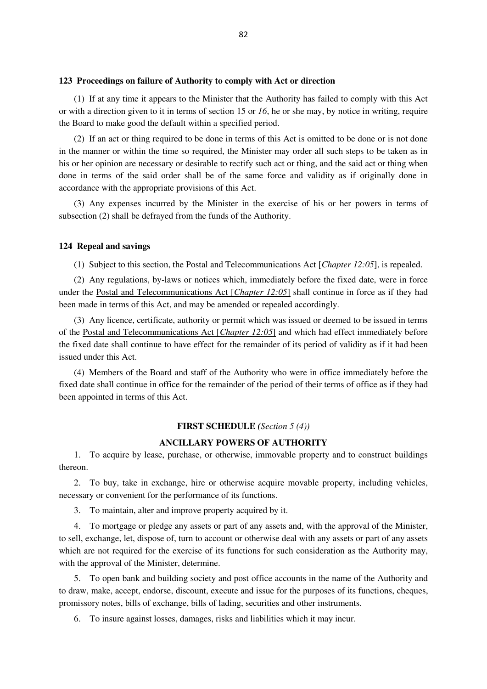### **123 Proceedings on failure of Authority to comply with Act or direction**

(1) If at any time it appears to the Minister that the Authority has failed to comply with this Act or with a direction given to it in terms of section 15 or *16*, he or she may, by notice in writing, require the Board to make good the default within a specified period.

(2) If an act or thing required to be done in terms of this Act is omitted to be done or is not done in the manner or within the time so required, the Minister may order all such steps to be taken as in his or her opinion are necessary or desirable to rectify such act or thing, and the said act or thing when done in terms of the said order shall be of the same force and validity as if originally done in accordance with the appropriate provisions of this Act.

(3) Any expenses incurred by the Minister in the exercise of his or her powers in terms of subsection (2) shall be defrayed from the funds of the Authority.

## **124 Repeal and savings**

(1) Subject to this section, the Postal and Telecommunications Act [*Chapter 12:05*], is repealed.

(2) Any regulations, by-laws or notices which, immediately before the fixed date, were in force under the Postal and Telecommunications Act [*Chapter 12:05*] shall continue in force as if they had been made in terms of this Act, and may be amended or repealed accordingly.

(3) Any licence, certificate, authority or permit which was issued or deemed to be issued in terms of the Postal and Telecommunications Act [*Chapter 12:05*] and which had effect immediately before the fixed date shall continue to have effect for the remainder of its period of validity as if it had been issued under this Act.

(4) Members of the Board and staff of the Authority who were in office immediately before the fixed date shall continue in office for the remainder of the period of their terms of office as if they had been appointed in terms of this Act.

## **FIRST SCHEDULE** *(Section 5 (4))*

### **ANCILLARY POWERS OF AUTHORITY**

1. To acquire by lease, purchase, or otherwise, immovable property and to construct buildings thereon.

2. To buy, take in exchange, hire or otherwise acquire movable property, including vehicles, necessary or convenient for the performance of its functions.

3. To maintain, alter and improve property acquired by it.

4. To mortgage or pledge any assets or part of any assets and, with the approval of the Minister, to sell, exchange, let, dispose of, turn to account or otherwise deal with any assets or part of any assets which are not required for the exercise of its functions for such consideration as the Authority may, with the approval of the Minister, determine.

5. To open bank and building society and post office accounts in the name of the Authority and to draw, make, accept, endorse, discount, execute and issue for the purposes of its functions, cheques, promissory notes, bills of exchange, bills of lading, securities and other instruments.

6. To insure against losses, damages, risks and liabilities which it may incur.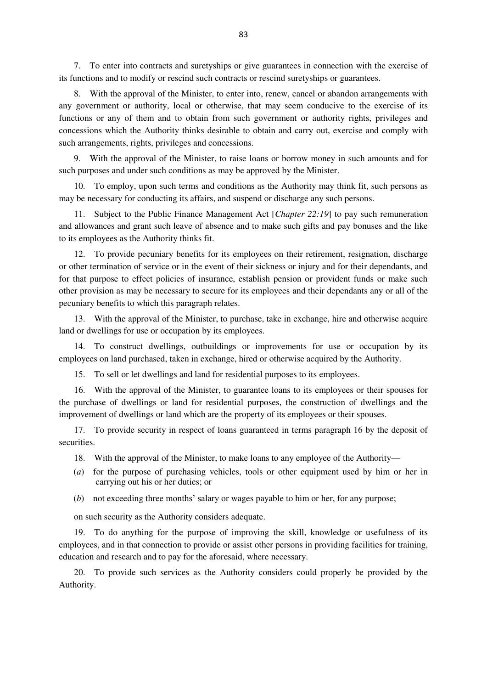7. To enter into contracts and suretyships or give guarantees in connection with the exercise of its functions and to modify or rescind such contracts or rescind suretyships or guarantees.

8. With the approval of the Minister, to enter into, renew, cancel or abandon arrangements with any government or authority, local or otherwise, that may seem conducive to the exercise of its functions or any of them and to obtain from such government or authority rights, privileges and concessions which the Authority thinks desirable to obtain and carry out, exercise and comply with such arrangements, rights, privileges and concessions.

9. With the approval of the Minister, to raise loans or borrow money in such amounts and for such purposes and under such conditions as may be approved by the Minister.

10. To employ, upon such terms and conditions as the Authority may think fit, such persons as may be necessary for conducting its affairs, and suspend or discharge any such persons.

11. Subject to the Public Finance Management Act [*Chapter 22:19*] to pay such remuneration and allowances and grant such leave of absence and to make such gifts and pay bonuses and the like to its employees as the Authority thinks fit.

12. To provide pecuniary benefits for its employees on their retirement, resignation, discharge or other termination of service or in the event of their sickness or injury and for their dependants, and for that purpose to effect policies of insurance, establish pension or provident funds or make such other provision as may be necessary to secure for its employees and their dependants any or all of the pecuniary benefits to which this paragraph relates.

13. With the approval of the Minister, to purchase, take in exchange, hire and otherwise acquire land or dwellings for use or occupation by its employees.

14. To construct dwellings, outbuildings or improvements for use or occupation by its employees on land purchased, taken in exchange, hired or otherwise acquired by the Authority.

15. To sell or let dwellings and land for residential purposes to its employees.

16. With the approval of the Minister, to guarantee loans to its employees or their spouses for the purchase of dwellings or land for residential purposes, the construction of dwellings and the improvement of dwellings or land which are the property of its employees or their spouses.

17. To provide security in respect of loans guaranteed in terms paragraph 16 by the deposit of securities.

18. With the approval of the Minister, to make loans to any employee of the Authority—

- (*a*) for the purpose of purchasing vehicles, tools or other equipment used by him or her in carrying out his or her duties; or
- (*b*) not exceeding three months' salary or wages payable to him or her, for any purpose;

on such security as the Authority considers adequate.

19. To do anything for the purpose of improving the skill, knowledge or usefulness of its employees, and in that connection to provide or assist other persons in providing facilities for training, education and research and to pay for the aforesaid, where necessary.

20. To provide such services as the Authority considers could properly be provided by the Authority.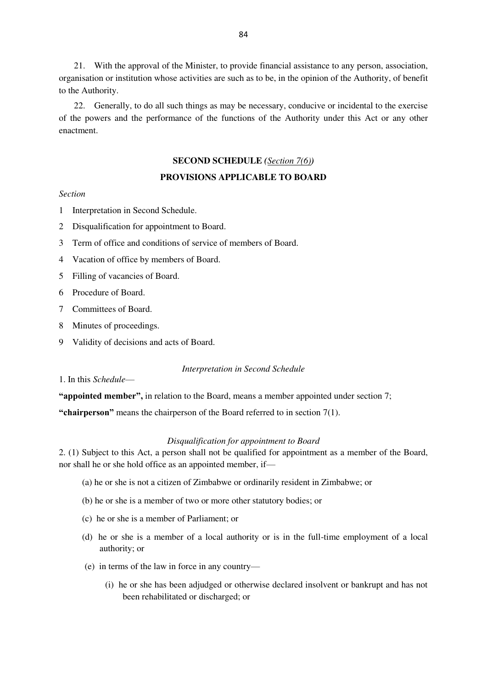21. With the approval of the Minister, to provide financial assistance to any person, association, organisation or institution whose activities are such as to be, in the opinion of the Authority, of benefit to the Authority.

22. Generally, to do all such things as may be necessary, conducive or incidental to the exercise of the powers and the performance of the functions of the Authority under this Act or any other enactment.

### **SECOND SCHEDULE** *(Section 7(6))*

# **PROVISIONS APPLICABLE TO BOARD**

# *Section*

- 1 Interpretation in Second Schedule.
- 2 Disqualification for appointment to Board.
- 3 Term of office and conditions of service of members of Board.
- 4 Vacation of office by members of Board.
- 5 Filling of vacancies of Board.
- 6 Procedure of Board.
- 7 Committees of Board.
- 8 Minutes of proceedings.
- 9 Validity of decisions and acts of Board.

#### *Interpretation in Second Schedule*

# 1. In this *Schedule*—

**"appointed member",** in relation to the Board, means a member appointed under section 7;

**"chairperson"** means the chairperson of the Board referred to in section 7(1).

#### *Disqualification for appointment to Board*

2. (1) Subject to this Act, a person shall not be qualified for appointment as a member of the Board, nor shall he or she hold office as an appointed member, if—

- (a) he or she is not a citizen of Zimbabwe or ordinarily resident in Zimbabwe; or
- (b) he or she is a member of two or more other statutory bodies; or
- (c) he or she is a member of Parliament; or
- (d) he or she is a member of a local authority or is in the full-time employment of a local authority; or
- (e) in terms of the law in force in any country—
	- (i) he or she has been adjudged or otherwise declared insolvent or bankrupt and has not been rehabilitated or discharged; or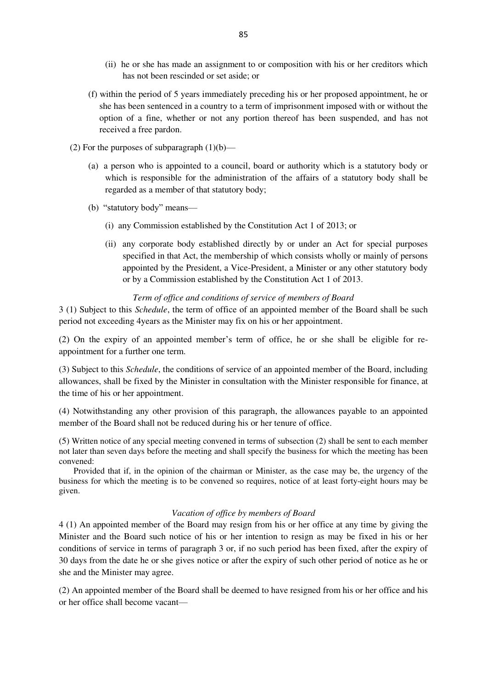- (ii) he or she has made an assignment to or composition with his or her creditors which has not been rescinded or set aside; or
- (f) within the period of 5 years immediately preceding his or her proposed appointment, he or she has been sentenced in a country to a term of imprisonment imposed with or without the option of a fine, whether or not any portion thereof has been suspended, and has not received a free pardon.
- (2) For the purposes of subparagraph  $(1)(b)$ 
	- (a) a person who is appointed to a council, board or authority which is a statutory body or which is responsible for the administration of the affairs of a statutory body shall be regarded as a member of that statutory body;
	- (b) "statutory body" means—
		- (i) any Commission established by the Constitution Act 1 of 2013; or
		- (ii) any corporate body established directly by or under an Act for special purposes specified in that Act, the membership of which consists wholly or mainly of persons appointed by the President, a Vice-President, a Minister or any other statutory body or by a Commission established by the Constitution Act 1 of 2013.

### *Term of office and conditions of service of members of Board*

3 (1) Subject to this *Schedule*, the term of office of an appointed member of the Board shall be such period not exceeding 4years as the Minister may fix on his or her appointment.

(2) On the expiry of an appointed member's term of office, he or she shall be eligible for reappointment for a further one term.

(3) Subject to this *Schedule*, the conditions of service of an appointed member of the Board, including allowances, shall be fixed by the Minister in consultation with the Minister responsible for finance, at the time of his or her appointment.

(4) Notwithstanding any other provision of this paragraph, the allowances payable to an appointed member of the Board shall not be reduced during his or her tenure of office.

(5) Written notice of any special meeting convened in terms of subsection (2) shall be sent to each member not later than seven days before the meeting and shall specify the business for which the meeting has been convened:

Provided that if, in the opinion of the chairman or Minister, as the case may be, the urgency of the business for which the meeting is to be convened so requires, notice of at least forty-eight hours may be given.

### *Vacation of office by members of Board*

4 (1) An appointed member of the Board may resign from his or her office at any time by giving the Minister and the Board such notice of his or her intention to resign as may be fixed in his or her conditions of service in terms of paragraph 3 or, if no such period has been fixed, after the expiry of 30 days from the date he or she gives notice or after the expiry of such other period of notice as he or she and the Minister may agree.

(2) An appointed member of the Board shall be deemed to have resigned from his or her office and his or her office shall become vacant—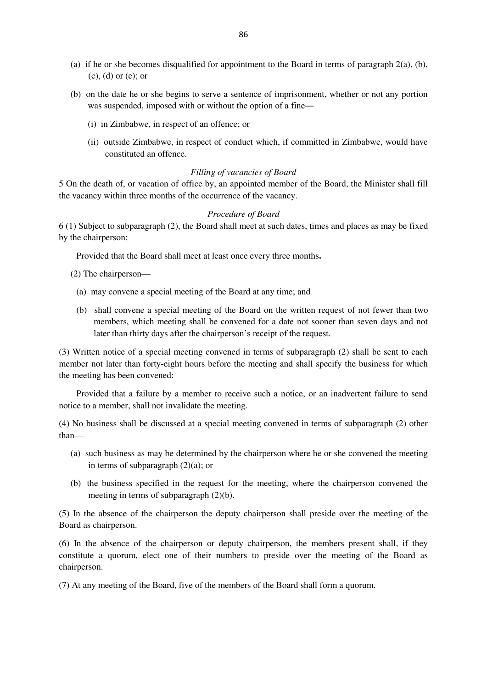- (a) if he or she becomes disqualified for appointment to the Board in terms of paragraph 2(a), (b), (c), (d) or (e); or
- (b) on the date he or she begins to serve a sentence of imprisonment, whether or not any portion was suspended, imposed with or without the option of a fine—
	- (i) in Zimbabwe, in respect of an offence; or
	- (ii) outside Zimbabwe, in respect of conduct which, if committed in Zimbabwe, would have constituted an offence.

### *Filling of vacancies of Board*

5 On the death of, or vacation of office by, an appointed member of the Board, the Minister shall fill the vacancy within three months of the occurrence of the vacancy.

### *Procedure of Board*

6 (1) Subject to subparagraph (2), the Board shall meet at such dates, times and places as may be fixed by the chairperson:

Provided that the Board shall meet at least once every three months**.**

(2) The chairperson—

- (a) may convene a special meeting of the Board at any time; and
- (b) shall convene a special meeting of the Board on the written request of not fewer than two members, which meeting shall be convened for a date not sooner than seven days and not later than thirty days after the chairperson's receipt of the request.

(3) Written notice of a special meeting convened in terms of subparagraph (2) shall be sent to each member not later than forty-eight hours before the meeting and shall specify the business for which the meeting has been convened:

Provided that a failure by a member to receive such a notice, or an inadvertent failure to send notice to a member, shall not invalidate the meeting.

(4) No business shall be discussed at a special meeting convened in terms of subparagraph (2) other than—

- (a) such business as may be determined by the chairperson where he or she convened the meeting in terms of subparagraph  $(2)(a)$ ; or
- (b) the business specified in the request for the meeting, where the chairperson convened the meeting in terms of subparagraph (2)(b).

(5) In the absence of the chairperson the deputy chairperson shall preside over the meeting of the Board as chairperson.

(6) In the absence of the chairperson or deputy chairperson, the members present shall, if they constitute a quorum, elect one of their numbers to preside over the meeting of the Board as chairperson.

(7) At any meeting of the Board, five of the members of the Board shall form a quorum.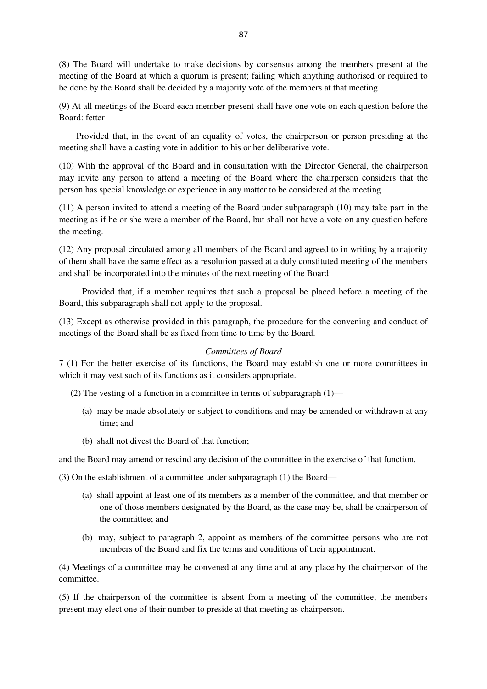(8) The Board will undertake to make decisions by consensus among the members present at the meeting of the Board at which a quorum is present; failing which anything authorised or required to be done by the Board shall be decided by a majority vote of the members at that meeting.

(9) At all meetings of the Board each member present shall have one vote on each question before the Board: fetter

Provided that, in the event of an equality of votes, the chairperson or person presiding at the meeting shall have a casting vote in addition to his or her deliberative vote.

(10) With the approval of the Board and in consultation with the Director General, the chairperson may invite any person to attend a meeting of the Board where the chairperson considers that the person has special knowledge or experience in any matter to be considered at the meeting.

(11) A person invited to attend a meeting of the Board under subparagraph (10) may take part in the meeting as if he or she were a member of the Board, but shall not have a vote on any question before the meeting.

(12) Any proposal circulated among all members of the Board and agreed to in writing by a majority of them shall have the same effect as a resolution passed at a duly constituted meeting of the members and shall be incorporated into the minutes of the next meeting of the Board:

Provided that, if a member requires that such a proposal be placed before a meeting of the Board, this subparagraph shall not apply to the proposal.

(13) Except as otherwise provided in this paragraph, the procedure for the convening and conduct of meetings of the Board shall be as fixed from time to time by the Board.

### *Committees of Board*

7 (1) For the better exercise of its functions, the Board may establish one or more committees in which it may vest such of its functions as it considers appropriate.

(2) The vesting of a function in a committee in terms of subparagraph (1)—

- (a) may be made absolutely or subject to conditions and may be amended or withdrawn at any time; and
- (b) shall not divest the Board of that function;

and the Board may amend or rescind any decision of the committee in the exercise of that function.

(3) On the establishment of a committee under subparagraph (1) the Board—

- (a) shall appoint at least one of its members as a member of the committee, and that member or one of those members designated by the Board, as the case may be, shall be chairperson of the committee; and
- (b) may, subject to paragraph 2, appoint as members of the committee persons who are not members of the Board and fix the terms and conditions of their appointment.

(4) Meetings of a committee may be convened at any time and at any place by the chairperson of the committee.

(5) If the chairperson of the committee is absent from a meeting of the committee, the members present may elect one of their number to preside at that meeting as chairperson.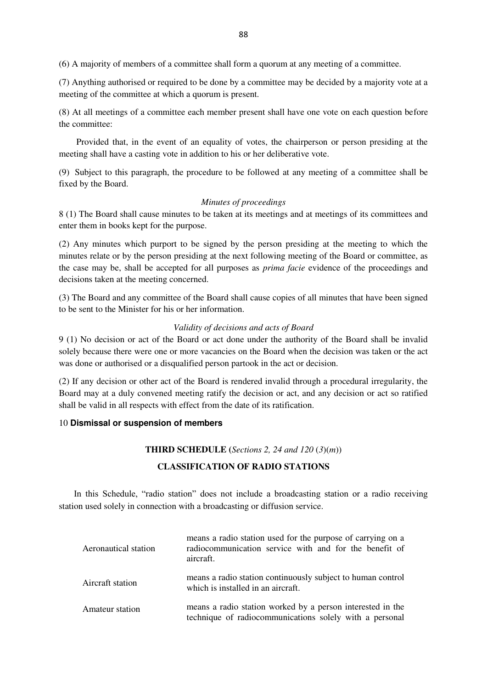(6) A majority of members of a committee shall form a quorum at any meeting of a committee.

(7) Anything authorised or required to be done by a committee may be decided by a majority vote at a meeting of the committee at which a quorum is present.

(8) At all meetings of a committee each member present shall have one vote on each question before the committee:

Provided that, in the event of an equality of votes, the chairperson or person presiding at the meeting shall have a casting vote in addition to his or her deliberative vote.

(9) Subject to this paragraph, the procedure to be followed at any meeting of a committee shall be fixed by the Board.

### *Minutes of proceedings*

8 (1) The Board shall cause minutes to be taken at its meetings and at meetings of its committees and enter them in books kept for the purpose.

(2) Any minutes which purport to be signed by the person presiding at the meeting to which the minutes relate or by the person presiding at the next following meeting of the Board or committee, as the case may be, shall be accepted for all purposes as *prima facie* evidence of the proceedings and decisions taken at the meeting concerned.

(3) The Board and any committee of the Board shall cause copies of all minutes that have been signed to be sent to the Minister for his or her information.

### *Validity of decisions and acts of Board*

9 (1) No decision or act of the Board or act done under the authority of the Board shall be invalid solely because there were one or more vacancies on the Board when the decision was taken or the act was done or authorised or a disqualified person partook in the act or decision.

(2) If any decision or other act of the Board is rendered invalid through a procedural irregularity, the Board may at a duly convened meeting ratify the decision or act, and any decision or act so ratified shall be valid in all respects with effect from the date of its ratification.

### 10 **Dismissal or suspension of members**

### **THIRD SCHEDULE (***Sections 2, 24 and 120* (*3*)(*m*))

# **CLASSIFICATION OF RADIO STATIONS**

In this Schedule, "radio station" does not include a broadcasting station or a radio receiving station used solely in connection with a broadcasting or diffusion service.

| Aeronautical station | means a radio station used for the purpose of carrying on a<br>radiocommunication service with and for the benefit of<br>aircraft. |
|----------------------|------------------------------------------------------------------------------------------------------------------------------------|
| Aircraft station     | means a radio station continuously subject to human control<br>which is installed in an aircraft.                                  |
| Amateur station      | means a radio station worked by a person interested in the<br>technique of radiocommunications solely with a personal              |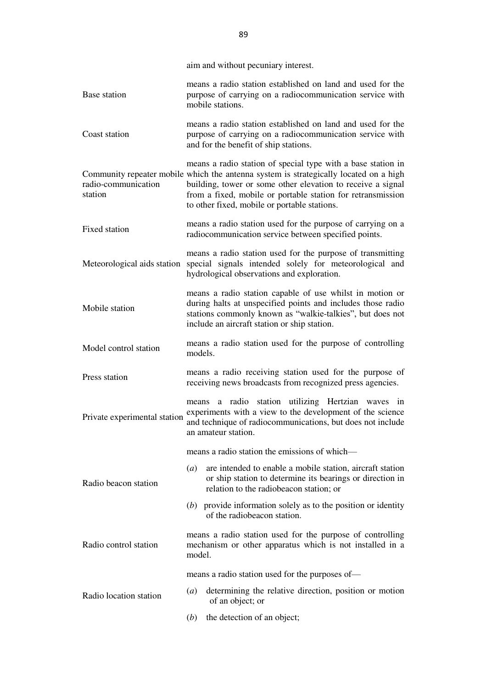|                                | aim and without pecuniary interest.                                                                                                                                                                                                                                                                                                 |
|--------------------------------|-------------------------------------------------------------------------------------------------------------------------------------------------------------------------------------------------------------------------------------------------------------------------------------------------------------------------------------|
| Base station                   | means a radio station established on land and used for the<br>purpose of carrying on a radiocommunication service with<br>mobile stations.                                                                                                                                                                                          |
| Coast station                  | means a radio station established on land and used for the<br>purpose of carrying on a radiocommunication service with<br>and for the benefit of ship stations.                                                                                                                                                                     |
| radio-communication<br>station | means a radio station of special type with a base station in<br>Community repeater mobile which the antenna system is strategically located on a high<br>building, tower or some other elevation to receive a signal<br>from a fixed, mobile or portable station for retransmission<br>to other fixed, mobile or portable stations. |
| Fixed station                  | means a radio station used for the purpose of carrying on a<br>radiocommunication service between specified points.                                                                                                                                                                                                                 |
| Meteorological aids station    | means a radio station used for the purpose of transmitting<br>special signals intended solely for meteorological and<br>hydrological observations and exploration.                                                                                                                                                                  |
| Mobile station                 | means a radio station capable of use whilst in motion or<br>during halts at unspecified points and includes those radio<br>stations commonly known as "walkie-talkies", but does not<br>include an aircraft station or ship station.                                                                                                |
| Model control station          | means a radio station used for the purpose of controlling<br>models.                                                                                                                                                                                                                                                                |
| Press station                  | means a radio receiving station used for the purpose of<br>receiving news broadcasts from recognized press agencies.                                                                                                                                                                                                                |
| Private experimental station   | a radio station utilizing Hertzian waves in<br>means<br>experiments with a view to the development of the science<br>and technique of radiocommunications, but does not include<br>an amateur station.                                                                                                                              |
|                                | means a radio station the emissions of which-                                                                                                                                                                                                                                                                                       |
| Radio beacon station           | are intended to enable a mobile station, aircraft station<br>$\left(a\right)$<br>or ship station to determine its bearings or direction in<br>relation to the radiobeacon station; or                                                                                                                                               |
|                                | $(b)$ provide information solely as to the position or identity<br>of the radiobeacon station.                                                                                                                                                                                                                                      |
| Radio control station          | means a radio station used for the purpose of controlling<br>mechanism or other apparatus which is not installed in a<br>model.                                                                                                                                                                                                     |
|                                | means a radio station used for the purposes of—                                                                                                                                                                                                                                                                                     |
| Radio location station         | determining the relative direction, position or motion<br>$\left(a\right)$<br>of an object; or                                                                                                                                                                                                                                      |
|                                | the detection of an object;<br>(b)                                                                                                                                                                                                                                                                                                  |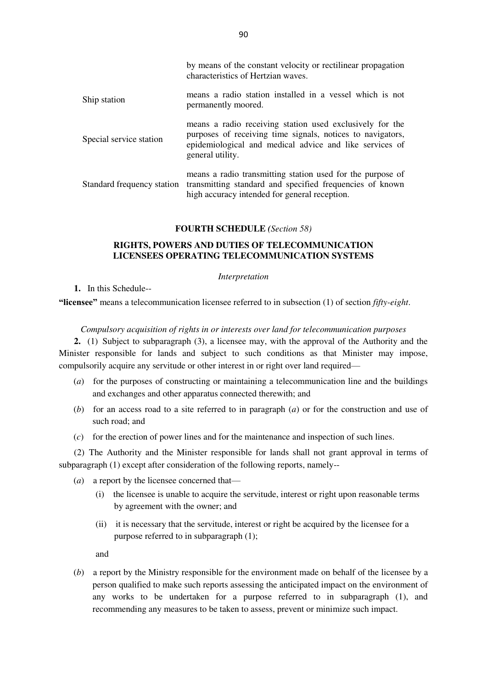|                            | characteristics of Hertzian waves.                                                                                                                                                                    |
|----------------------------|-------------------------------------------------------------------------------------------------------------------------------------------------------------------------------------------------------|
| Ship station               | means a radio station installed in a vessel which is not<br>permanently moored.                                                                                                                       |
| Special service station    | means a radio receiving station used exclusively for the<br>purposes of receiving time signals, notices to navigators,<br>epidemiological and medical advice and like services of<br>general utility. |
| Standard frequency station | means a radio transmitting station used for the purpose of<br>transmitting standard and specified frequencies of known<br>high accuracy intended for general reception.                               |

### **FOURTH SCHEDULE** *(Section 58)*

# **RIGHTS, POWERS AND DUTIES OF TELECOMMUNICATION LICENSEES OPERATING TELECOMMUNICATION SYSTEMS**

### *Interpretation*

# **1.** In this Schedule--

**"licensee"** means a telecommunication licensee referred to in subsection (1) of section *fifty-eight*.

## *Compulsory acquisition of rights in or interests over land for telecommunication purposes*

**2.** (1) Subject to subparagraph (3), a licensee may, with the approval of the Authority and the Minister responsible for lands and subject to such conditions as that Minister may impose, compulsorily acquire any servitude or other interest in or right over land required—

- (*a*) for the purposes of constructing or maintaining a telecommunication line and the buildings and exchanges and other apparatus connected therewith; and
- (*b*) for an access road to a site referred to in paragraph (*a*) or for the construction and use of such road; and
- (*c*) for the erection of power lines and for the maintenance and inspection of such lines.

(2) The Authority and the Minister responsible for lands shall not grant approval in terms of subparagraph (1) except after consideration of the following reports, namely--

- (*a*) a report by the licensee concerned that—
	- (i) the licensee is unable to acquire the servitude, interest or right upon reasonable terms by agreement with the owner; and
	- (ii) it is necessary that the servitude, interest or right be acquired by the licensee for a purpose referred to in subparagraph (1);

and

(*b*) a report by the Ministry responsible for the environment made on behalf of the licensee by a person qualified to make such reports assessing the anticipated impact on the environment of any works to be undertaken for a purpose referred to in subparagraph (1), and recommending any measures to be taken to assess, prevent or minimize such impact.

by means of the constant velocity or rectilinear propagation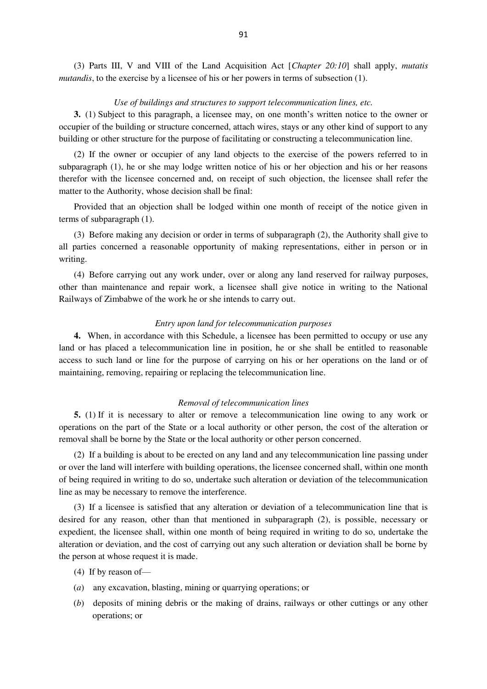(3) Parts III, V and VIII of the Land Acquisition Act [*Chapter 20:10*] shall apply, *mutatis mutandis*, to the exercise by a licensee of his or her powers in terms of subsection (1).

## *Use of buildings and structures to support telecommunication lines, etc.*

**3.** (1) Subject to this paragraph, a licensee may, on one month's written notice to the owner or occupier of the building or structure concerned, attach wires, stays or any other kind of support to any building or other structure for the purpose of facilitating or constructing a telecommunication line.

(2) If the owner or occupier of any land objects to the exercise of the powers referred to in subparagraph (1), he or she may lodge written notice of his or her objection and his or her reasons therefor with the licensee concerned and, on receipt of such objection, the licensee shall refer the matter to the Authority, whose decision shall be final:

Provided that an objection shall be lodged within one month of receipt of the notice given in terms of subparagraph (1).

(3) Before making any decision or order in terms of subparagraph (2), the Authority shall give to all parties concerned a reasonable opportunity of making representations, either in person or in writing.

(4) Before carrying out any work under, over or along any land reserved for railway purposes, other than maintenance and repair work, a licensee shall give notice in writing to the National Railways of Zimbabwe of the work he or she intends to carry out.

### *Entry upon land for telecommunication purposes*

**4.** When, in accordance with this Schedule, a licensee has been permitted to occupy or use any land or has placed a telecommunication line in position, he or she shall be entitled to reasonable access to such land or line for the purpose of carrying on his or her operations on the land or of maintaining, removing, repairing or replacing the telecommunication line.

### *Removal of telecommunication lines*

**5.** (1) If it is necessary to alter or remove a telecommunication line owing to any work or operations on the part of the State or a local authority or other person, the cost of the alteration or removal shall be borne by the State or the local authority or other person concerned.

(2) If a building is about to be erected on any land and any telecommunication line passing under or over the land will interfere with building operations, the licensee concerned shall, within one month of being required in writing to do so, undertake such alteration or deviation of the telecommunication line as may be necessary to remove the interference.

(3) If a licensee is satisfied that any alteration or deviation of a telecommunication line that is desired for any reason, other than that mentioned in subparagraph (2), is possible, necessary or expedient, the licensee shall, within one month of being required in writing to do so, undertake the alteration or deviation, and the cost of carrying out any such alteration or deviation shall be borne by the person at whose request it is made.

- (4) If by reason of—
- (*a*) any excavation, blasting, mining or quarrying operations; or
- (*b*) deposits of mining debris or the making of drains, railways or other cuttings or any other operations; or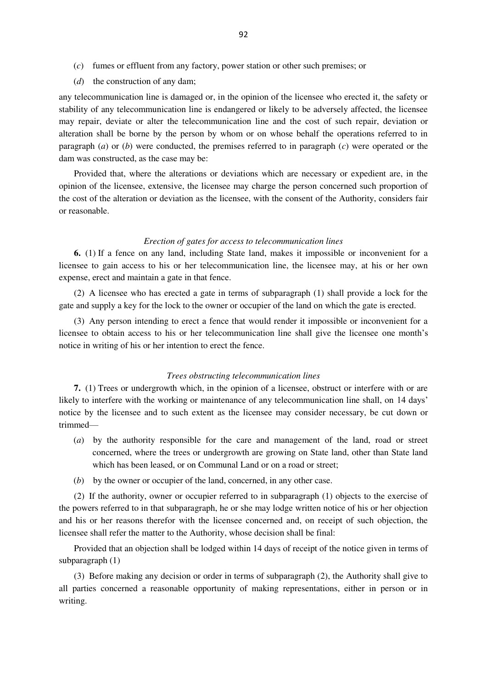- (*c*) fumes or effluent from any factory, power station or other such premises; or
- (*d*) the construction of any dam;

any telecommunication line is damaged or, in the opinion of the licensee who erected it, the safety or stability of any telecommunication line is endangered or likely to be adversely affected, the licensee may repair, deviate or alter the telecommunication line and the cost of such repair, deviation or alteration shall be borne by the person by whom or on whose behalf the operations referred to in paragraph (*a*) or (*b*) were conducted, the premises referred to in paragraph (*c*) were operated or the dam was constructed, as the case may be:

Provided that, where the alterations or deviations which are necessary or expedient are, in the opinion of the licensee, extensive, the licensee may charge the person concerned such proportion of the cost of the alteration or deviation as the licensee, with the consent of the Authority, considers fair or reasonable.

#### *Erection of gates for access to telecommunication lines*

**6.** (1) If a fence on any land, including State land, makes it impossible or inconvenient for a licensee to gain access to his or her telecommunication line, the licensee may, at his or her own expense, erect and maintain a gate in that fence.

(2) A licensee who has erected a gate in terms of subparagraph (1) shall provide a lock for the gate and supply a key for the lock to the owner or occupier of the land on which the gate is erected.

(3) Any person intending to erect a fence that would render it impossible or inconvenient for a licensee to obtain access to his or her telecommunication line shall give the licensee one month's notice in writing of his or her intention to erect the fence.

### *Trees obstructing telecommunication lines*

**7.** (1) Trees or undergrowth which, in the opinion of a licensee, obstruct or interfere with or are likely to interfere with the working or maintenance of any telecommunication line shall, on 14 days' notice by the licensee and to such extent as the licensee may consider necessary, be cut down or trimmed—

- (*a*) by the authority responsible for the care and management of the land, road or street concerned, where the trees or undergrowth are growing on State land, other than State land which has been leased, or on Communal Land or on a road or street;
- (*b*) by the owner or occupier of the land, concerned, in any other case.

(2) If the authority, owner or occupier referred to in subparagraph (1) objects to the exercise of the powers referred to in that subparagraph, he or she may lodge written notice of his or her objection and his or her reasons therefor with the licensee concerned and, on receipt of such objection, the licensee shall refer the matter to the Authority, whose decision shall be final:

Provided that an objection shall be lodged within 14 days of receipt of the notice given in terms of subparagraph (1)

(3) Before making any decision or order in terms of subparagraph (2), the Authority shall give to all parties concerned a reasonable opportunity of making representations, either in person or in writing.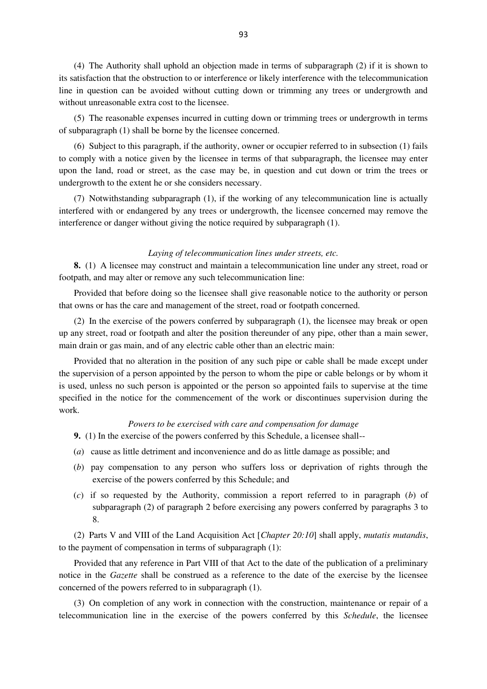(4) The Authority shall uphold an objection made in terms of subparagraph (2) if it is shown to its satisfaction that the obstruction to or interference or likely interference with the telecommunication line in question can be avoided without cutting down or trimming any trees or undergrowth and without unreasonable extra cost to the licensee.

(5) The reasonable expenses incurred in cutting down or trimming trees or undergrowth in terms of subparagraph (1) shall be borne by the licensee concerned.

(6) Subject to this paragraph, if the authority, owner or occupier referred to in subsection (1) fails to comply with a notice given by the licensee in terms of that subparagraph, the licensee may enter upon the land, road or street, as the case may be, in question and cut down or trim the trees or undergrowth to the extent he or she considers necessary.

(7) Notwithstanding subparagraph (1), if the working of any telecommunication line is actually interfered with or endangered by any trees or undergrowth, the licensee concerned may remove the interference or danger without giving the notice required by subparagraph (1).

### *Laying of telecommunication lines under streets, etc.*

**8.** (1) A licensee may construct and maintain a telecommunication line under any street, road or footpath, and may alter or remove any such telecommunication line:

Provided that before doing so the licensee shall give reasonable notice to the authority or person that owns or has the care and management of the street, road or footpath concerned.

(2) In the exercise of the powers conferred by subparagraph (1), the licensee may break or open up any street, road or footpath and alter the position thereunder of any pipe, other than a main sewer, main drain or gas main, and of any electric cable other than an electric main:

Provided that no alteration in the position of any such pipe or cable shall be made except under the supervision of a person appointed by the person to whom the pipe or cable belongs or by whom it is used, unless no such person is appointed or the person so appointed fails to supervise at the time specified in the notice for the commencement of the work or discontinues supervision during the work.

### *Powers to be exercised with care and compensation for damage*

**9.** (1) In the exercise of the powers conferred by this Schedule, a licensee shall--

- (*a*) cause as little detriment and inconvenience and do as little damage as possible; and
- (*b*) pay compensation to any person who suffers loss or deprivation of rights through the exercise of the powers conferred by this Schedule; and
- (*c*) if so requested by the Authority, commission a report referred to in paragraph (*b*) of subparagraph (2) of paragraph 2 before exercising any powers conferred by paragraphs 3 to 8.

(2) Parts V and VIII of the Land Acquisition Act [*Chapter 20:10*] shall apply, *mutatis mutandis*, to the payment of compensation in terms of subparagraph (1):

Provided that any reference in Part VIII of that Act to the date of the publication of a preliminary notice in the *Gazette* shall be construed as a reference to the date of the exercise by the licensee concerned of the powers referred to in subparagraph (1).

(3) On completion of any work in connection with the construction, maintenance or repair of a telecommunication line in the exercise of the powers conferred by this *Schedule*, the licensee